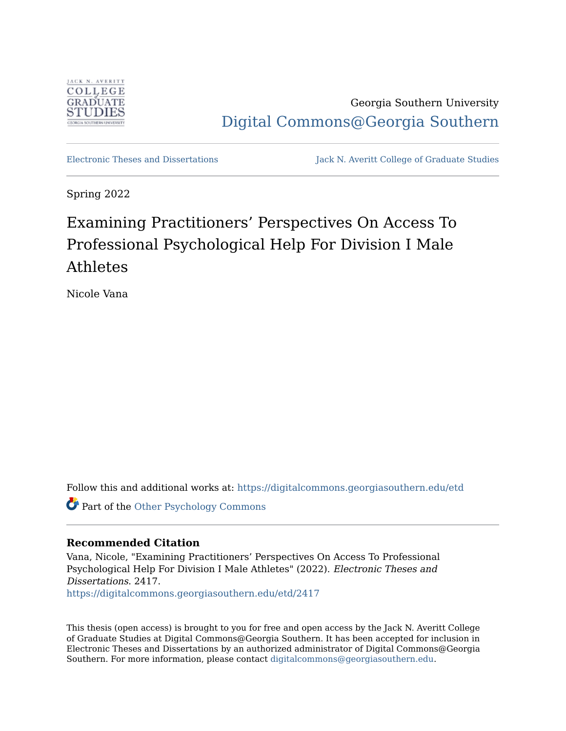

Georgia Southern University [Digital Commons@Georgia Southern](https://digitalcommons.georgiasouthern.edu/) 

[Electronic Theses and Dissertations](https://digitalcommons.georgiasouthern.edu/etd) Jack N. Averitt College of Graduate Studies

Spring 2022

# Examining Practitioners' Perspectives On Access To Professional Psychological Help For Division I Male Athletes

Nicole Vana

Follow this and additional works at: [https://digitalcommons.georgiasouthern.edu/etd](https://digitalcommons.georgiasouthern.edu/etd?utm_source=digitalcommons.georgiasouthern.edu%2Fetd%2F2417&utm_medium=PDF&utm_campaign=PDFCoverPages) 

Part of the [Other Psychology Commons](https://network.bepress.com/hgg/discipline/415?utm_source=digitalcommons.georgiasouthern.edu%2Fetd%2F2417&utm_medium=PDF&utm_campaign=PDFCoverPages) 

#### **Recommended Citation**

Vana, Nicole, "Examining Practitioners' Perspectives On Access To Professional Psychological Help For Division I Male Athletes" (2022). Electronic Theses and Dissertations. 2417. [https://digitalcommons.georgiasouthern.edu/etd/2417](https://digitalcommons.georgiasouthern.edu/etd/2417?utm_source=digitalcommons.georgiasouthern.edu%2Fetd%2F2417&utm_medium=PDF&utm_campaign=PDFCoverPages) 

This thesis (open access) is brought to you for free and open access by the Jack N. Averitt College of Graduate Studies at Digital Commons@Georgia Southern. It has been accepted for inclusion in Electronic Theses and Dissertations by an authorized administrator of Digital Commons@Georgia Southern. For more information, please contact [digitalcommons@georgiasouthern.edu](mailto:digitalcommons@georgiasouthern.edu).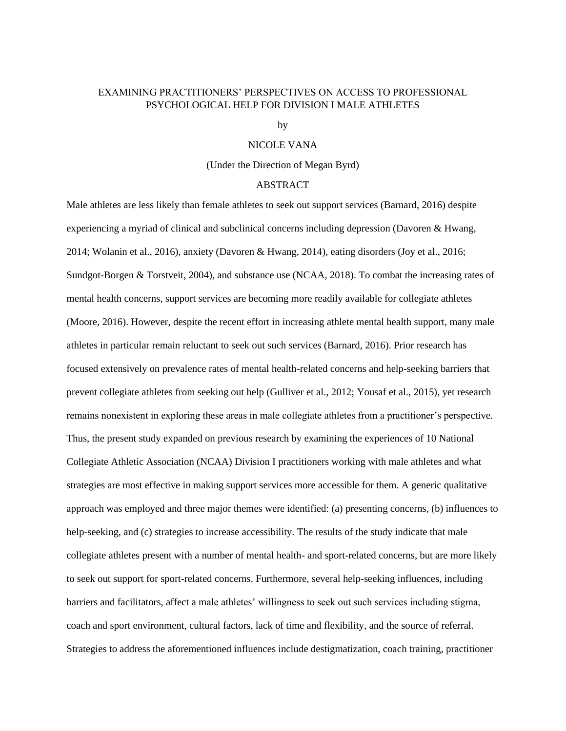#### EXAMINING PRACTITIONERS' PERSPECTIVES ON ACCESS TO PROFESSIONAL PSYCHOLOGICAL HELP FOR DIVISION I MALE ATHLETES

by

#### NICOLE VANA

(Under the Direction of Megan Byrd)

#### ABSTRACT

Male athletes are less likely than female athletes to seek out support services (Barnard, 2016) despite experiencing a myriad of clinical and subclinical concerns including depression (Davoren & Hwang, 2014; Wolanin et al., 2016), anxiety (Davoren & Hwang, 2014), eating disorders (Joy et al., 2016; Sundgot-Borgen & Torstveit, 2004), and substance use (NCAA, 2018). To combat the increasing rates of mental health concerns, support services are becoming more readily available for collegiate athletes (Moore, 2016). However, despite the recent effort in increasing athlete mental health support, many male athletes in particular remain reluctant to seek out such services (Barnard, 2016). Prior research has focused extensively on prevalence rates of mental health-related concerns and help-seeking barriers that prevent collegiate athletes from seeking out help (Gulliver et al., 2012; Yousaf et al., 2015), yet research remains nonexistent in exploring these areas in male collegiate athletes from a practitioner's perspective. Thus, the present study expanded on previous research by examining the experiences of 10 National Collegiate Athletic Association (NCAA) Division I practitioners working with male athletes and what strategies are most effective in making support services more accessible for them. A generic qualitative approach was employed and three major themes were identified: (a) presenting concerns, (b) influences to help-seeking, and (c) strategies to increase accessibility. The results of the study indicate that male collegiate athletes present with a number of mental health- and sport-related concerns, but are more likely to seek out support for sport-related concerns. Furthermore, several help-seeking influences, including barriers and facilitators, affect a male athletes' willingness to seek out such services including stigma, coach and sport environment, cultural factors, lack of time and flexibility, and the source of referral. Strategies to address the aforementioned influences include destigmatization, coach training, practitioner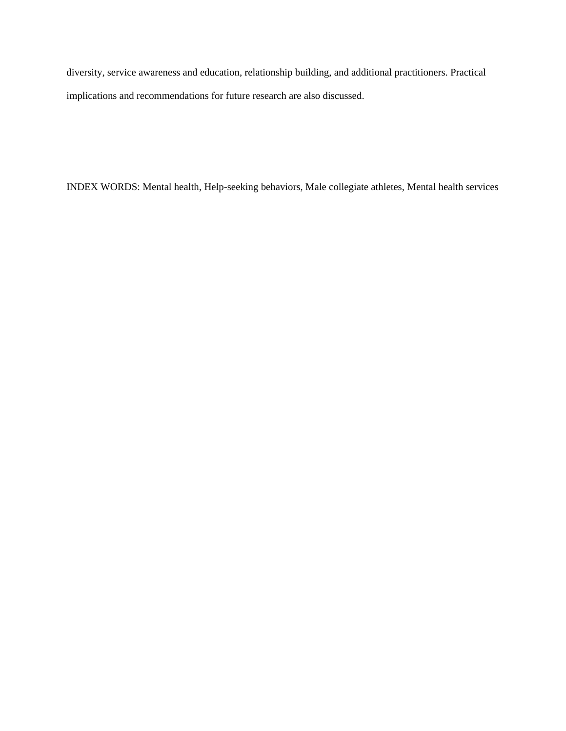diversity, service awareness and education, relationship building, and additional practitioners. Practical implications and recommendations for future research are also discussed.

INDEX WORDS: Mental health, Help-seeking behaviors, Male collegiate athletes, Mental health services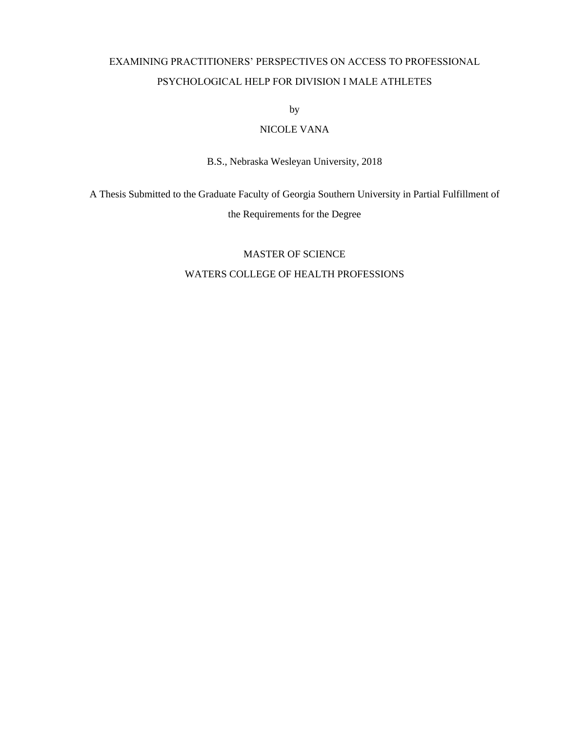## EXAMINING PRACTITIONERS' PERSPECTIVES ON ACCESS TO PROFESSIONAL PSYCHOLOGICAL HELP FOR DIVISION I MALE ATHLETES

by

## NICOLE VANA

B.S., Nebraska Wesleyan University, 2018

A Thesis Submitted to the Graduate Faculty of Georgia Southern University in Partial Fulfillment of the Requirements for the Degree

## MASTER OF SCIENCE WATERS COLLEGE OF HEALTH PROFESSIONS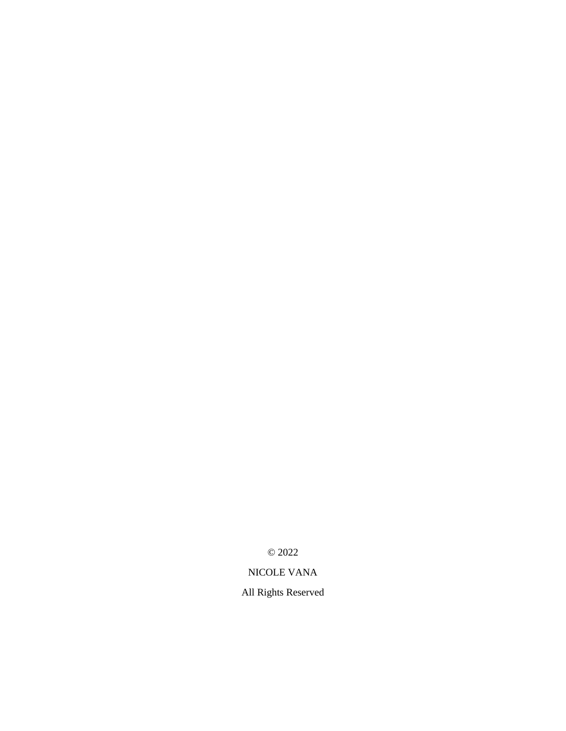© 2022

## NICOLE VANA

All Rights Reserved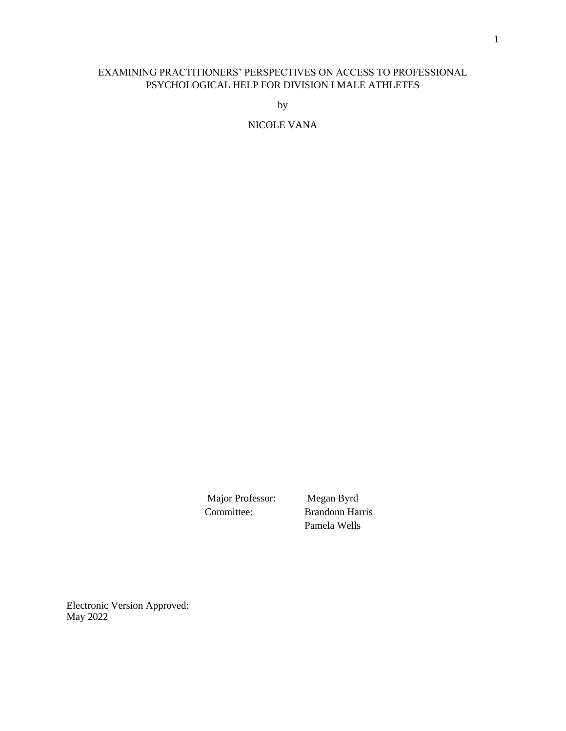### EXAMINING PRACTITIONERS' PERSPECTIVES ON ACCESS TO PROFESSIONAL PSYCHOLOGICAL HELP FOR DIVISION I MALE ATHLETES

by

NICOLE VANA

Major Professor: Megan Byrd

 Committee: Brandonn Harris Pamela Wells

Electronic Version Approved: May 2022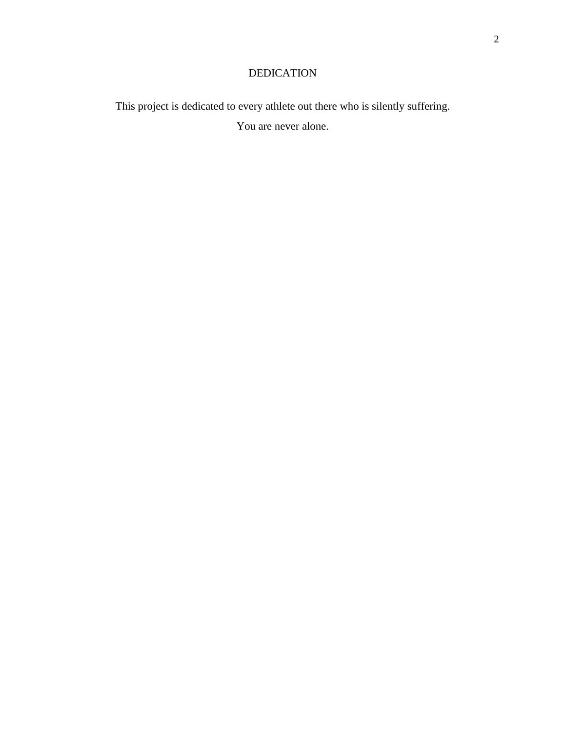## DEDICATION

This project is dedicated to every athlete out there who is silently suffering.

You are never alone.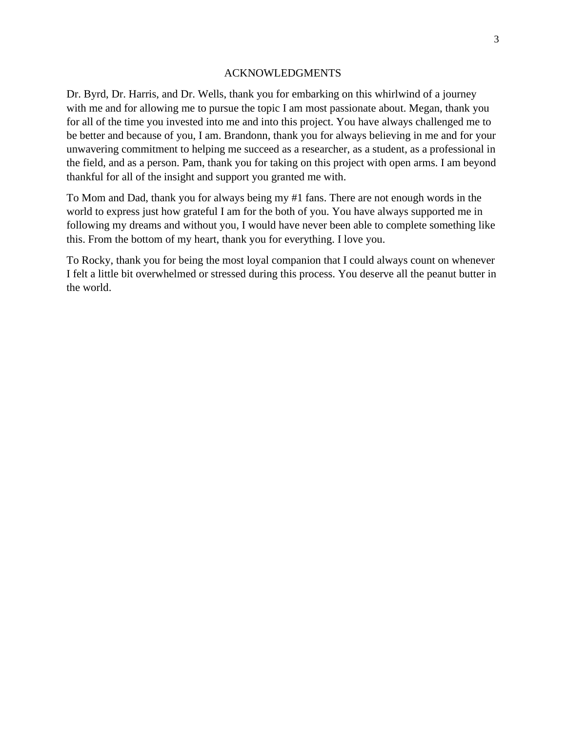#### ACKNOWLEDGMENTS

Dr. Byrd, Dr. Harris, and Dr. Wells, thank you for embarking on this whirlwind of a journey with me and for allowing me to pursue the topic I am most passionate about. Megan, thank you for all of the time you invested into me and into this project. You have always challenged me to be better and because of you, I am. Brandonn, thank you for always believing in me and for your unwavering commitment to helping me succeed as a researcher, as a student, as a professional in the field, and as a person. Pam, thank you for taking on this project with open arms. I am beyond thankful for all of the insight and support you granted me with.

To Mom and Dad, thank you for always being my #1 fans. There are not enough words in the world to express just how grateful I am for the both of you. You have always supported me in following my dreams and without you, I would have never been able to complete something like this. From the bottom of my heart, thank you for everything. I love you.

To Rocky, thank you for being the most loyal companion that I could always count on whenever I felt a little bit overwhelmed or stressed during this process. You deserve all the peanut butter in the world.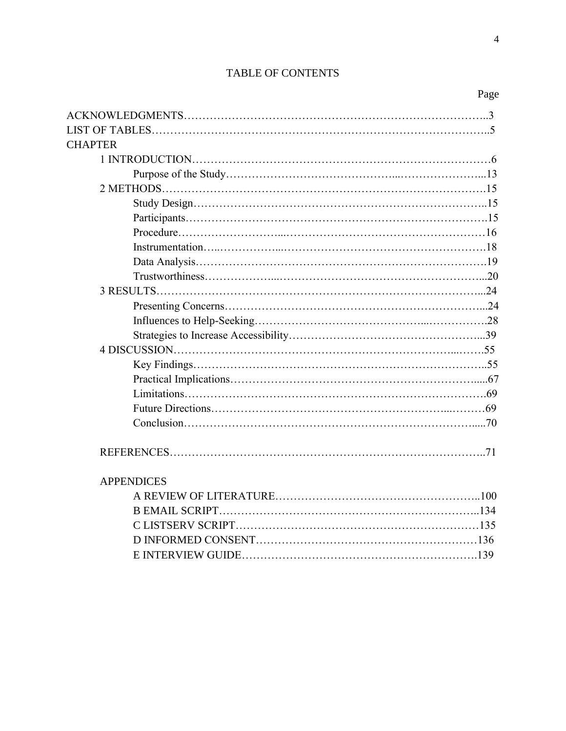## TABLE OF CONTENTS

|                   | Page |
|-------------------|------|
|                   |      |
|                   |      |
| <b>CHAPTER</b>    |      |
|                   |      |
|                   |      |
|                   |      |
|                   |      |
|                   |      |
|                   |      |
|                   |      |
|                   |      |
|                   |      |
|                   |      |
|                   |      |
|                   |      |
|                   |      |
|                   |      |
|                   |      |
|                   |      |
|                   |      |
|                   |      |
|                   |      |
|                   |      |
| <b>APPENDICES</b> |      |
|                   |      |
|                   |      |
|                   |      |
|                   |      |
|                   |      |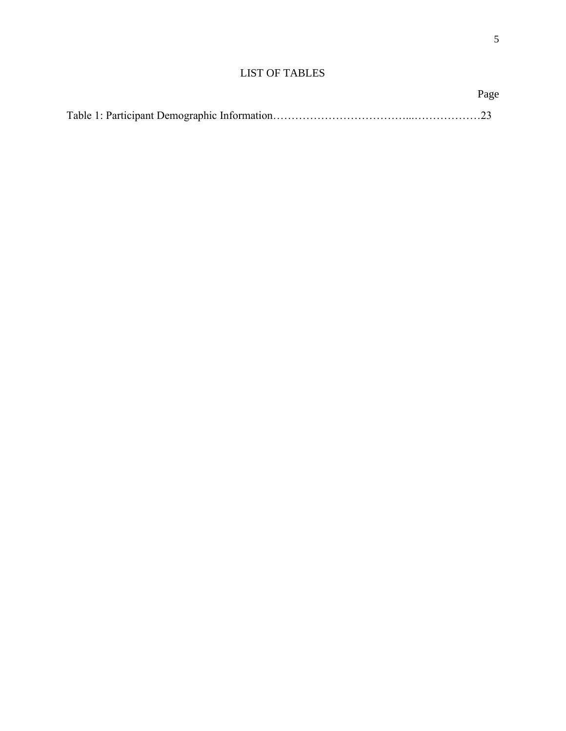## LIST OF TABLES

| Page |
|------|
|      |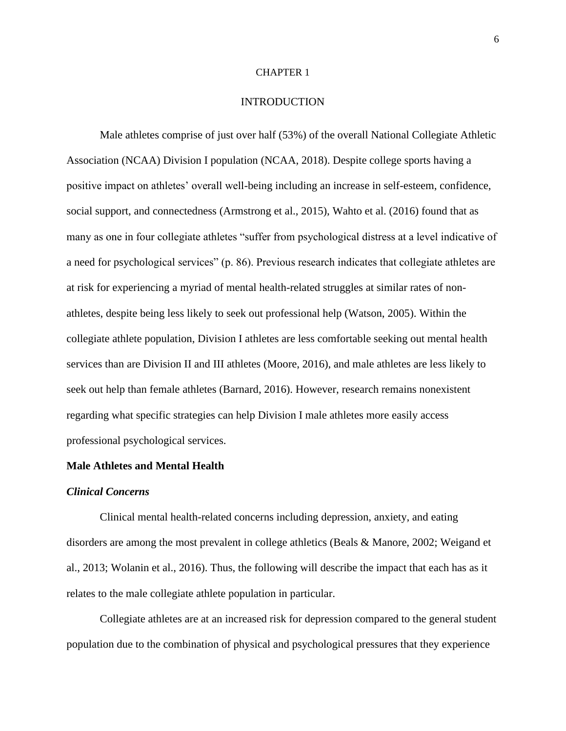#### CHAPTER 1

#### INTRODUCTION

Male athletes comprise of just over half (53%) of the overall National Collegiate Athletic Association (NCAA) Division I population (NCAA, 2018). Despite college sports having a positive impact on athletes' overall well-being including an increase in self-esteem, confidence, social support, and connectedness (Armstrong et al., 2015), Wahto et al. (2016) found that as many as one in four collegiate athletes "suffer from psychological distress at a level indicative of a need for psychological services" (p. 86). Previous research indicates that collegiate athletes are at risk for experiencing a myriad of mental health-related struggles at similar rates of nonathletes, despite being less likely to seek out professional help (Watson, 2005). Within the collegiate athlete population, Division I athletes are less comfortable seeking out mental health services than are Division II and III athletes (Moore, 2016), and male athletes are less likely to seek out help than female athletes (Barnard, 2016). However, research remains nonexistent regarding what specific strategies can help Division I male athletes more easily access professional psychological services.

#### **Male Athletes and Mental Health**

#### *Clinical Concerns*

Clinical mental health-related concerns including depression, anxiety, and eating disorders are among the most prevalent in college athletics (Beals & Manore, 2002; Weigand et al., 2013; Wolanin et al., 2016). Thus, the following will describe the impact that each has as it relates to the male collegiate athlete population in particular.

Collegiate athletes are at an increased risk for depression compared to the general student population due to the combination of physical and psychological pressures that they experience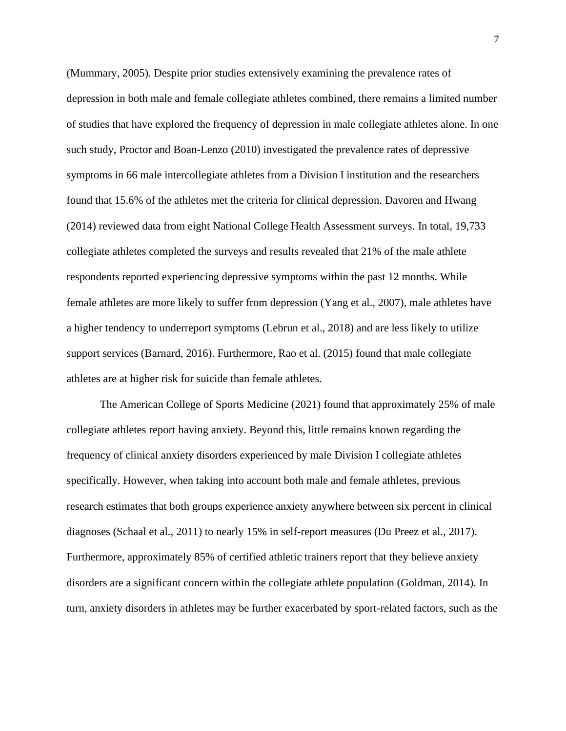(Mummary, 2005). Despite prior studies extensively examining the prevalence rates of depression in both male and female collegiate athletes combined, there remains a limited number of studies that have explored the frequency of depression in male collegiate athletes alone. In one such study, Proctor and Boan-Lenzo (2010) investigated the prevalence rates of depressive symptoms in 66 male intercollegiate athletes from a Division I institution and the researchers found that 15.6% of the athletes met the criteria for clinical depression. Davoren and Hwang (2014) reviewed data from eight National College Health Assessment surveys. In total, 19,733 collegiate athletes completed the surveys and results revealed that 21% of the male athlete respondents reported experiencing depressive symptoms within the past 12 months. While female athletes are more likely to suffer from depression (Yang et al., 2007), male athletes have a higher tendency to underreport symptoms (Lebrun et al., 2018) and are less likely to utilize support services (Barnard, 2016). Furthermore, Rao et al. (2015) found that male collegiate athletes are at higher risk for suicide than female athletes.

The American College of Sports Medicine (2021) found that approximately 25% of male collegiate athletes report having anxiety. Beyond this, little remains known regarding the frequency of clinical anxiety disorders experienced by male Division I collegiate athletes specifically. However, when taking into account both male and female athletes, previous research estimates that both groups experience anxiety anywhere between six percent in clinical diagnoses (Schaal et al., 2011) to nearly 15% in self-report measures (Du Preez et al., 2017). Furthermore, approximately 85% of certified athletic trainers report that they believe anxiety disorders are a significant concern within the collegiate athlete population (Goldman, 2014). In turn, anxiety disorders in athletes may be further exacerbated by sport-related factors, such as the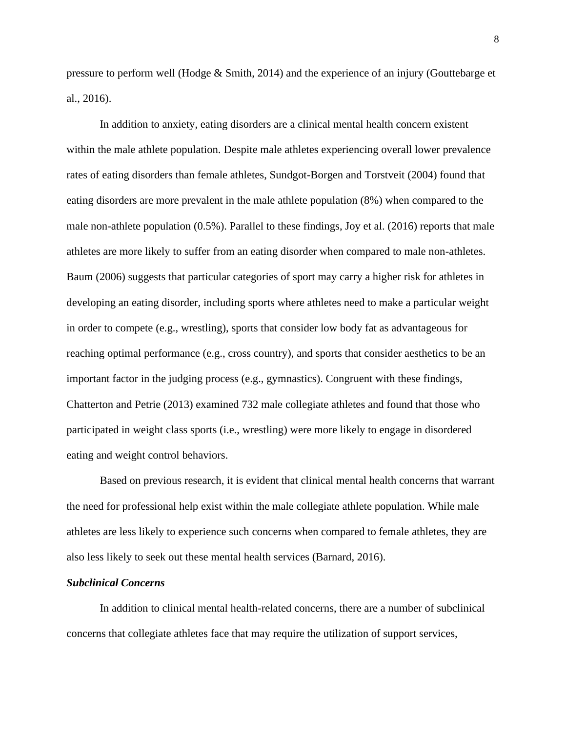pressure to perform well (Hodge & Smith, 2014) and the experience of an injury (Gouttebarge et al., 2016).

In addition to anxiety, eating disorders are a clinical mental health concern existent within the male athlete population. Despite male athletes experiencing overall lower prevalence rates of eating disorders than female athletes, Sundgot-Borgen and Torstveit (2004) found that eating disorders are more prevalent in the male athlete population (8%) when compared to the male non-athlete population  $(0.5\%)$ . Parallel to these findings, Joy et al.  $(2016)$  reports that male athletes are more likely to suffer from an eating disorder when compared to male non-athletes. Baum (2006) suggests that particular categories of sport may carry a higher risk for athletes in developing an eating disorder, including sports where athletes need to make a particular weight in order to compete (e.g., wrestling), sports that consider low body fat as advantageous for reaching optimal performance (e.g., cross country), and sports that consider aesthetics to be an important factor in the judging process (e.g., gymnastics). Congruent with these findings, Chatterton and Petrie (2013) examined 732 male collegiate athletes and found that those who participated in weight class sports (i.e., wrestling) were more likely to engage in disordered eating and weight control behaviors.

Based on previous research, it is evident that clinical mental health concerns that warrant the need for professional help exist within the male collegiate athlete population. While male athletes are less likely to experience such concerns when compared to female athletes, they are also less likely to seek out these mental health services (Barnard, 2016).

#### *Subclinical Concerns*

In addition to clinical mental health-related concerns, there are a number of subclinical concerns that collegiate athletes face that may require the utilization of support services,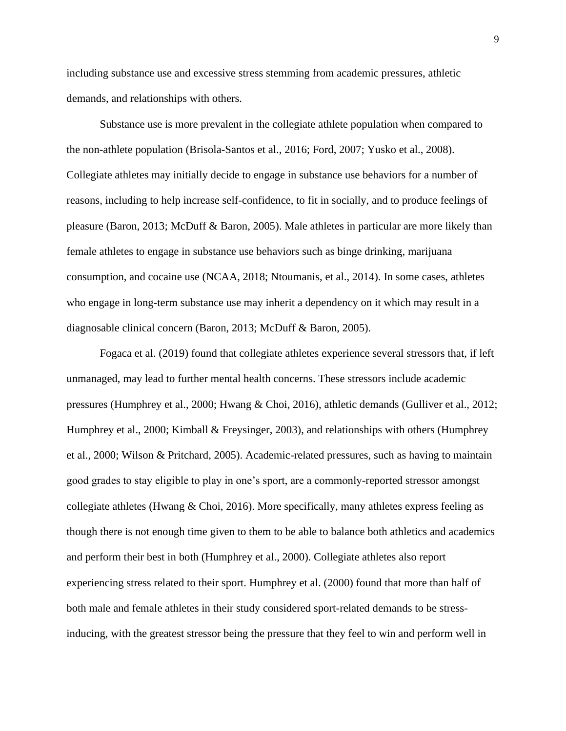including substance use and excessive stress stemming from academic pressures, athletic demands, and relationships with others.

Substance use is more prevalent in the collegiate athlete population when compared to the non-athlete population (Brisola-Santos et al., 2016; Ford, 2007; Yusko et al., 2008). Collegiate athletes may initially decide to engage in substance use behaviors for a number of reasons, including to help increase self-confidence, to fit in socially, and to produce feelings of pleasure (Baron, 2013; McDuff & Baron, 2005). Male athletes in particular are more likely than female athletes to engage in substance use behaviors such as binge drinking, marijuana consumption, and cocaine use (NCAA, 2018; Ntoumanis, et al., 2014). In some cases, athletes who engage in long-term substance use may inherit a dependency on it which may result in a diagnosable clinical concern (Baron, 2013; McDuff & Baron, 2005).

Fogaca et al. (2019) found that collegiate athletes experience several stressors that, if left unmanaged, may lead to further mental health concerns. These stressors include academic pressures (Humphrey et al., 2000; Hwang & Choi, 2016), athletic demands (Gulliver et al., 2012; Humphrey et al., 2000; Kimball & Freysinger, 2003), and relationships with others (Humphrey et al., 2000; Wilson & Pritchard, 2005). Academic-related pressures, such as having to maintain good grades to stay eligible to play in one's sport, are a commonly-reported stressor amongst collegiate athletes (Hwang  $& Choi, 2016$ ). More specifically, many athletes express feeling as though there is not enough time given to them to be able to balance both athletics and academics and perform their best in both (Humphrey et al., 2000). Collegiate athletes also report experiencing stress related to their sport. Humphrey et al. (2000) found that more than half of both male and female athletes in their study considered sport-related demands to be stressinducing, with the greatest stressor being the pressure that they feel to win and perform well in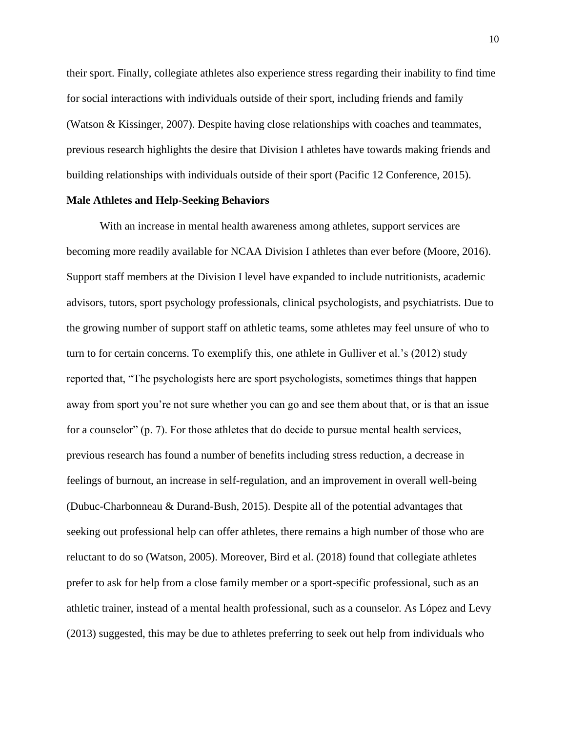their sport. Finally, collegiate athletes also experience stress regarding their inability to find time for social interactions with individuals outside of their sport, including friends and family (Watson & Kissinger, 2007). Despite having close relationships with coaches and teammates, previous research highlights the desire that Division I athletes have towards making friends and building relationships with individuals outside of their sport (Pacific 12 Conference, 2015).

#### **Male Athletes and Help-Seeking Behaviors**

With an increase in mental health awareness among athletes, support services are becoming more readily available for NCAA Division I athletes than ever before (Moore, 2016). Support staff members at the Division I level have expanded to include nutritionists, academic advisors, tutors, sport psychology professionals, clinical psychologists, and psychiatrists. Due to the growing number of support staff on athletic teams, some athletes may feel unsure of who to turn to for certain concerns. To exemplify this, one athlete in Gulliver et al.'s (2012) study reported that, "The psychologists here are sport psychologists, sometimes things that happen away from sport you're not sure whether you can go and see them about that, or is that an issue for a counselor" (p. 7). For those athletes that do decide to pursue mental health services, previous research has found a number of benefits including stress reduction, a decrease in feelings of burnout, an increase in self-regulation, and an improvement in overall well-being (Dubuc-Charbonneau & Durand-Bush, 2015). Despite all of the potential advantages that seeking out professional help can offer athletes, there remains a high number of those who are reluctant to do so (Watson, 2005). Moreover, Bird et al. (2018) found that collegiate athletes prefer to ask for help from a close family member or a sport-specific professional, such as an athletic trainer, instead of a mental health professional, such as a counselor. As López and Levy (2013) suggested, this may be due to athletes preferring to seek out help from individuals who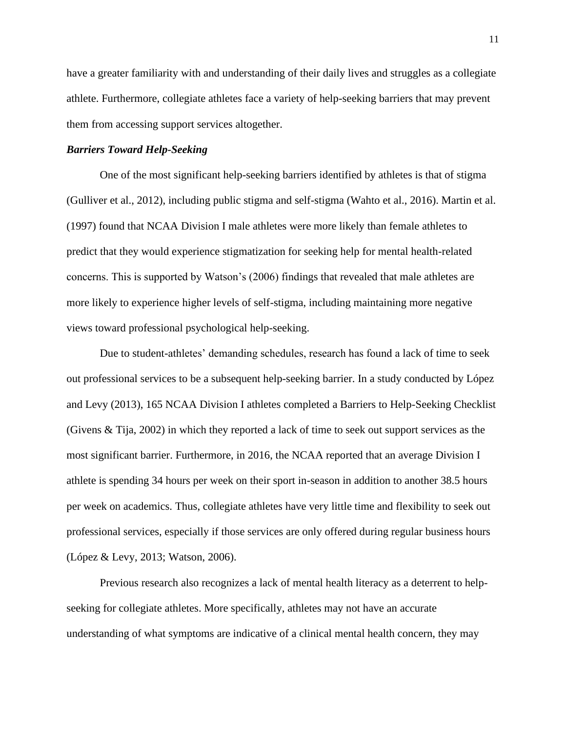have a greater familiarity with and understanding of their daily lives and struggles as a collegiate athlete. Furthermore, collegiate athletes face a variety of help-seeking barriers that may prevent them from accessing support services altogether.

#### *Barriers Toward Help-Seeking*

One of the most significant help-seeking barriers identified by athletes is that of stigma (Gulliver et al., 2012), including public stigma and self-stigma (Wahto et al., 2016). Martin et al. (1997) found that NCAA Division I male athletes were more likely than female athletes to predict that they would experience stigmatization for seeking help for mental health-related concerns. This is supported by Watson's (2006) findings that revealed that male athletes are more likely to experience higher levels of self-stigma, including maintaining more negative views toward professional psychological help-seeking.

Due to student-athletes' demanding schedules, research has found a lack of time to seek out professional services to be a subsequent help-seeking barrier. In a study conducted by López and Levy (2013), 165 NCAA Division I athletes completed a Barriers to Help-Seeking Checklist (Givens & Tija, 2002) in which they reported a lack of time to seek out support services as the most significant barrier. Furthermore, in 2016, the NCAA reported that an average Division I athlete is spending 34 hours per week on their sport in-season in addition to another 38.5 hours per week on academics. Thus, collegiate athletes have very little time and flexibility to seek out professional services, especially if those services are only offered during regular business hours (López & Levy, 2013; Watson, 2006).

Previous research also recognizes a lack of mental health literacy as a deterrent to helpseeking for collegiate athletes. More specifically, athletes may not have an accurate understanding of what symptoms are indicative of a clinical mental health concern, they may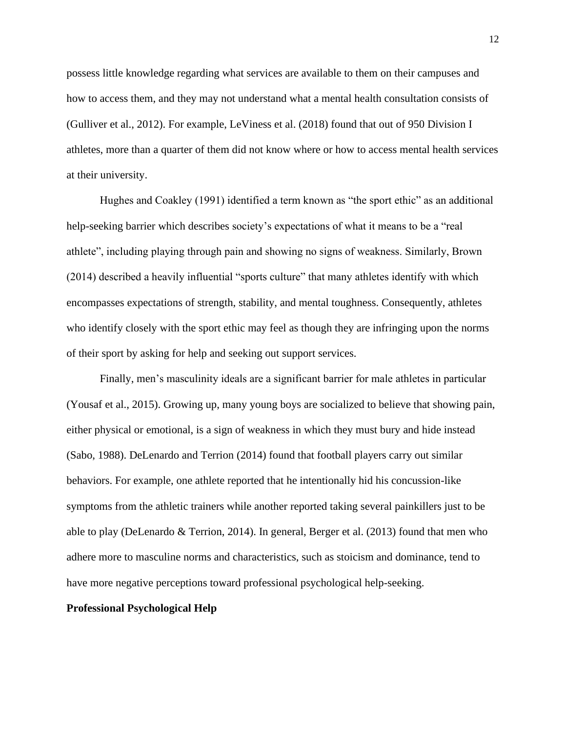possess little knowledge regarding what services are available to them on their campuses and how to access them, and they may not understand what a mental health consultation consists of (Gulliver et al., 2012). For example, LeViness et al. (2018) found that out of 950 Division I athletes, more than a quarter of them did not know where or how to access mental health services at their university.

Hughes and Coakley (1991) identified a term known as "the sport ethic" as an additional help-seeking barrier which describes society's expectations of what it means to be a "real athlete", including playing through pain and showing no signs of weakness. Similarly, Brown (2014) described a heavily influential "sports culture" that many athletes identify with which encompasses expectations of strength, stability, and mental toughness. Consequently, athletes who identify closely with the sport ethic may feel as though they are infringing upon the norms of their sport by asking for help and seeking out support services.

Finally, men's masculinity ideals are a significant barrier for male athletes in particular (Yousaf et al., 2015). Growing up, many young boys are socialized to believe that showing pain, either physical or emotional, is a sign of weakness in which they must bury and hide instead (Sabo, 1988). DeLenardo and Terrion (2014) found that football players carry out similar behaviors. For example, one athlete reported that he intentionally hid his concussion-like symptoms from the athletic trainers while another reported taking several painkillers just to be able to play (DeLenardo & Terrion, 2014). In general, Berger et al. (2013) found that men who adhere more to masculine norms and characteristics, such as stoicism and dominance, tend to have more negative perceptions toward professional psychological help-seeking.

#### **Professional Psychological Help**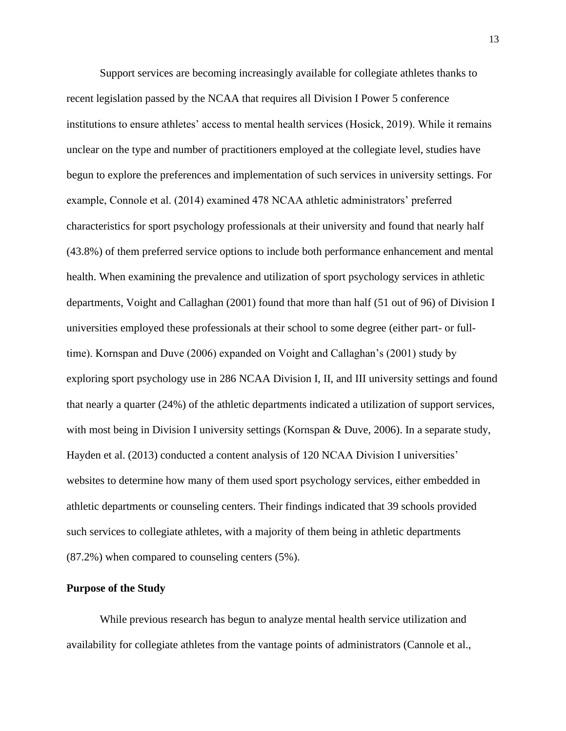Support services are becoming increasingly available for collegiate athletes thanks to recent legislation passed by the NCAA that requires all Division I Power 5 conference institutions to ensure athletes' access to mental health services (Hosick, 2019). While it remains unclear on the type and number of practitioners employed at the collegiate level, studies have begun to explore the preferences and implementation of such services in university settings. For example, Connole et al. (2014) examined 478 NCAA athletic administrators' preferred characteristics for sport psychology professionals at their university and found that nearly half (43.8%) of them preferred service options to include both performance enhancement and mental health. When examining the prevalence and utilization of sport psychology services in athletic departments, Voight and Callaghan (2001) found that more than half (51 out of 96) of Division I universities employed these professionals at their school to some degree (either part- or fulltime). Kornspan and Duve (2006) expanded on Voight and Callaghan's (2001) study by exploring sport psychology use in 286 NCAA Division I, II, and III university settings and found that nearly a quarter (24%) of the athletic departments indicated a utilization of support services, with most being in Division I university settings (Kornspan & Duve, 2006). In a separate study, Hayden et al. (2013) conducted a content analysis of 120 NCAA Division I universities' websites to determine how many of them used sport psychology services, either embedded in athletic departments or counseling centers. Their findings indicated that 39 schools provided such services to collegiate athletes, with a majority of them being in athletic departments (87.2%) when compared to counseling centers (5%).

#### **Purpose of the Study**

While previous research has begun to analyze mental health service utilization and availability for collegiate athletes from the vantage points of administrators (Cannole et al.,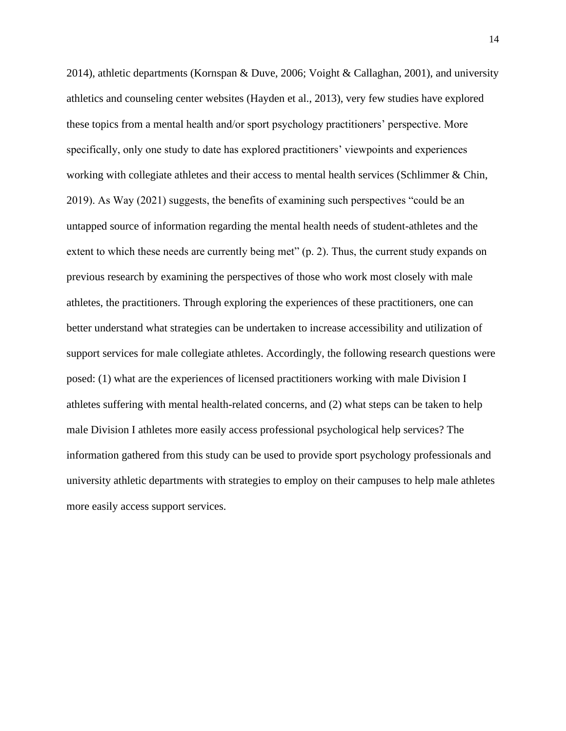2014), athletic departments (Kornspan & Duve, 2006; Voight & Callaghan, 2001), and university athletics and counseling center websites (Hayden et al., 2013), very few studies have explored these topics from a mental health and/or sport psychology practitioners' perspective. More specifically, only one study to date has explored practitioners' viewpoints and experiences working with collegiate athletes and their access to mental health services (Schlimmer & Chin, 2019). As Way (2021) suggests, the benefits of examining such perspectives "could be an untapped source of information regarding the mental health needs of student-athletes and the extent to which these needs are currently being met" (p. 2). Thus, the current study expands on previous research by examining the perspectives of those who work most closely with male athletes, the practitioners. Through exploring the experiences of these practitioners, one can better understand what strategies can be undertaken to increase accessibility and utilization of support services for male collegiate athletes. Accordingly, the following research questions were posed: (1) what are the experiences of licensed practitioners working with male Division I athletes suffering with mental health-related concerns, and (2) what steps can be taken to help male Division I athletes more easily access professional psychological help services? The information gathered from this study can be used to provide sport psychology professionals and university athletic departments with strategies to employ on their campuses to help male athletes more easily access support services.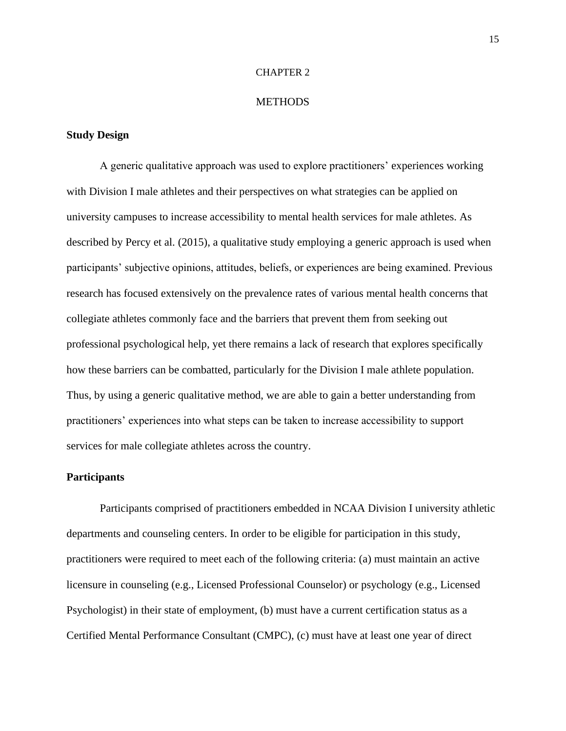#### CHAPTER 2

#### **METHODS**

#### **Study Design**

A generic qualitative approach was used to explore practitioners' experiences working with Division I male athletes and their perspectives on what strategies can be applied on university campuses to increase accessibility to mental health services for male athletes. As described by Percy et al. (2015), a qualitative study employing a generic approach is used when participants' subjective opinions, attitudes, beliefs, or experiences are being examined. Previous research has focused extensively on the prevalence rates of various mental health concerns that collegiate athletes commonly face and the barriers that prevent them from seeking out professional psychological help, yet there remains a lack of research that explores specifically how these barriers can be combatted, particularly for the Division I male athlete population. Thus, by using a generic qualitative method, we are able to gain a better understanding from practitioners' experiences into what steps can be taken to increase accessibility to support services for male collegiate athletes across the country.

#### **Participants**

Participants comprised of practitioners embedded in NCAA Division I university athletic departments and counseling centers. In order to be eligible for participation in this study, practitioners were required to meet each of the following criteria: (a) must maintain an active licensure in counseling (e.g., Licensed Professional Counselor) or psychology (e.g., Licensed Psychologist) in their state of employment, (b) must have a current certification status as a Certified Mental Performance Consultant (CMPC), (c) must have at least one year of direct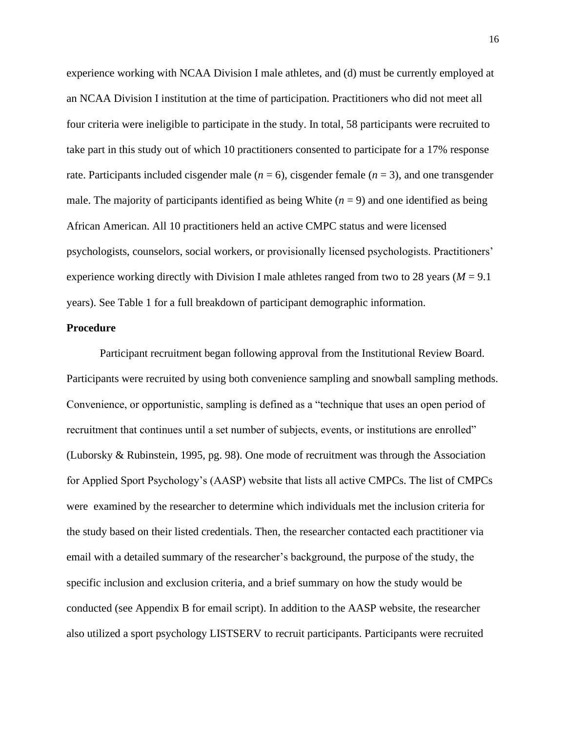experience working with NCAA Division I male athletes, and (d) must be currently employed at an NCAA Division I institution at the time of participation. Practitioners who did not meet all four criteria were ineligible to participate in the study. In total, 58 participants were recruited to take part in this study out of which 10 practitioners consented to participate for a 17% response rate. Participants included cisgender male  $(n = 6)$ , cisgender female  $(n = 3)$ , and one transgender male. The majority of participants identified as being White  $(n = 9)$  and one identified as being African American. All 10 practitioners held an active CMPC status and were licensed psychologists, counselors, social workers, or provisionally licensed psychologists. Practitioners' experience working directly with Division I male athletes ranged from two to 28 years ( $M = 9.1$ ) years). See Table 1 for a full breakdown of participant demographic information.

#### **Procedure**

Participant recruitment began following approval from the Institutional Review Board. Participants were recruited by using both convenience sampling and snowball sampling methods. Convenience, or opportunistic, sampling is defined as a "technique that uses an open period of recruitment that continues until a set number of subjects, events, or institutions are enrolled" (Luborsky & Rubinstein, 1995, pg. 98). One mode of recruitment was through the Association for Applied Sport Psychology's (AASP) website that lists all active CMPCs. The list of CMPCs were examined by the researcher to determine which individuals met the inclusion criteria for the study based on their listed credentials. Then, the researcher contacted each practitioner via email with a detailed summary of the researcher's background, the purpose of the study, the specific inclusion and exclusion criteria, and a brief summary on how the study would be conducted (see Appendix B for email script). In addition to the AASP website, the researcher also utilized a sport psychology LISTSERV to recruit participants. Participants were recruited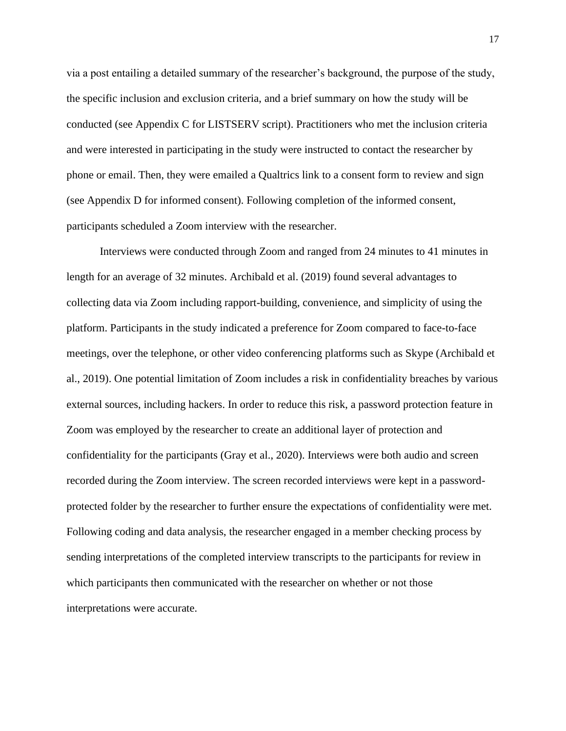via a post entailing a detailed summary of the researcher's background, the purpose of the study, the specific inclusion and exclusion criteria, and a brief summary on how the study will be conducted (see Appendix C for LISTSERV script). Practitioners who met the inclusion criteria and were interested in participating in the study were instructed to contact the researcher by phone or email. Then, they were emailed a Qualtrics link to a consent form to review and sign (see Appendix D for informed consent). Following completion of the informed consent, participants scheduled a Zoom interview with the researcher.

Interviews were conducted through Zoom and ranged from 24 minutes to 41 minutes in length for an average of 32 minutes. Archibald et al. (2019) found several advantages to collecting data via Zoom including rapport-building, convenience, and simplicity of using the platform. Participants in the study indicated a preference for Zoom compared to face-to-face meetings, over the telephone, or other video conferencing platforms such as Skype (Archibald et al., 2019). One potential limitation of Zoom includes a risk in confidentiality breaches by various external sources, including hackers. In order to reduce this risk, a password protection feature in Zoom was employed by the researcher to create an additional layer of protection and confidentiality for the participants (Gray et al., 2020). Interviews were both audio and screen recorded during the Zoom interview. The screen recorded interviews were kept in a passwordprotected folder by the researcher to further ensure the expectations of confidentiality were met. Following coding and data analysis, the researcher engaged in a member checking process by sending interpretations of the completed interview transcripts to the participants for review in which participants then communicated with the researcher on whether or not those interpretations were accurate.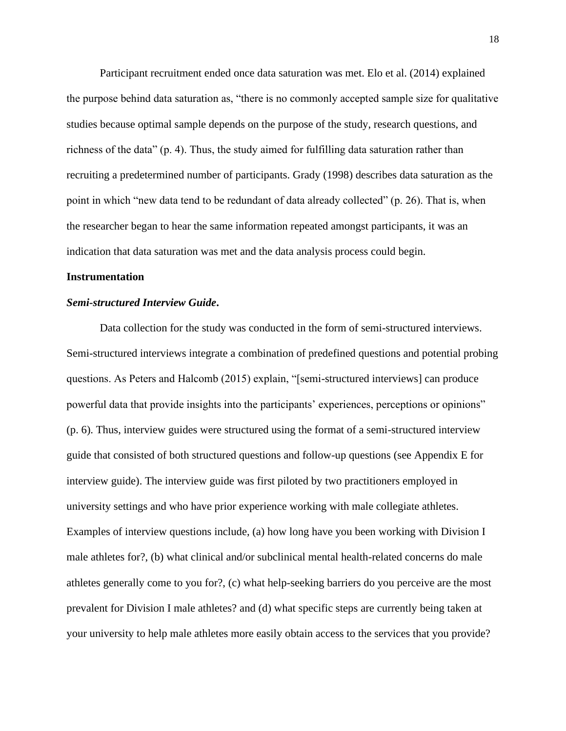Participant recruitment ended once data saturation was met. Elo et al. (2014) explained the purpose behind data saturation as, "there is no commonly accepted sample size for qualitative studies because optimal sample depends on the purpose of the study, research questions, and richness of the data" (p. 4). Thus, the study aimed for fulfilling data saturation rather than recruiting a predetermined number of participants. Grady (1998) describes data saturation as the point in which "new data tend to be redundant of data already collected" (p. 26). That is, when the researcher began to hear the same information repeated amongst participants, it was an indication that data saturation was met and the data analysis process could begin.

#### **Instrumentation**

#### *Semi-structured Interview Guide***.**

Data collection for the study was conducted in the form of semi-structured interviews. Semi-structured interviews integrate a combination of predefined questions and potential probing questions. As Peters and Halcomb (2015) explain, "[semi-structured interviews] can produce powerful data that provide insights into the participants' experiences, perceptions or opinions" (p. 6). Thus, interview guides were structured using the format of a semi-structured interview guide that consisted of both structured questions and follow-up questions (see Appendix E for interview guide). The interview guide was first piloted by two practitioners employed in university settings and who have prior experience working with male collegiate athletes. Examples of interview questions include, (a) how long have you been working with Division I male athletes for?, (b) what clinical and/or subclinical mental health-related concerns do male athletes generally come to you for?, (c) what help-seeking barriers do you perceive are the most prevalent for Division I male athletes? and (d) what specific steps are currently being taken at your university to help male athletes more easily obtain access to the services that you provide?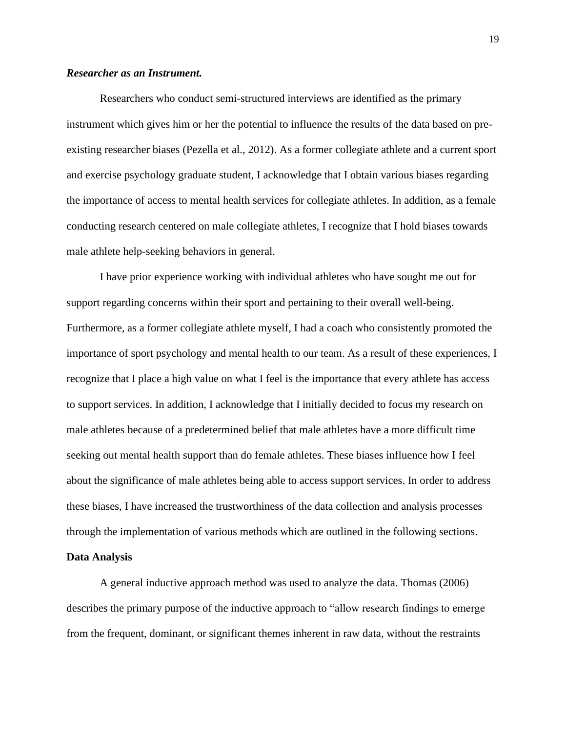#### *Researcher as an Instrument.*

Researchers who conduct semi-structured interviews are identified as the primary instrument which gives him or her the potential to influence the results of the data based on preexisting researcher biases (Pezella et al., 2012). As a former collegiate athlete and a current sport and exercise psychology graduate student, I acknowledge that I obtain various biases regarding the importance of access to mental health services for collegiate athletes. In addition, as a female conducting research centered on male collegiate athletes, I recognize that I hold biases towards male athlete help-seeking behaviors in general.

I have prior experience working with individual athletes who have sought me out for support regarding concerns within their sport and pertaining to their overall well-being. Furthermore, as a former collegiate athlete myself, I had a coach who consistently promoted the importance of sport psychology and mental health to our team. As a result of these experiences, I recognize that I place a high value on what I feel is the importance that every athlete has access to support services. In addition, I acknowledge that I initially decided to focus my research on male athletes because of a predetermined belief that male athletes have a more difficult time seeking out mental health support than do female athletes. These biases influence how I feel about the significance of male athletes being able to access support services. In order to address these biases, I have increased the trustworthiness of the data collection and analysis processes through the implementation of various methods which are outlined in the following sections.

#### **Data Analysis**

A general inductive approach method was used to analyze the data. Thomas (2006) describes the primary purpose of the inductive approach to "allow research findings to emerge from the frequent, dominant, or significant themes inherent in raw data, without the restraints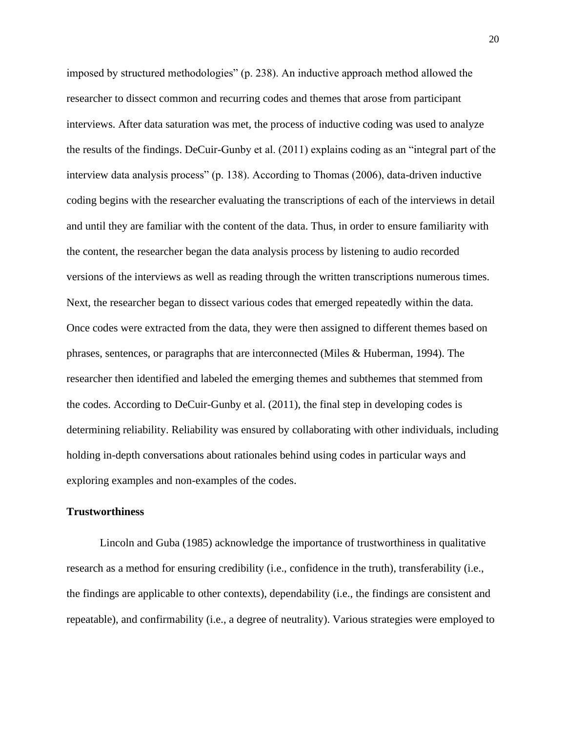imposed by structured methodologies" (p. 238). An inductive approach method allowed the researcher to dissect common and recurring codes and themes that arose from participant interviews. After data saturation was met, the process of inductive coding was used to analyze the results of the findings. DeCuir-Gunby et al. (2011) explains coding as an "integral part of the interview data analysis process" (p. 138). According to Thomas (2006), data-driven inductive coding begins with the researcher evaluating the transcriptions of each of the interviews in detail and until they are familiar with the content of the data. Thus, in order to ensure familiarity with the content, the researcher began the data analysis process by listening to audio recorded versions of the interviews as well as reading through the written transcriptions numerous times. Next, the researcher began to dissect various codes that emerged repeatedly within the data. Once codes were extracted from the data, they were then assigned to different themes based on phrases, sentences, or paragraphs that are interconnected (Miles & Huberman, 1994). The researcher then identified and labeled the emerging themes and subthemes that stemmed from the codes. According to DeCuir-Gunby et al. (2011), the final step in developing codes is determining reliability. Reliability was ensured by collaborating with other individuals, including holding in-depth conversations about rationales behind using codes in particular ways and exploring examples and non-examples of the codes.

#### **Trustworthiness**

Lincoln and Guba (1985) acknowledge the importance of trustworthiness in qualitative research as a method for ensuring credibility (i.e., confidence in the truth), transferability (i.e., the findings are applicable to other contexts), dependability (i.e., the findings are consistent and repeatable), and confirmability (i.e., a degree of neutrality). Various strategies were employed to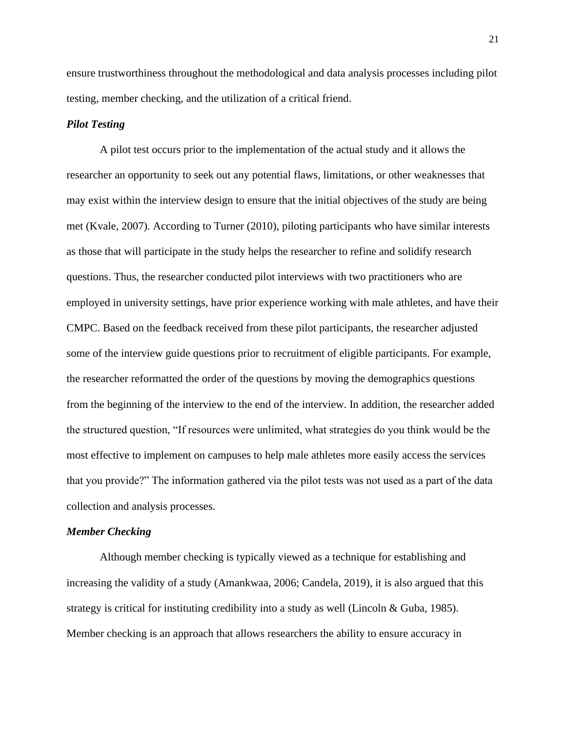ensure trustworthiness throughout the methodological and data analysis processes including pilot testing, member checking, and the utilization of a critical friend.

#### *Pilot Testing*

A pilot test occurs prior to the implementation of the actual study and it allows the researcher an opportunity to seek out any potential flaws, limitations, or other weaknesses that may exist within the interview design to ensure that the initial objectives of the study are being met (Kvale, 2007). According to Turner (2010), piloting participants who have similar interests as those that will participate in the study helps the researcher to refine and solidify research questions. Thus, the researcher conducted pilot interviews with two practitioners who are employed in university settings, have prior experience working with male athletes, and have their CMPC. Based on the feedback received from these pilot participants, the researcher adjusted some of the interview guide questions prior to recruitment of eligible participants. For example, the researcher reformatted the order of the questions by moving the demographics questions from the beginning of the interview to the end of the interview. In addition, the researcher added the structured question, "If resources were unlimited, what strategies do you think would be the most effective to implement on campuses to help male athletes more easily access the services that you provide?" The information gathered via the pilot tests was not used as a part of the data collection and analysis processes.

#### *Member Checking*

Although member checking is typically viewed as a technique for establishing and increasing the validity of a study (Amankwaa, 2006; Candela, 2019), it is also argued that this strategy is critical for instituting credibility into a study as well (Lincoln & Guba, 1985). Member checking is an approach that allows researchers the ability to ensure accuracy in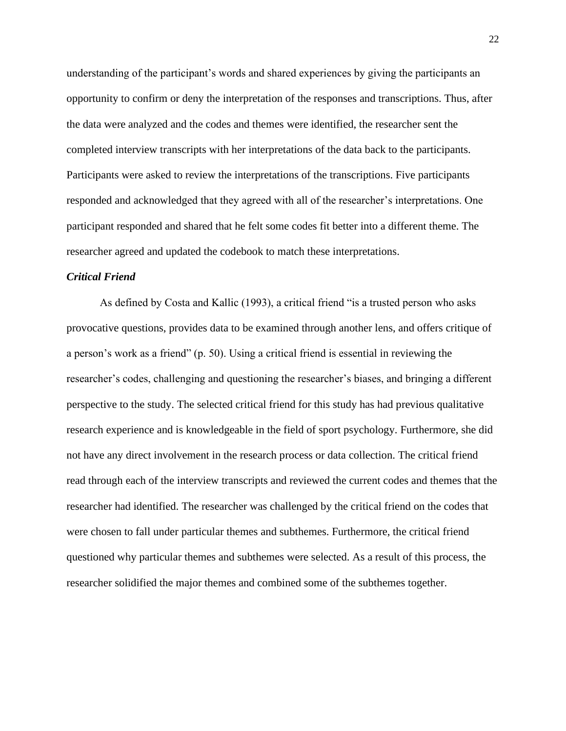understanding of the participant's words and shared experiences by giving the participants an opportunity to confirm or deny the interpretation of the responses and transcriptions. Thus, after the data were analyzed and the codes and themes were identified, the researcher sent the completed interview transcripts with her interpretations of the data back to the participants. Participants were asked to review the interpretations of the transcriptions. Five participants responded and acknowledged that they agreed with all of the researcher's interpretations. One participant responded and shared that he felt some codes fit better into a different theme. The researcher agreed and updated the codebook to match these interpretations.

#### *Critical Friend*

As defined by Costa and Kallic (1993), a critical friend "is a trusted person who asks provocative questions, provides data to be examined through another lens, and offers critique of a person's work as a friend" (p. 50). Using a critical friend is essential in reviewing the researcher's codes, challenging and questioning the researcher's biases, and bringing a different perspective to the study. The selected critical friend for this study has had previous qualitative research experience and is knowledgeable in the field of sport psychology. Furthermore, she did not have any direct involvement in the research process or data collection. The critical friend read through each of the interview transcripts and reviewed the current codes and themes that the researcher had identified. The researcher was challenged by the critical friend on the codes that were chosen to fall under particular themes and subthemes. Furthermore, the critical friend questioned why particular themes and subthemes were selected. As a result of this process, the researcher solidified the major themes and combined some of the subthemes together.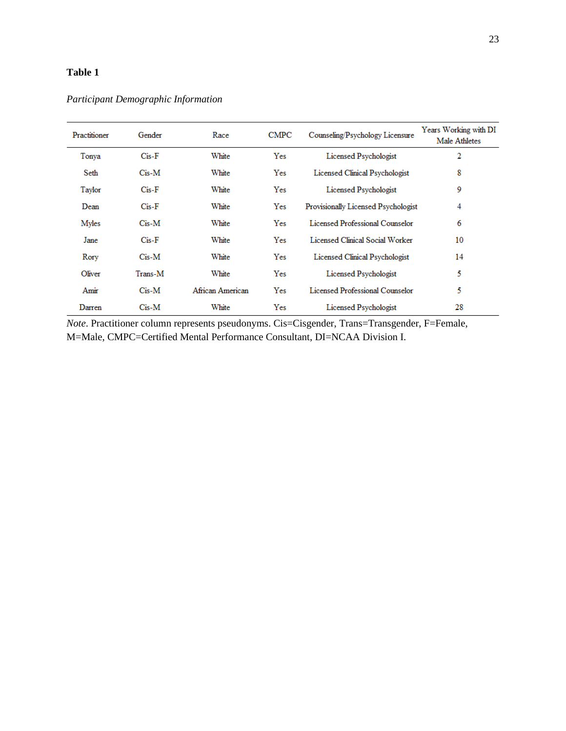## **Table 1**

| Practitioner | Gender      | Race             | <b>CMPC</b> | Counseling/Psychology Licensure        | Years Working with DI<br>Male Athletes |
|--------------|-------------|------------------|-------------|----------------------------------------|----------------------------------------|
| Tonya        | $Cis-F$     | White            | Yes         | Licensed Psychologist                  | 2                                      |
| Seth         | $C$ is-M    | White            | Yes         | Licensed Clinical Psychologist         | 8                                      |
| Taylor       | $Cis-F$     | White            | Yes         | Licensed Psychologist                  | 9                                      |
| Dean         | $Cis-F$     | White            | Yes         | Provisionally Licensed Psychologist    | 4                                      |
| Myles        | $C$ is- $M$ | White            | Yes         | Licensed Professional Counselor        | 6                                      |
| Jane         | $Cis-F$     | White            | Yes         | Licensed Clinical Social Worker        | 10                                     |
| Rory         | $C$ is- $M$ | White            | Yes         | Licensed Clinical Psychologist         | 14                                     |
| Oliver       | Trans-M     | White            | Yes         | Licensed Psychologist                  | 5                                      |
| Amir         | $C$ is- $M$ | African American | Yes         | <b>Licensed Professional Counselor</b> | 5                                      |
| Darren       | $C$ is- $M$ | White            | Yes         | Licensed Psychologist                  | 28                                     |

*Participant Demographic Information*

*Note*. Practitioner column represents pseudonyms. Cis=Cisgender, Trans=Transgender, F=Female, M=Male, CMPC=Certified Mental Performance Consultant, DI=NCAA Division I.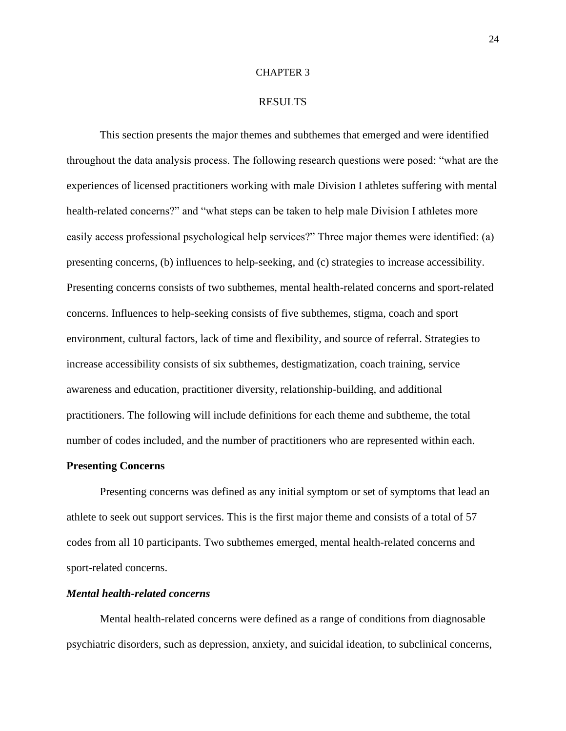#### CHAPTER 3

#### RESULTS

This section presents the major themes and subthemes that emerged and were identified throughout the data analysis process. The following research questions were posed: "what are the experiences of licensed practitioners working with male Division I athletes suffering with mental health-related concerns?" and "what steps can be taken to help male Division I athletes more easily access professional psychological help services?" Three major themes were identified: (a) presenting concerns, (b) influences to help-seeking, and (c) strategies to increase accessibility. Presenting concerns consists of two subthemes, mental health-related concerns and sport-related concerns. Influences to help-seeking consists of five subthemes, stigma, coach and sport environment, cultural factors, lack of time and flexibility, and source of referral. Strategies to increase accessibility consists of six subthemes, destigmatization, coach training, service awareness and education, practitioner diversity, relationship-building, and additional practitioners. The following will include definitions for each theme and subtheme, the total number of codes included, and the number of practitioners who are represented within each.

#### **Presenting Concerns**

Presenting concerns was defined as any initial symptom or set of symptoms that lead an athlete to seek out support services. This is the first major theme and consists of a total of 57 codes from all 10 participants. Two subthemes emerged, mental health-related concerns and sport-related concerns.

#### *Mental health-related concerns*

Mental health-related concerns were defined as a range of conditions from diagnosable psychiatric disorders, such as depression, anxiety, and suicidal ideation, to subclinical concerns,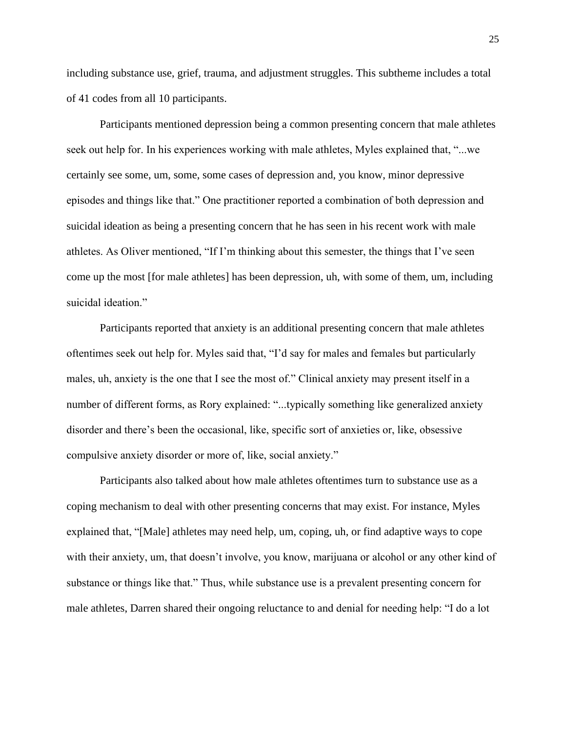including substance use, grief, trauma, and adjustment struggles. This subtheme includes a total of 41 codes from all 10 participants.

Participants mentioned depression being a common presenting concern that male athletes seek out help for. In his experiences working with male athletes, Myles explained that, "...we certainly see some, um, some, some cases of depression and, you know, minor depressive episodes and things like that." One practitioner reported a combination of both depression and suicidal ideation as being a presenting concern that he has seen in his recent work with male athletes. As Oliver mentioned, "If I'm thinking about this semester, the things that I've seen come up the most [for male athletes] has been depression, uh, with some of them, um, including suicidal ideation."

Participants reported that anxiety is an additional presenting concern that male athletes oftentimes seek out help for. Myles said that, "I'd say for males and females but particularly males, uh, anxiety is the one that I see the most of." Clinical anxiety may present itself in a number of different forms, as Rory explained: "...typically something like generalized anxiety disorder and there's been the occasional, like, specific sort of anxieties or, like, obsessive compulsive anxiety disorder or more of, like, social anxiety."

Participants also talked about how male athletes oftentimes turn to substance use as a coping mechanism to deal with other presenting concerns that may exist. For instance, Myles explained that, "[Male] athletes may need help, um, coping, uh, or find adaptive ways to cope with their anxiety, um, that doesn't involve, you know, marijuana or alcohol or any other kind of substance or things like that." Thus, while substance use is a prevalent presenting concern for male athletes, Darren shared their ongoing reluctance to and denial for needing help: "I do a lot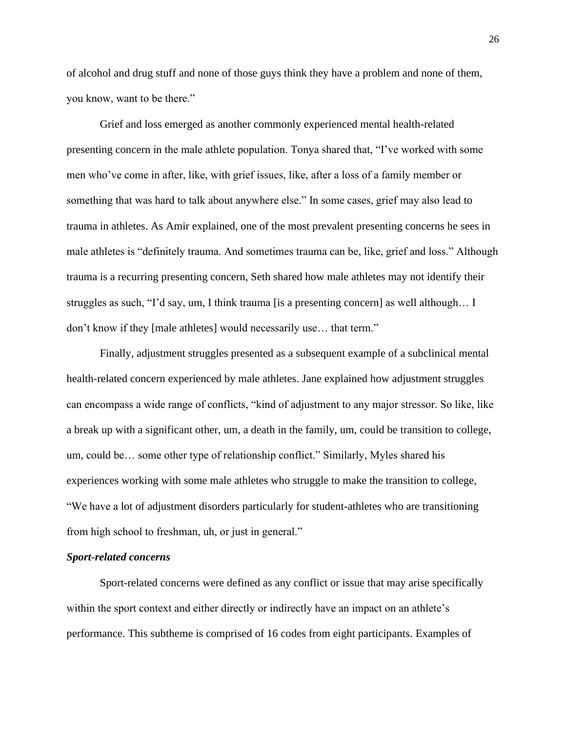of alcohol and drug stuff and none of those guys think they have a problem and none of them, you know, want to be there."

Grief and loss emerged as another commonly experienced mental health-related presenting concern in the male athlete population. Tonya shared that, "I've worked with some men who've come in after, like, with grief issues, like, after a loss of a family member or something that was hard to talk about anywhere else." In some cases, grief may also lead to trauma in athletes. As Amir explained, one of the most prevalent presenting concerns he sees in male athletes is "definitely trauma. And sometimes trauma can be, like, grief and loss." Although trauma is a recurring presenting concern, Seth shared how male athletes may not identify their struggles as such, "I'd say, um, I think trauma [is a presenting concern] as well although… I don't know if they [male athletes] would necessarily use… that term."

Finally, adjustment struggles presented as a subsequent example of a subclinical mental health-related concern experienced by male athletes. Jane explained how adjustment struggles can encompass a wide range of conflicts, "kind of adjustment to any major stressor. So like, like a break up with a significant other, um, a death in the family, um, could be transition to college, um, could be… some other type of relationship conflict." Similarly, Myles shared his experiences working with some male athletes who struggle to make the transition to college, "We have a lot of adjustment disorders particularly for student-athletes who are transitioning from high school to freshman, uh, or just in general."

#### *Sport-related concerns*

Sport-related concerns were defined as any conflict or issue that may arise specifically within the sport context and either directly or indirectly have an impact on an athlete's performance. This subtheme is comprised of 16 codes from eight participants. Examples of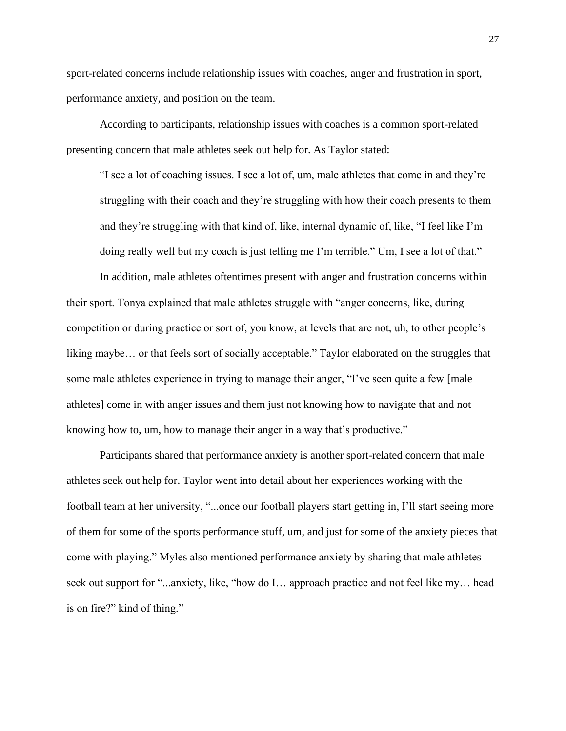sport-related concerns include relationship issues with coaches, anger and frustration in sport, performance anxiety, and position on the team.

According to participants, relationship issues with coaches is a common sport-related presenting concern that male athletes seek out help for. As Taylor stated:

"I see a lot of coaching issues. I see a lot of, um, male athletes that come in and they're struggling with their coach and they're struggling with how their coach presents to them and they're struggling with that kind of, like, internal dynamic of, like, "I feel like I'm doing really well but my coach is just telling me I'm terrible." Um, I see a lot of that."

In addition, male athletes oftentimes present with anger and frustration concerns within their sport. Tonya explained that male athletes struggle with "anger concerns, like, during competition or during practice or sort of, you know, at levels that are not, uh, to other people's liking maybe… or that feels sort of socially acceptable." Taylor elaborated on the struggles that some male athletes experience in trying to manage their anger, "I've seen quite a few [male athletes] come in with anger issues and them just not knowing how to navigate that and not knowing how to, um, how to manage their anger in a way that's productive."

Participants shared that performance anxiety is another sport-related concern that male athletes seek out help for. Taylor went into detail about her experiences working with the football team at her university, "...once our football players start getting in, I'll start seeing more of them for some of the sports performance stuff, um, and just for some of the anxiety pieces that come with playing." Myles also mentioned performance anxiety by sharing that male athletes seek out support for "...anxiety, like, "how do I… approach practice and not feel like my… head is on fire?" kind of thing."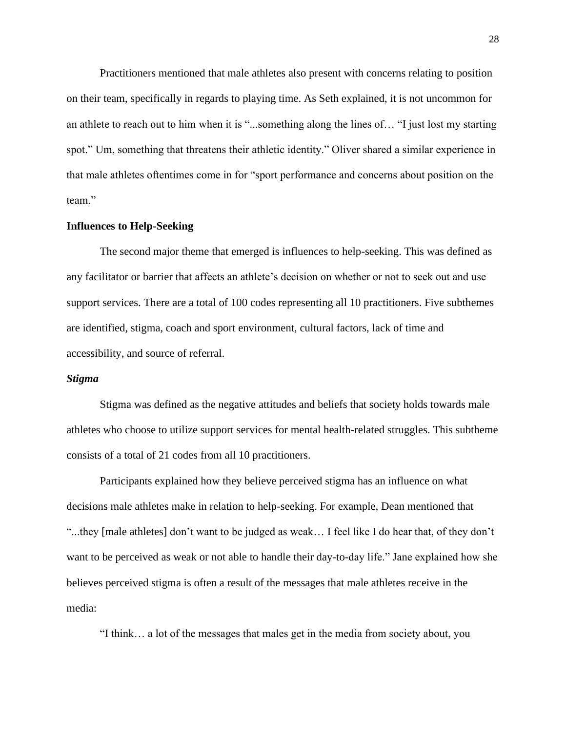Practitioners mentioned that male athletes also present with concerns relating to position on their team, specifically in regards to playing time. As Seth explained, it is not uncommon for an athlete to reach out to him when it is "...something along the lines of… "I just lost my starting spot." Um, something that threatens their athletic identity." Oliver shared a similar experience in that male athletes oftentimes come in for "sport performance and concerns about position on the team."

#### **Influences to Help-Seeking**

The second major theme that emerged is influences to help-seeking. This was defined as any facilitator or barrier that affects an athlete's decision on whether or not to seek out and use support services. There are a total of 100 codes representing all 10 practitioners. Five subthemes are identified, stigma, coach and sport environment, cultural factors, lack of time and accessibility, and source of referral.

#### *Stigma*

Stigma was defined as the negative attitudes and beliefs that society holds towards male athletes who choose to utilize support services for mental health-related struggles. This subtheme consists of a total of 21 codes from all 10 practitioners.

Participants explained how they believe perceived stigma has an influence on what decisions male athletes make in relation to help-seeking. For example, Dean mentioned that "...they [male athletes] don't want to be judged as weak… I feel like I do hear that, of they don't want to be perceived as weak or not able to handle their day-to-day life." Jane explained how she believes perceived stigma is often a result of the messages that male athletes receive in the media:

"I think… a lot of the messages that males get in the media from society about, you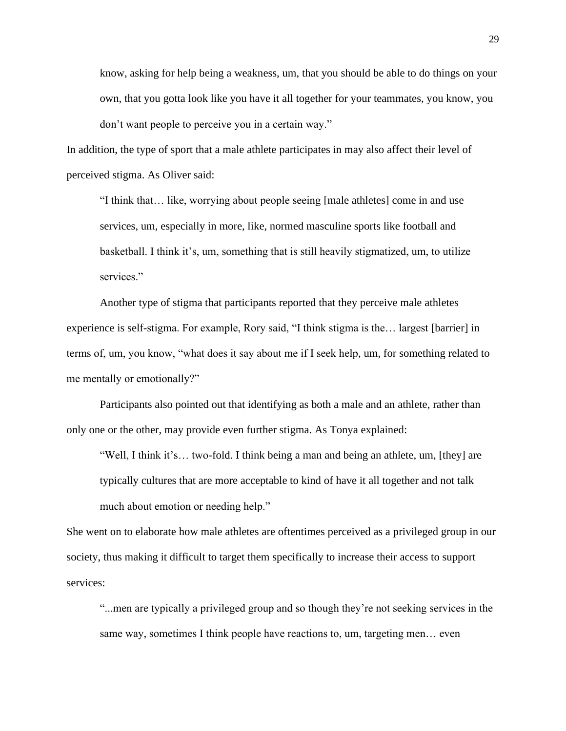know, asking for help being a weakness, um, that you should be able to do things on your own, that you gotta look like you have it all together for your teammates, you know, you don't want people to perceive you in a certain way."

In addition, the type of sport that a male athlete participates in may also affect their level of perceived stigma. As Oliver said:

"I think that… like, worrying about people seeing [male athletes] come in and use services, um, especially in more, like, normed masculine sports like football and basketball. I think it's, um, something that is still heavily stigmatized, um, to utilize services."

Another type of stigma that participants reported that they perceive male athletes experience is self-stigma. For example, Rory said, "I think stigma is the… largest [barrier] in terms of, um, you know, "what does it say about me if I seek help, um, for something related to me mentally or emotionally?"

Participants also pointed out that identifying as both a male and an athlete, rather than only one or the other, may provide even further stigma. As Tonya explained:

"Well, I think it's… two-fold. I think being a man and being an athlete, um, [they] are typically cultures that are more acceptable to kind of have it all together and not talk much about emotion or needing help."

She went on to elaborate how male athletes are oftentimes perceived as a privileged group in our society, thus making it difficult to target them specifically to increase their access to support services:

"...men are typically a privileged group and so though they're not seeking services in the same way, sometimes I think people have reactions to, um, targeting men… even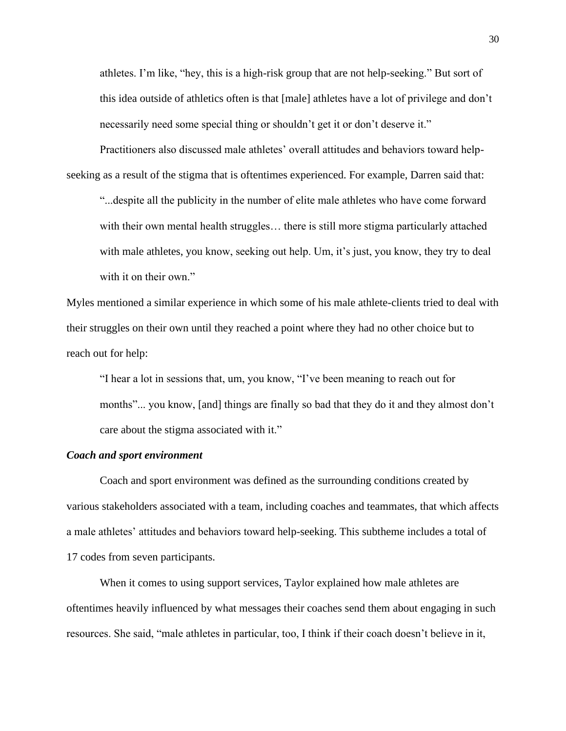athletes. I'm like, "hey, this is a high-risk group that are not help-seeking." But sort of this idea outside of athletics often is that [male] athletes have a lot of privilege and don't necessarily need some special thing or shouldn't get it or don't deserve it."

Practitioners also discussed male athletes' overall attitudes and behaviors toward helpseeking as a result of the stigma that is oftentimes experienced. For example, Darren said that:

"...despite all the publicity in the number of elite male athletes who have come forward with their own mental health struggles... there is still more stigma particularly attached with male athletes, you know, seeking out help. Um, it's just, you know, they try to deal with it on their own."

Myles mentioned a similar experience in which some of his male athlete-clients tried to deal with their struggles on their own until they reached a point where they had no other choice but to reach out for help:

"I hear a lot in sessions that, um, you know, "I've been meaning to reach out for months"... you know, [and] things are finally so bad that they do it and they almost don't care about the stigma associated with it."

#### *Coach and sport environment*

Coach and sport environment was defined as the surrounding conditions created by various stakeholders associated with a team, including coaches and teammates, that which affects a male athletes' attitudes and behaviors toward help-seeking. This subtheme includes a total of 17 codes from seven participants.

When it comes to using support services, Taylor explained how male athletes are oftentimes heavily influenced by what messages their coaches send them about engaging in such resources. She said, "male athletes in particular, too, I think if their coach doesn't believe in it,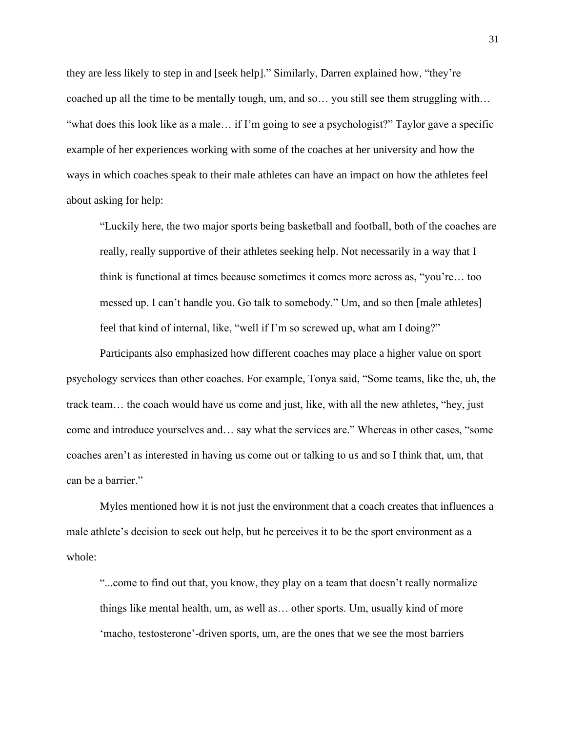they are less likely to step in and [seek help]." Similarly, Darren explained how, "they're coached up all the time to be mentally tough, um, and so… you still see them struggling with… "what does this look like as a male… if I'm going to see a psychologist?" Taylor gave a specific example of her experiences working with some of the coaches at her university and how the ways in which coaches speak to their male athletes can have an impact on how the athletes feel about asking for help:

"Luckily here, the two major sports being basketball and football, both of the coaches are really, really supportive of their athletes seeking help. Not necessarily in a way that I think is functional at times because sometimes it comes more across as, "you're… too messed up. I can't handle you. Go talk to somebody." Um, and so then [male athletes] feel that kind of internal, like, "well if I'm so screwed up, what am I doing?"

Participants also emphasized how different coaches may place a higher value on sport psychology services than other coaches. For example, Tonya said, "Some teams, like the, uh, the track team… the coach would have us come and just, like, with all the new athletes, "hey, just come and introduce yourselves and… say what the services are." Whereas in other cases, "some coaches aren't as interested in having us come out or talking to us and so I think that, um, that can be a barrier."

Myles mentioned how it is not just the environment that a coach creates that influences a male athlete's decision to seek out help, but he perceives it to be the sport environment as a whole:

"...come to find out that, you know, they play on a team that doesn't really normalize things like mental health, um, as well as… other sports. Um, usually kind of more 'macho, testosterone'-driven sports, um, are the ones that we see the most barriers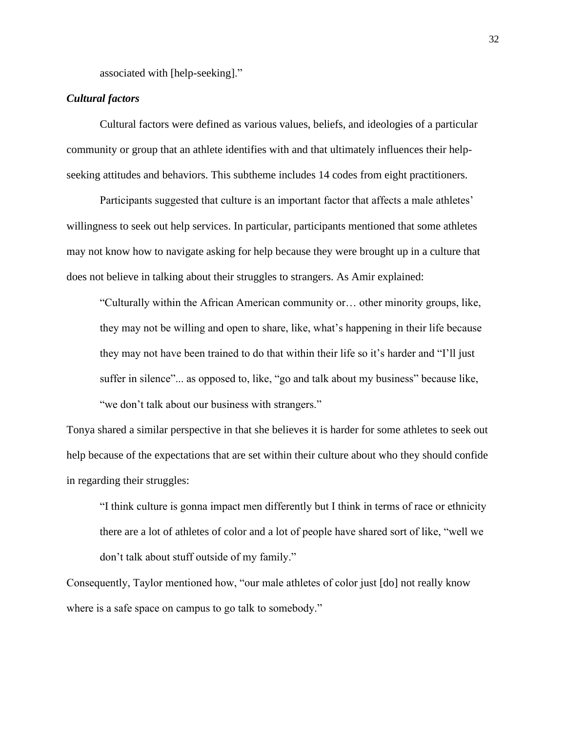associated with [help-seeking]."

## *Cultural factors*

Cultural factors were defined as various values, beliefs, and ideologies of a particular community or group that an athlete identifies with and that ultimately influences their helpseeking attitudes and behaviors. This subtheme includes 14 codes from eight practitioners.

Participants suggested that culture is an important factor that affects a male athletes' willingness to seek out help services. In particular, participants mentioned that some athletes may not know how to navigate asking for help because they were brought up in a culture that does not believe in talking about their struggles to strangers. As Amir explained:

"Culturally within the African American community or… other minority groups, like, they may not be willing and open to share, like, what's happening in their life because they may not have been trained to do that within their life so it's harder and "I'll just suffer in silence"... as opposed to, like, "go and talk about my business" because like, "we don't talk about our business with strangers."

Tonya shared a similar perspective in that she believes it is harder for some athletes to seek out help because of the expectations that are set within their culture about who they should confide in regarding their struggles:

"I think culture is gonna impact men differently but I think in terms of race or ethnicity there are a lot of athletes of color and a lot of people have shared sort of like, "well we don't talk about stuff outside of my family."

Consequently, Taylor mentioned how, "our male athletes of color just [do] not really know where is a safe space on campus to go talk to somebody."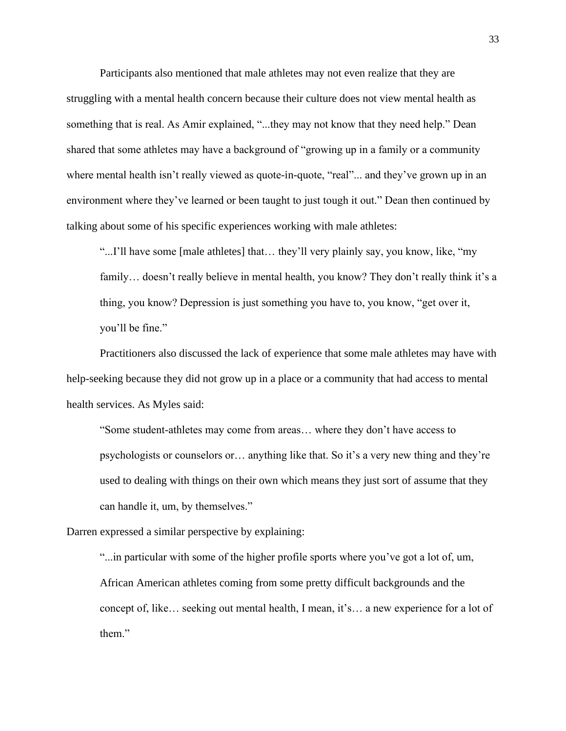Participants also mentioned that male athletes may not even realize that they are struggling with a mental health concern because their culture does not view mental health as something that is real. As Amir explained, "...they may not know that they need help." Dean shared that some athletes may have a background of "growing up in a family or a community where mental health isn't really viewed as quote-in-quote, "real"... and they've grown up in an environment where they've learned or been taught to just tough it out." Dean then continued by talking about some of his specific experiences working with male athletes:

"...I'll have some [male athletes] that… they'll very plainly say, you know, like, "my family... doesn't really believe in mental health, you know? They don't really think it's a thing, you know? Depression is just something you have to, you know, "get over it, you'll be fine."

Practitioners also discussed the lack of experience that some male athletes may have with help-seeking because they did not grow up in a place or a community that had access to mental health services. As Myles said:

"Some student-athletes may come from areas… where they don't have access to psychologists or counselors or… anything like that. So it's a very new thing and they're used to dealing with things on their own which means they just sort of assume that they can handle it, um, by themselves."

Darren expressed a similar perspective by explaining:

"...in particular with some of the higher profile sports where you've got a lot of, um, African American athletes coming from some pretty difficult backgrounds and the concept of, like… seeking out mental health, I mean, it's… a new experience for a lot of them."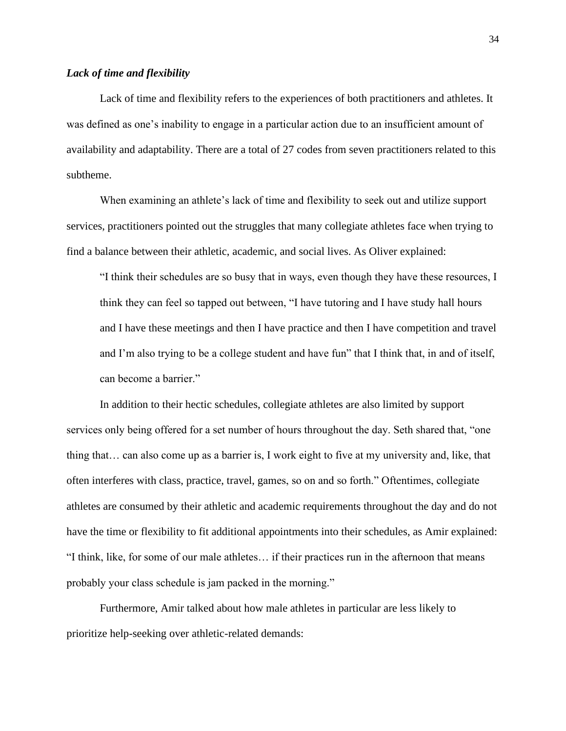## *Lack of time and flexibility*

Lack of time and flexibility refers to the experiences of both practitioners and athletes. It was defined as one's inability to engage in a particular action due to an insufficient amount of availability and adaptability. There are a total of 27 codes from seven practitioners related to this subtheme.

When examining an athlete's lack of time and flexibility to seek out and utilize support services, practitioners pointed out the struggles that many collegiate athletes face when trying to find a balance between their athletic, academic, and social lives. As Oliver explained:

"I think their schedules are so busy that in ways, even though they have these resources, I think they can feel so tapped out between, "I have tutoring and I have study hall hours and I have these meetings and then I have practice and then I have competition and travel and I'm also trying to be a college student and have fun" that I think that, in and of itself, can become a barrier."

In addition to their hectic schedules, collegiate athletes are also limited by support services only being offered for a set number of hours throughout the day. Seth shared that, "one thing that… can also come up as a barrier is, I work eight to five at my university and, like, that often interferes with class, practice, travel, games, so on and so forth." Oftentimes, collegiate athletes are consumed by their athletic and academic requirements throughout the day and do not have the time or flexibility to fit additional appointments into their schedules, as Amir explained: "I think, like, for some of our male athletes… if their practices run in the afternoon that means probably your class schedule is jam packed in the morning."

Furthermore, Amir talked about how male athletes in particular are less likely to prioritize help-seeking over athletic-related demands: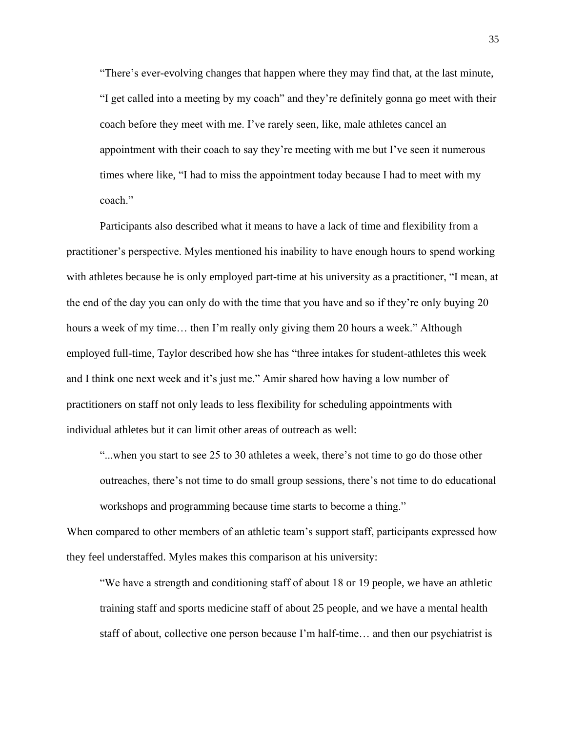"There's ever-evolving changes that happen where they may find that, at the last minute, "I get called into a meeting by my coach" and they're definitely gonna go meet with their coach before they meet with me. I've rarely seen, like, male athletes cancel an appointment with their coach to say they're meeting with me but I've seen it numerous times where like, "I had to miss the appointment today because I had to meet with my coach."

Participants also described what it means to have a lack of time and flexibility from a practitioner's perspective. Myles mentioned his inability to have enough hours to spend working with athletes because he is only employed part-time at his university as a practitioner, "I mean, at the end of the day you can only do with the time that you have and so if they're only buying 20 hours a week of my time… then I'm really only giving them 20 hours a week." Although employed full-time, Taylor described how she has "three intakes for student-athletes this week and I think one next week and it's just me." Amir shared how having a low number of practitioners on staff not only leads to less flexibility for scheduling appointments with individual athletes but it can limit other areas of outreach as well:

"...when you start to see 25 to 30 athletes a week, there's not time to go do those other outreaches, there's not time to do small group sessions, there's not time to do educational workshops and programming because time starts to become a thing."

When compared to other members of an athletic team's support staff, participants expressed how they feel understaffed. Myles makes this comparison at his university:

"We have a strength and conditioning staff of about 18 or 19 people, we have an athletic training staff and sports medicine staff of about 25 people, and we have a mental health staff of about, collective one person because I'm half-time… and then our psychiatrist is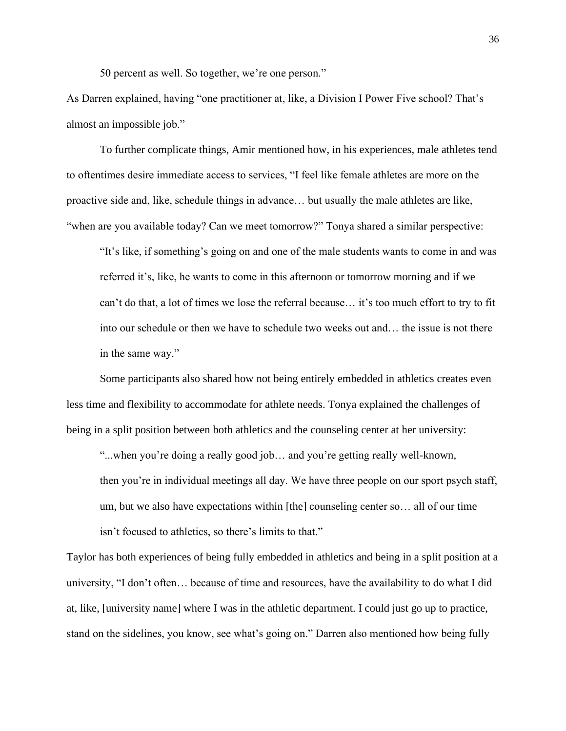50 percent as well. So together, we're one person."

As Darren explained, having "one practitioner at, like, a Division I Power Five school? That's almost an impossible job."

To further complicate things, Amir mentioned how, in his experiences, male athletes tend to oftentimes desire immediate access to services, "I feel like female athletes are more on the proactive side and, like, schedule things in advance… but usually the male athletes are like, "when are you available today? Can we meet tomorrow?" Tonya shared a similar perspective:

"It's like, if something's going on and one of the male students wants to come in and was referred it's, like, he wants to come in this afternoon or tomorrow morning and if we can't do that, a lot of times we lose the referral because… it's too much effort to try to fit into our schedule or then we have to schedule two weeks out and… the issue is not there in the same way."

Some participants also shared how not being entirely embedded in athletics creates even less time and flexibility to accommodate for athlete needs. Tonya explained the challenges of being in a split position between both athletics and the counseling center at her university:

"...when you're doing a really good job… and you're getting really well-known, then you're in individual meetings all day. We have three people on our sport psych staff, um, but we also have expectations within [the] counseling center so… all of our time isn't focused to athletics, so there's limits to that."

Taylor has both experiences of being fully embedded in athletics and being in a split position at a university, "I don't often… because of time and resources, have the availability to do what I did at, like, [university name] where I was in the athletic department. I could just go up to practice, stand on the sidelines, you know, see what's going on." Darren also mentioned how being fully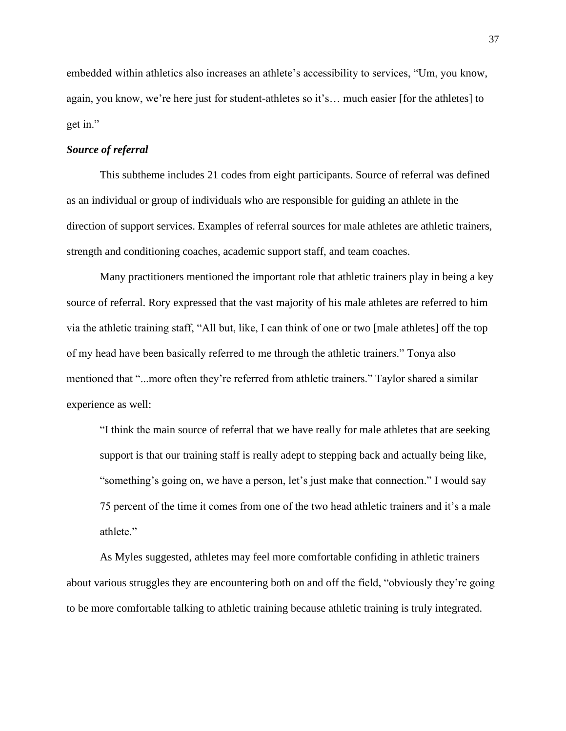embedded within athletics also increases an athlete's accessibility to services, "Um, you know, again, you know, we're here just for student-athletes so it's… much easier [for the athletes] to get in."

## *Source of referral*

This subtheme includes 21 codes from eight participants. Source of referral was defined as an individual or group of individuals who are responsible for guiding an athlete in the direction of support services. Examples of referral sources for male athletes are athletic trainers, strength and conditioning coaches, academic support staff, and team coaches.

Many practitioners mentioned the important role that athletic trainers play in being a key source of referral. Rory expressed that the vast majority of his male athletes are referred to him via the athletic training staff, "All but, like, I can think of one or two [male athletes] off the top of my head have been basically referred to me through the athletic trainers." Tonya also mentioned that "...more often they're referred from athletic trainers." Taylor shared a similar experience as well:

"I think the main source of referral that we have really for male athletes that are seeking support is that our training staff is really adept to stepping back and actually being like, "something's going on, we have a person, let's just make that connection." I would say 75 percent of the time it comes from one of the two head athletic trainers and it's a male athlete."

As Myles suggested, athletes may feel more comfortable confiding in athletic trainers about various struggles they are encountering both on and off the field, "obviously they're going to be more comfortable talking to athletic training because athletic training is truly integrated.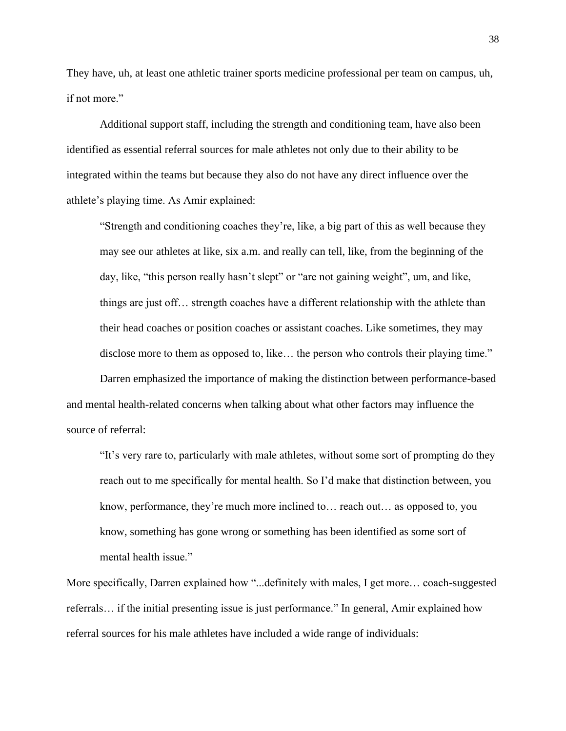They have, uh, at least one athletic trainer sports medicine professional per team on campus, uh, if not more."

Additional support staff, including the strength and conditioning team, have also been identified as essential referral sources for male athletes not only due to their ability to be integrated within the teams but because they also do not have any direct influence over the athlete's playing time. As Amir explained:

"Strength and conditioning coaches they're, like, a big part of this as well because they may see our athletes at like, six a.m. and really can tell, like, from the beginning of the day, like, "this person really hasn't slept" or "are not gaining weight", um, and like, things are just off… strength coaches have a different relationship with the athlete than their head coaches or position coaches or assistant coaches. Like sometimes, they may disclose more to them as opposed to, like... the person who controls their playing time."

Darren emphasized the importance of making the distinction between performance-based and mental health-related concerns when talking about what other factors may influence the source of referral:

"It's very rare to, particularly with male athletes, without some sort of prompting do they reach out to me specifically for mental health. So I'd make that distinction between, you know, performance, they're much more inclined to… reach out… as opposed to, you know, something has gone wrong or something has been identified as some sort of mental health issue."

More specifically, Darren explained how "...definitely with males, I get more… coach-suggested referrals… if the initial presenting issue is just performance." In general, Amir explained how referral sources for his male athletes have included a wide range of individuals: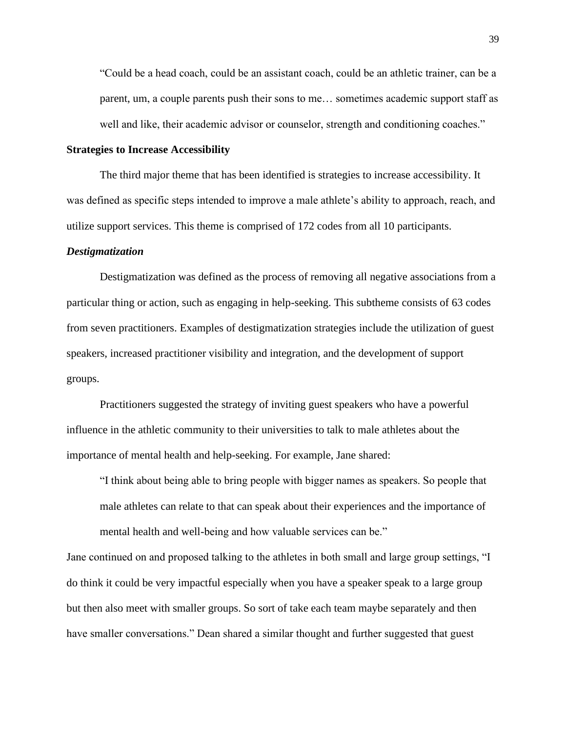"Could be a head coach, could be an assistant coach, could be an athletic trainer, can be a parent, um, a couple parents push their sons to me… sometimes academic support staff as well and like, their academic advisor or counselor, strength and conditioning coaches."

## **Strategies to Increase Accessibility**

The third major theme that has been identified is strategies to increase accessibility. It was defined as specific steps intended to improve a male athlete's ability to approach, reach, and utilize support services. This theme is comprised of 172 codes from all 10 participants.

## *Destigmatization*

Destigmatization was defined as the process of removing all negative associations from a particular thing or action, such as engaging in help-seeking. This subtheme consists of 63 codes from seven practitioners. Examples of destigmatization strategies include the utilization of guest speakers, increased practitioner visibility and integration, and the development of support groups.

Practitioners suggested the strategy of inviting guest speakers who have a powerful influence in the athletic community to their universities to talk to male athletes about the importance of mental health and help-seeking. For example, Jane shared:

"I think about being able to bring people with bigger names as speakers. So people that male athletes can relate to that can speak about their experiences and the importance of mental health and well-being and how valuable services can be."

Jane continued on and proposed talking to the athletes in both small and large group settings, "I do think it could be very impactful especially when you have a speaker speak to a large group but then also meet with smaller groups. So sort of take each team maybe separately and then have smaller conversations." Dean shared a similar thought and further suggested that guest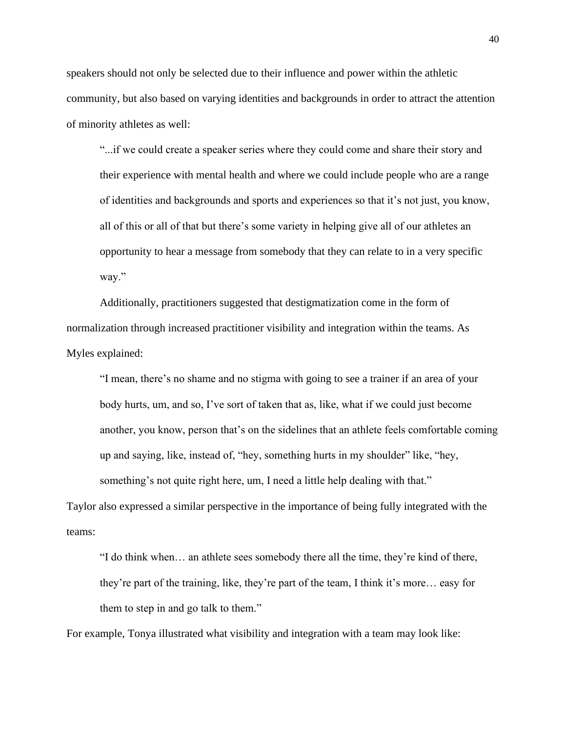speakers should not only be selected due to their influence and power within the athletic community, but also based on varying identities and backgrounds in order to attract the attention of minority athletes as well:

"...if we could create a speaker series where they could come and share their story and their experience with mental health and where we could include people who are a range of identities and backgrounds and sports and experiences so that it's not just, you know, all of this or all of that but there's some variety in helping give all of our athletes an opportunity to hear a message from somebody that they can relate to in a very specific way."

Additionally, practitioners suggested that destigmatization come in the form of normalization through increased practitioner visibility and integration within the teams. As Myles explained:

"I mean, there's no shame and no stigma with going to see a trainer if an area of your body hurts, um, and so, I've sort of taken that as, like, what if we could just become another, you know, person that's on the sidelines that an athlete feels comfortable coming up and saying, like, instead of, "hey, something hurts in my shoulder" like, "hey, something's not quite right here, um, I need a little help dealing with that."

Taylor also expressed a similar perspective in the importance of being fully integrated with the teams:

"I do think when… an athlete sees somebody there all the time, they're kind of there, they're part of the training, like, they're part of the team, I think it's more… easy for them to step in and go talk to them."

For example, Tonya illustrated what visibility and integration with a team may look like: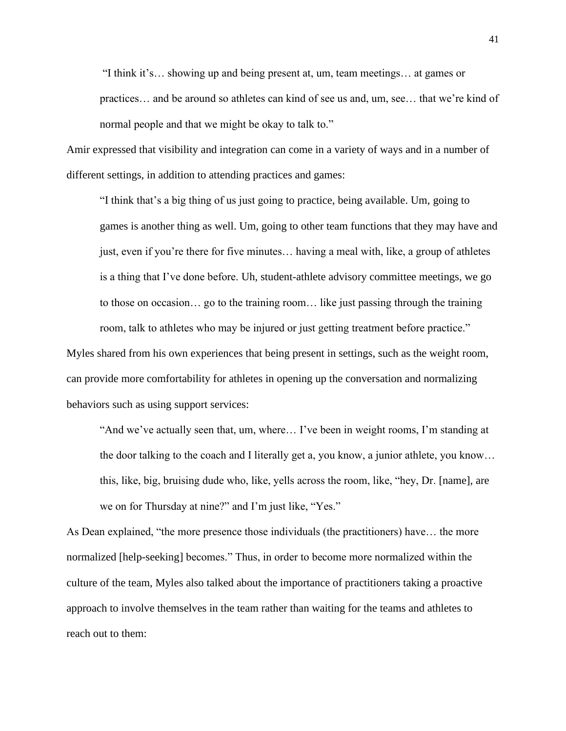"I think it's… showing up and being present at, um, team meetings… at games or practices… and be around so athletes can kind of see us and, um, see… that we're kind of normal people and that we might be okay to talk to."

Amir expressed that visibility and integration can come in a variety of ways and in a number of different settings, in addition to attending practices and games:

"I think that's a big thing of us just going to practice, being available. Um, going to games is another thing as well. Um, going to other team functions that they may have and just, even if you're there for five minutes… having a meal with, like, a group of athletes is a thing that I've done before. Uh, student-athlete advisory committee meetings, we go to those on occasion… go to the training room… like just passing through the training room, talk to athletes who may be injured or just getting treatment before practice."

Myles shared from his own experiences that being present in settings, such as the weight room, can provide more comfortability for athletes in opening up the conversation and normalizing behaviors such as using support services:

"And we've actually seen that, um, where… I've been in weight rooms, I'm standing at the door talking to the coach and I literally get a, you know, a junior athlete, you know… this, like, big, bruising dude who, like, yells across the room, like, "hey, Dr. [name], are we on for Thursday at nine?" and I'm just like, "Yes."

As Dean explained, "the more presence those individuals (the practitioners) have… the more normalized [help-seeking] becomes." Thus, in order to become more normalized within the culture of the team, Myles also talked about the importance of practitioners taking a proactive approach to involve themselves in the team rather than waiting for the teams and athletes to reach out to them: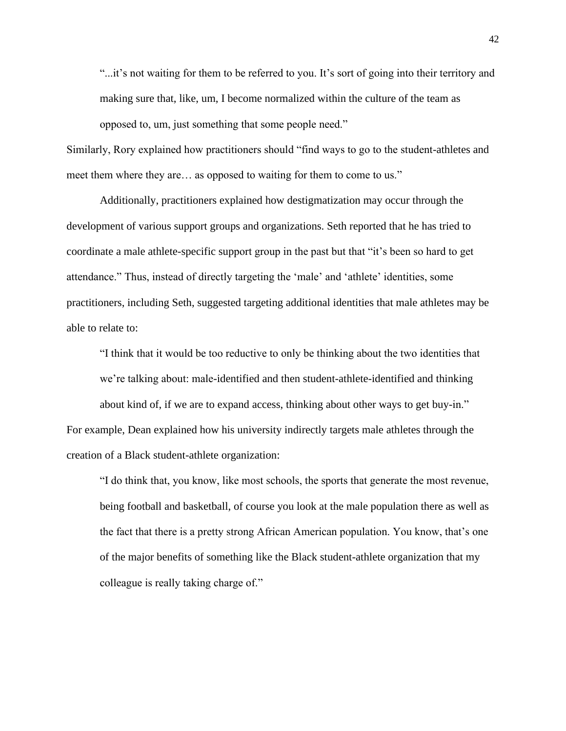"...it's not waiting for them to be referred to you. It's sort of going into their territory and making sure that, like, um, I become normalized within the culture of the team as opposed to, um, just something that some people need."

Similarly, Rory explained how practitioners should "find ways to go to the student-athletes and meet them where they are… as opposed to waiting for them to come to us."

Additionally, practitioners explained how destigmatization may occur through the development of various support groups and organizations. Seth reported that he has tried to coordinate a male athlete-specific support group in the past but that "it's been so hard to get attendance." Thus, instead of directly targeting the 'male' and 'athlete' identities, some practitioners, including Seth, suggested targeting additional identities that male athletes may be able to relate to:

"I think that it would be too reductive to only be thinking about the two identities that we're talking about: male-identified and then student-athlete-identified and thinking about kind of, if we are to expand access, thinking about other ways to get buy-in." For example, Dean explained how his university indirectly targets male athletes through the creation of a Black student-athlete organization:

"I do think that, you know, like most schools, the sports that generate the most revenue, being football and basketball, of course you look at the male population there as well as the fact that there is a pretty strong African American population. You know, that's one of the major benefits of something like the Black student-athlete organization that my colleague is really taking charge of."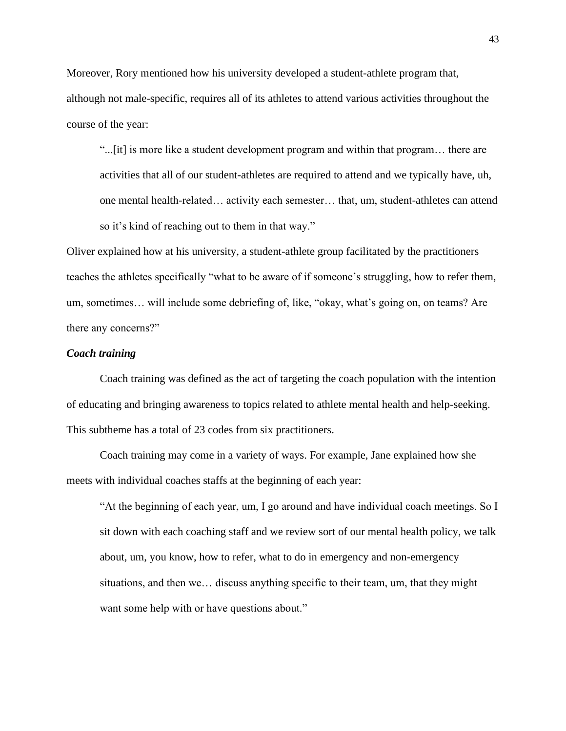Moreover, Rory mentioned how his university developed a student-athlete program that, although not male-specific, requires all of its athletes to attend various activities throughout the course of the year:

"...[it] is more like a student development program and within that program… there are activities that all of our student-athletes are required to attend and we typically have, uh, one mental health-related… activity each semester… that, um, student-athletes can attend so it's kind of reaching out to them in that way."

Oliver explained how at his university, a student-athlete group facilitated by the practitioners teaches the athletes specifically "what to be aware of if someone's struggling, how to refer them, um, sometimes… will include some debriefing of, like, "okay, what's going on, on teams? Are there any concerns?"

# *Coach training*

Coach training was defined as the act of targeting the coach population with the intention of educating and bringing awareness to topics related to athlete mental health and help-seeking. This subtheme has a total of 23 codes from six practitioners.

Coach training may come in a variety of ways. For example, Jane explained how she meets with individual coaches staffs at the beginning of each year:

"At the beginning of each year, um, I go around and have individual coach meetings. So I sit down with each coaching staff and we review sort of our mental health policy, we talk about, um, you know, how to refer, what to do in emergency and non-emergency situations, and then we… discuss anything specific to their team, um, that they might want some help with or have questions about."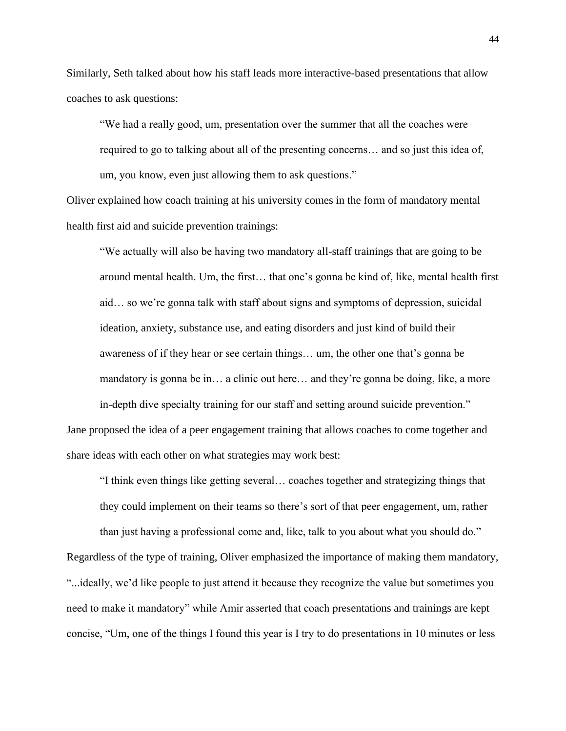Similarly, Seth talked about how his staff leads more interactive-based presentations that allow coaches to ask questions:

"We had a really good, um, presentation over the summer that all the coaches were required to go to talking about all of the presenting concerns… and so just this idea of, um, you know, even just allowing them to ask questions."

Oliver explained how coach training at his university comes in the form of mandatory mental health first aid and suicide prevention trainings:

"We actually will also be having two mandatory all-staff trainings that are going to be around mental health. Um, the first… that one's gonna be kind of, like, mental health first aid… so we're gonna talk with staff about signs and symptoms of depression, suicidal ideation, anxiety, substance use, and eating disorders and just kind of build their awareness of if they hear or see certain things… um, the other one that's gonna be mandatory is gonna be in… a clinic out here… and they're gonna be doing, like, a more in-depth dive specialty training for our staff and setting around suicide prevention."

Jane proposed the idea of a peer engagement training that allows coaches to come together and share ideas with each other on what strategies may work best:

"I think even things like getting several… coaches together and strategizing things that they could implement on their teams so there's sort of that peer engagement, um, rather

than just having a professional come and, like, talk to you about what you should do."

Regardless of the type of training, Oliver emphasized the importance of making them mandatory, "...ideally, we'd like people to just attend it because they recognize the value but sometimes you need to make it mandatory" while Amir asserted that coach presentations and trainings are kept concise, "Um, one of the things I found this year is I try to do presentations in 10 minutes or less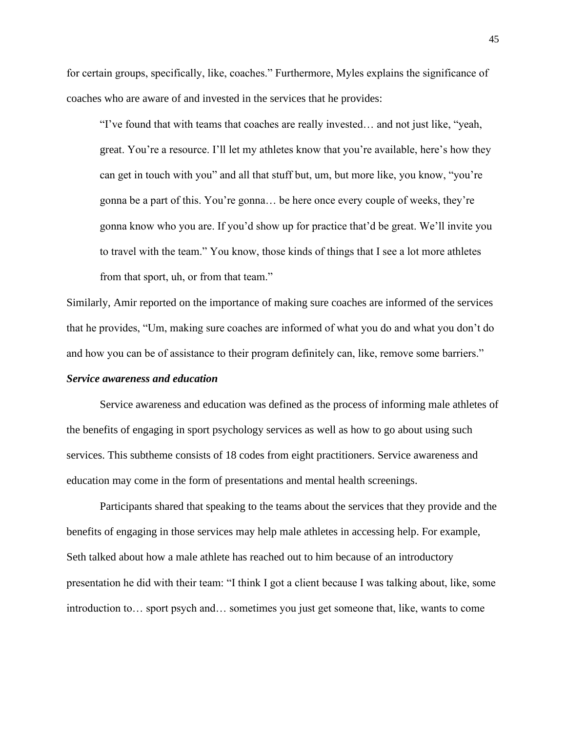for certain groups, specifically, like, coaches." Furthermore, Myles explains the significance of coaches who are aware of and invested in the services that he provides:

"I've found that with teams that coaches are really invested… and not just like, "yeah, great. You're a resource. I'll let my athletes know that you're available, here's how they can get in touch with you" and all that stuff but, um, but more like, you know, "you're gonna be a part of this. You're gonna… be here once every couple of weeks, they're gonna know who you are. If you'd show up for practice that'd be great. We'll invite you to travel with the team." You know, those kinds of things that I see a lot more athletes from that sport, uh, or from that team."

Similarly, Amir reported on the importance of making sure coaches are informed of the services that he provides, "Um, making sure coaches are informed of what you do and what you don't do and how you can be of assistance to their program definitely can, like, remove some barriers."

#### *Service awareness and education*

Service awareness and education was defined as the process of informing male athletes of the benefits of engaging in sport psychology services as well as how to go about using such services. This subtheme consists of 18 codes from eight practitioners. Service awareness and education may come in the form of presentations and mental health screenings.

Participants shared that speaking to the teams about the services that they provide and the benefits of engaging in those services may help male athletes in accessing help. For example, Seth talked about how a male athlete has reached out to him because of an introductory presentation he did with their team: "I think I got a client because I was talking about, like, some introduction to… sport psych and… sometimes you just get someone that, like, wants to come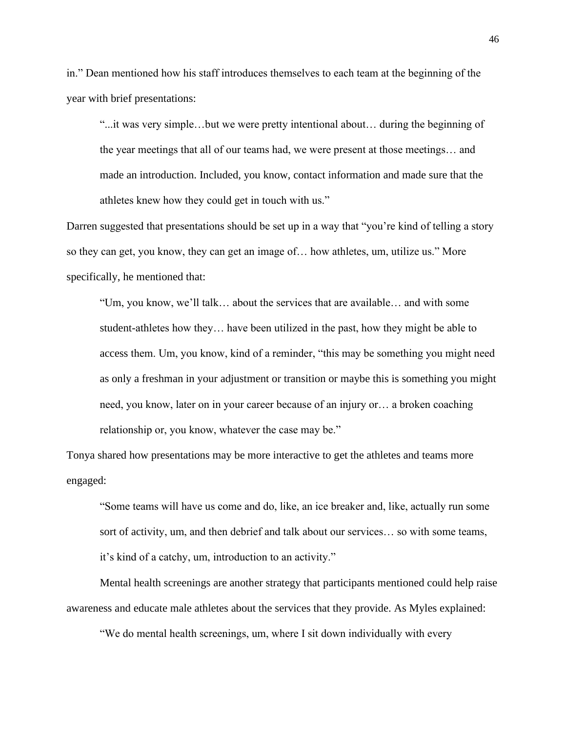in." Dean mentioned how his staff introduces themselves to each team at the beginning of the year with brief presentations:

"...it was very simple…but we were pretty intentional about… during the beginning of the year meetings that all of our teams had, we were present at those meetings… and made an introduction. Included, you know, contact information and made sure that the athletes knew how they could get in touch with us."

Darren suggested that presentations should be set up in a way that "you're kind of telling a story so they can get, you know, they can get an image of… how athletes, um, utilize us." More specifically, he mentioned that:

"Um, you know, we'll talk… about the services that are available… and with some student-athletes how they… have been utilized in the past, how they might be able to access them. Um, you know, kind of a reminder, "this may be something you might need as only a freshman in your adjustment or transition or maybe this is something you might need, you know, later on in your career because of an injury or… a broken coaching relationship or, you know, whatever the case may be."

Tonya shared how presentations may be more interactive to get the athletes and teams more engaged:

"Some teams will have us come and do, like, an ice breaker and, like, actually run some sort of activity, um, and then debrief and talk about our services… so with some teams, it's kind of a catchy, um, introduction to an activity."

Mental health screenings are another strategy that participants mentioned could help raise awareness and educate male athletes about the services that they provide. As Myles explained:

"We do mental health screenings, um, where I sit down individually with every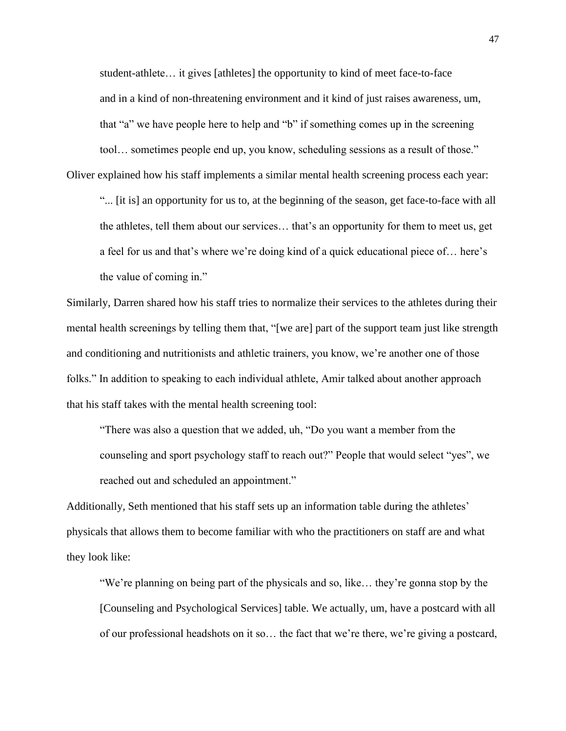student-athlete… it gives [athletes] the opportunity to kind of meet face-to-face and in a kind of non-threatening environment and it kind of just raises awareness, um, that "a" we have people here to help and "b" if something comes up in the screening tool… sometimes people end up, you know, scheduling sessions as a result of those."

Oliver explained how his staff implements a similar mental health screening process each year:

"... [it is] an opportunity for us to, at the beginning of the season, get face-to-face with all the athletes, tell them about our services… that's an opportunity for them to meet us, get a feel for us and that's where we're doing kind of a quick educational piece of… here's the value of coming in."

Similarly, Darren shared how his staff tries to normalize their services to the athletes during their mental health screenings by telling them that, "[we are] part of the support team just like strength and conditioning and nutritionists and athletic trainers, you know, we're another one of those folks." In addition to speaking to each individual athlete, Amir talked about another approach that his staff takes with the mental health screening tool:

"There was also a question that we added, uh, "Do you want a member from the counseling and sport psychology staff to reach out?" People that would select "yes", we reached out and scheduled an appointment."

Additionally, Seth mentioned that his staff sets up an information table during the athletes' physicals that allows them to become familiar with who the practitioners on staff are and what they look like:

"We're planning on being part of the physicals and so, like… they're gonna stop by the [Counseling and Psychological Services] table. We actually, um, have a postcard with all of our professional headshots on it so… the fact that we're there, we're giving a postcard,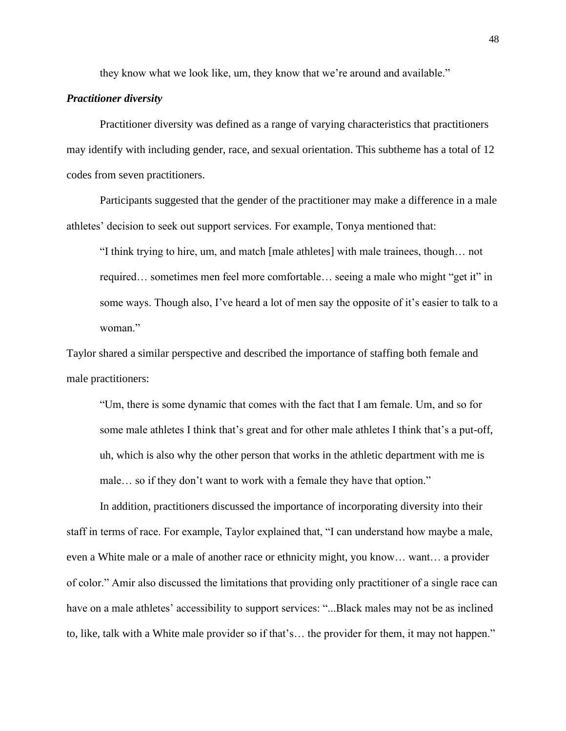they know what we look like, um, they know that we're around and available."

## *Practitioner diversity*

Practitioner diversity was defined as a range of varying characteristics that practitioners may identify with including gender, race, and sexual orientation. This subtheme has a total of 12 codes from seven practitioners.

Participants suggested that the gender of the practitioner may make a difference in a male athletes' decision to seek out support services. For example, Tonya mentioned that:

"I think trying to hire, um, and match [male athletes] with male trainees, though… not required… sometimes men feel more comfortable… seeing a male who might "get it" in some ways. Though also, I've heard a lot of men say the opposite of it's easier to talk to a woman."

Taylor shared a similar perspective and described the importance of staffing both female and male practitioners:

"Um, there is some dynamic that comes with the fact that I am female. Um, and so for some male athletes I think that's great and for other male athletes I think that's a put-off, uh, which is also why the other person that works in the athletic department with me is male… so if they don't want to work with a female they have that option."

In addition, practitioners discussed the importance of incorporating diversity into their staff in terms of race. For example, Taylor explained that, "I can understand how maybe a male, even a White male or a male of another race or ethnicity might, you know… want… a provider of color." Amir also discussed the limitations that providing only practitioner of a single race can have on a male athletes' accessibility to support services: "...Black males may not be as inclined to, like, talk with a White male provider so if that's… the provider for them, it may not happen."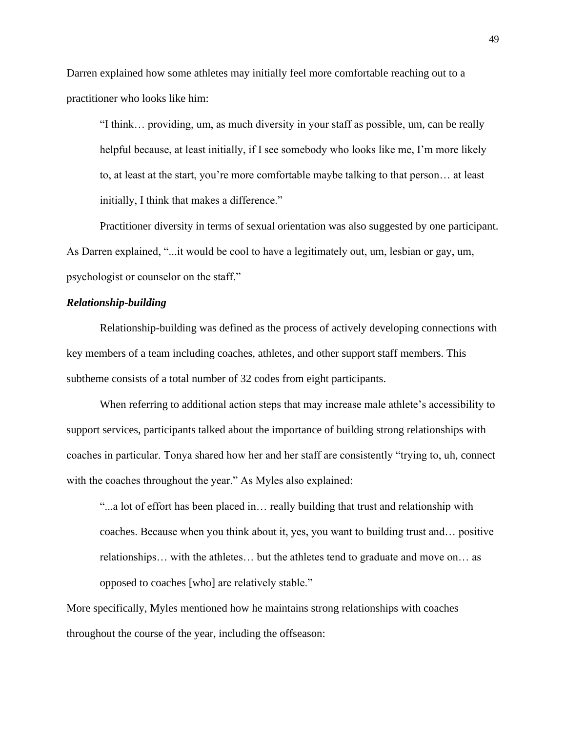Darren explained how some athletes may initially feel more comfortable reaching out to a practitioner who looks like him:

"I think… providing, um, as much diversity in your staff as possible, um, can be really helpful because, at least initially, if I see somebody who looks like me, I'm more likely to, at least at the start, you're more comfortable maybe talking to that person… at least initially, I think that makes a difference."

Practitioner diversity in terms of sexual orientation was also suggested by one participant. As Darren explained, "...it would be cool to have a legitimately out, um, lesbian or gay, um, psychologist or counselor on the staff."

# *Relationship-building*

Relationship-building was defined as the process of actively developing connections with key members of a team including coaches, athletes, and other support staff members. This subtheme consists of a total number of 32 codes from eight participants.

When referring to additional action steps that may increase male athlete's accessibility to support services, participants talked about the importance of building strong relationships with coaches in particular. Tonya shared how her and her staff are consistently "trying to, uh, connect with the coaches throughout the year." As Myles also explained:

"...a lot of effort has been placed in… really building that trust and relationship with coaches. Because when you think about it, yes, you want to building trust and… positive relationships… with the athletes… but the athletes tend to graduate and move on… as opposed to coaches [who] are relatively stable."

More specifically, Myles mentioned how he maintains strong relationships with coaches throughout the course of the year, including the offseason: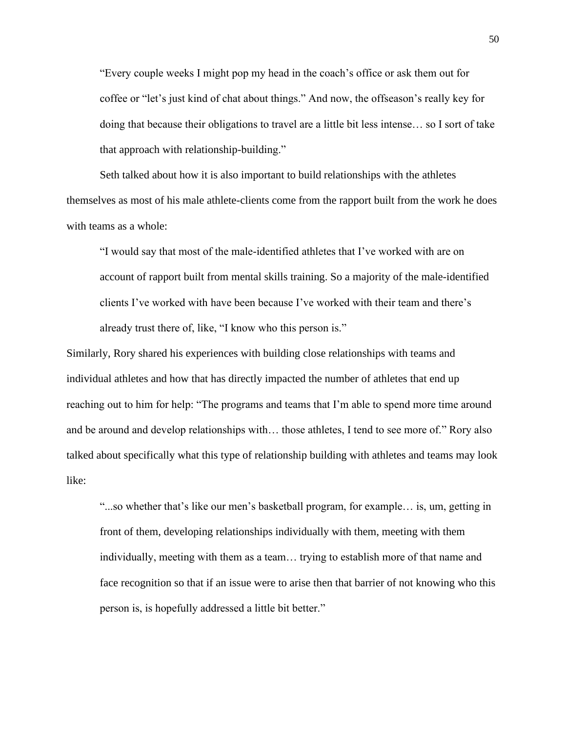"Every couple weeks I might pop my head in the coach's office or ask them out for coffee or "let's just kind of chat about things." And now, the offseason's really key for doing that because their obligations to travel are a little bit less intense… so I sort of take that approach with relationship-building."

Seth talked about how it is also important to build relationships with the athletes themselves as most of his male athlete-clients come from the rapport built from the work he does with teams as a whole:

"I would say that most of the male-identified athletes that I've worked with are on account of rapport built from mental skills training. So a majority of the male-identified clients I've worked with have been because I've worked with their team and there's already trust there of, like, "I know who this person is."

Similarly, Rory shared his experiences with building close relationships with teams and individual athletes and how that has directly impacted the number of athletes that end up reaching out to him for help: "The programs and teams that I'm able to spend more time around and be around and develop relationships with… those athletes, I tend to see more of." Rory also talked about specifically what this type of relationship building with athletes and teams may look like:

"...so whether that's like our men's basketball program, for example… is, um, getting in front of them, developing relationships individually with them, meeting with them individually, meeting with them as a team… trying to establish more of that name and face recognition so that if an issue were to arise then that barrier of not knowing who this person is, is hopefully addressed a little bit better."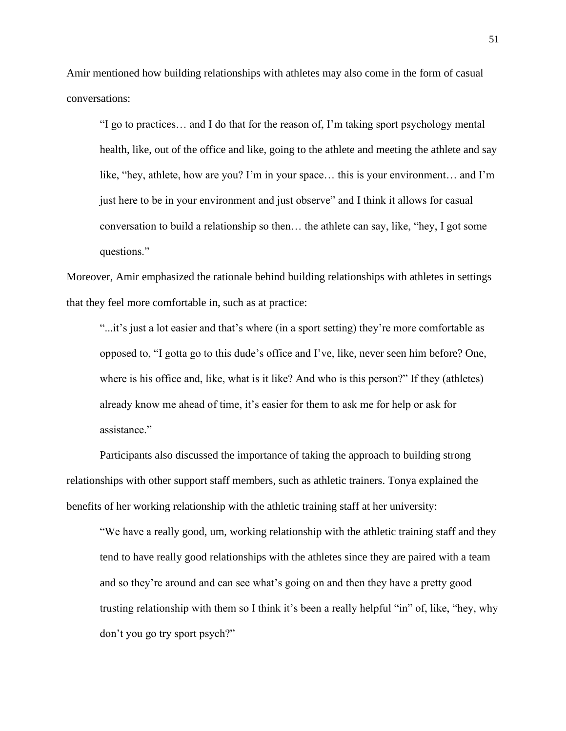Amir mentioned how building relationships with athletes may also come in the form of casual conversations:

"I go to practices… and I do that for the reason of, I'm taking sport psychology mental health, like, out of the office and like, going to the athlete and meeting the athlete and say like, "hey, athlete, how are you? I'm in your space… this is your environment… and I'm just here to be in your environment and just observe" and I think it allows for casual conversation to build a relationship so then… the athlete can say, like, "hey, I got some questions."

Moreover, Amir emphasized the rationale behind building relationships with athletes in settings that they feel more comfortable in, such as at practice:

"...it's just a lot easier and that's where (in a sport setting) they're more comfortable as opposed to, "I gotta go to this dude's office and I've, like, never seen him before? One, where is his office and, like, what is it like? And who is this person?" If they (athletes) already know me ahead of time, it's easier for them to ask me for help or ask for assistance."

Participants also discussed the importance of taking the approach to building strong relationships with other support staff members, such as athletic trainers. Tonya explained the benefits of her working relationship with the athletic training staff at her university:

"We have a really good, um, working relationship with the athletic training staff and they tend to have really good relationships with the athletes since they are paired with a team and so they're around and can see what's going on and then they have a pretty good trusting relationship with them so I think it's been a really helpful "in" of, like, "hey, why don't you go try sport psych?"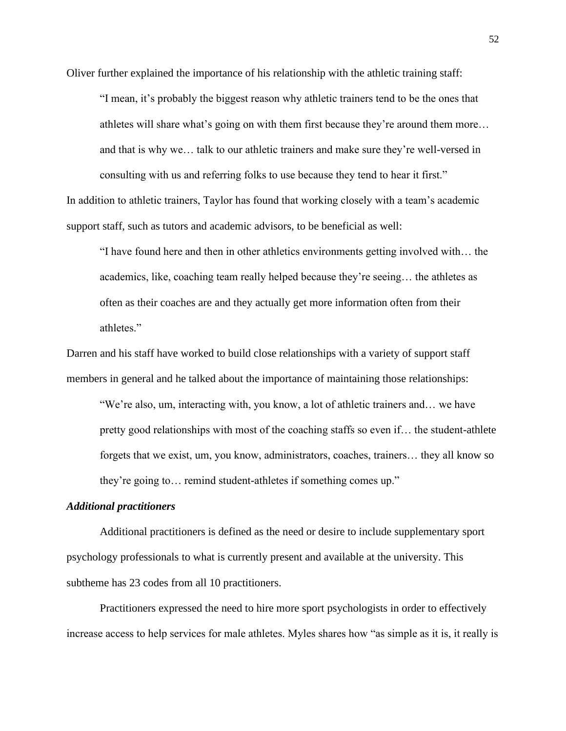Oliver further explained the importance of his relationship with the athletic training staff:

"I mean, it's probably the biggest reason why athletic trainers tend to be the ones that athletes will share what's going on with them first because they're around them more… and that is why we… talk to our athletic trainers and make sure they're well-versed in consulting with us and referring folks to use because they tend to hear it first." In addition to athletic trainers, Taylor has found that working closely with a team's academic

support staff, such as tutors and academic advisors, to be beneficial as well:

"I have found here and then in other athletics environments getting involved with… the academics, like, coaching team really helped because they're seeing… the athletes as often as their coaches are and they actually get more information often from their athletes."

Darren and his staff have worked to build close relationships with a variety of support staff members in general and he talked about the importance of maintaining those relationships:

"We're also, um, interacting with, you know, a lot of athletic trainers and… we have pretty good relationships with most of the coaching staffs so even if… the student-athlete forgets that we exist, um, you know, administrators, coaches, trainers… they all know so they're going to… remind student-athletes if something comes up."

## *Additional practitioners*

Additional practitioners is defined as the need or desire to include supplementary sport psychology professionals to what is currently present and available at the university. This subtheme has 23 codes from all 10 practitioners.

Practitioners expressed the need to hire more sport psychologists in order to effectively increase access to help services for male athletes. Myles shares how "as simple as it is, it really is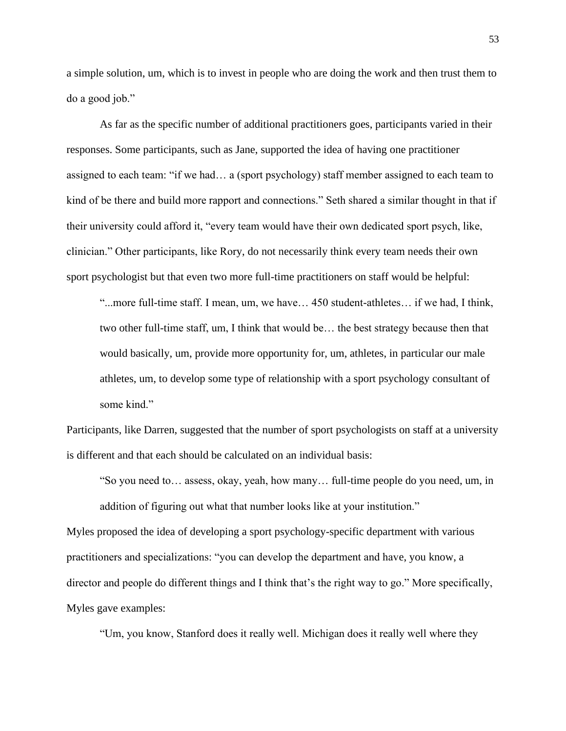a simple solution, um, which is to invest in people who are doing the work and then trust them to do a good job."

As far as the specific number of additional practitioners goes, participants varied in their responses. Some participants, such as Jane, supported the idea of having one practitioner assigned to each team: "if we had… a (sport psychology) staff member assigned to each team to kind of be there and build more rapport and connections." Seth shared a similar thought in that if their university could afford it, "every team would have their own dedicated sport psych, like, clinician." Other participants, like Rory, do not necessarily think every team needs their own sport psychologist but that even two more full-time practitioners on staff would be helpful:

"...more full-time staff. I mean, um, we have… 450 student-athletes… if we had, I think, two other full-time staff, um, I think that would be… the best strategy because then that would basically, um, provide more opportunity for, um, athletes, in particular our male athletes, um, to develop some type of relationship with a sport psychology consultant of some kind."

Participants, like Darren, suggested that the number of sport psychologists on staff at a university is different and that each should be calculated on an individual basis:

"So you need to… assess, okay, yeah, how many… full-time people do you need, um, in addition of figuring out what that number looks like at your institution."

Myles proposed the idea of developing a sport psychology-specific department with various practitioners and specializations: "you can develop the department and have, you know, a director and people do different things and I think that's the right way to go." More specifically, Myles gave examples:

"Um, you know, Stanford does it really well. Michigan does it really well where they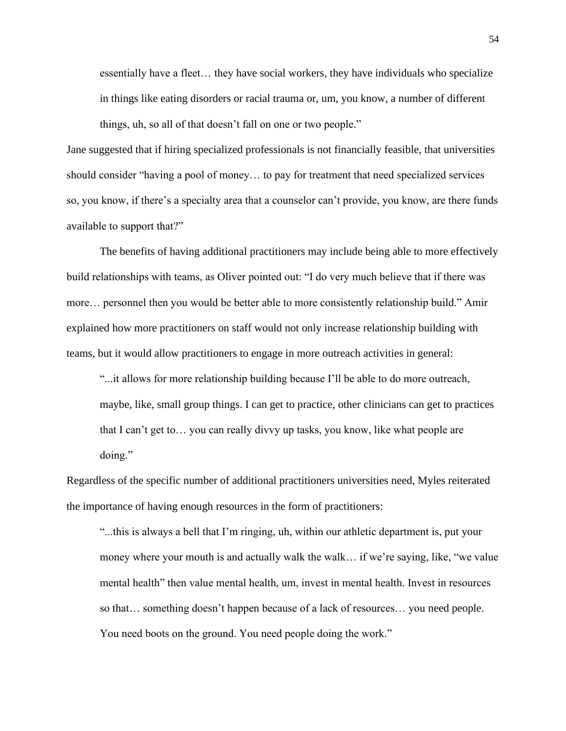essentially have a fleet… they have social workers, they have individuals who specialize in things like eating disorders or racial trauma or, um, you know, a number of different things, uh, so all of that doesn't fall on one or two people."

Jane suggested that if hiring specialized professionals is not financially feasible, that universities should consider "having a pool of money… to pay for treatment that need specialized services so, you know, if there's a specialty area that a counselor can't provide, you know, are there funds available to support that?"

The benefits of having additional practitioners may include being able to more effectively build relationships with teams, as Oliver pointed out: "I do very much believe that if there was more… personnel then you would be better able to more consistently relationship build." Amir explained how more practitioners on staff would not only increase relationship building with teams, but it would allow practitioners to engage in more outreach activities in general:

"...it allows for more relationship building because I'll be able to do more outreach, maybe, like, small group things. I can get to practice, other clinicians can get to practices that I can't get to… you can really divvy up tasks, you know, like what people are doing."

Regardless of the specific number of additional practitioners universities need, Myles reiterated the importance of having enough resources in the form of practitioners:

"...this is always a bell that I'm ringing, uh, within our athletic department is, put your money where your mouth is and actually walk the walk… if we're saying, like, "we value mental health" then value mental health, um, invest in mental health. Invest in resources so that… something doesn't happen because of a lack of resources… you need people. You need boots on the ground. You need people doing the work."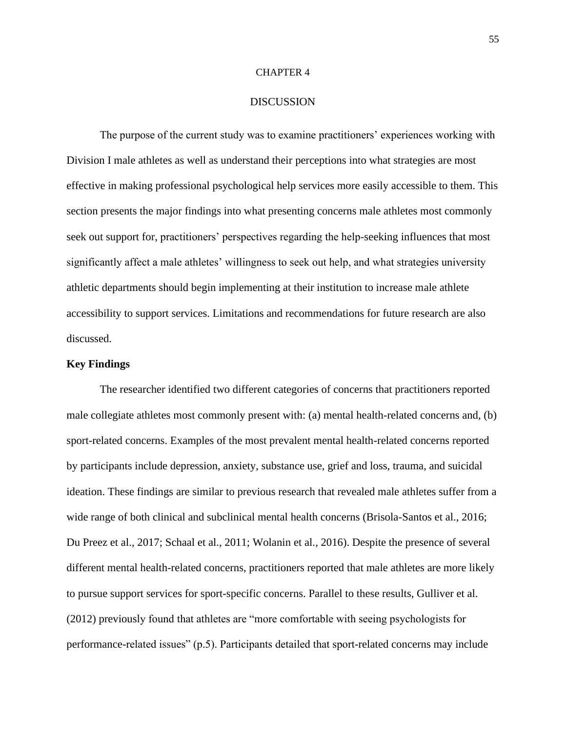#### CHAPTER 4

#### DISCUSSION

The purpose of the current study was to examine practitioners' experiences working with Division I male athletes as well as understand their perceptions into what strategies are most effective in making professional psychological help services more easily accessible to them. This section presents the major findings into what presenting concerns male athletes most commonly seek out support for, practitioners' perspectives regarding the help-seeking influences that most significantly affect a male athletes' willingness to seek out help, and what strategies university athletic departments should begin implementing at their institution to increase male athlete accessibility to support services. Limitations and recommendations for future research are also discussed.

#### **Key Findings**

The researcher identified two different categories of concerns that practitioners reported male collegiate athletes most commonly present with: (a) mental health-related concerns and, (b) sport-related concerns. Examples of the most prevalent mental health-related concerns reported by participants include depression, anxiety, substance use, grief and loss, trauma, and suicidal ideation. These findings are similar to previous research that revealed male athletes suffer from a wide range of both clinical and subclinical mental health concerns (Brisola-Santos et al., 2016; Du Preez et al., 2017; Schaal et al., 2011; Wolanin et al., 2016). Despite the presence of several different mental health-related concerns, practitioners reported that male athletes are more likely to pursue support services for sport-specific concerns. Parallel to these results, Gulliver et al. (2012) previously found that athletes are "more comfortable with seeing psychologists for performance-related issues" (p.5). Participants detailed that sport-related concerns may include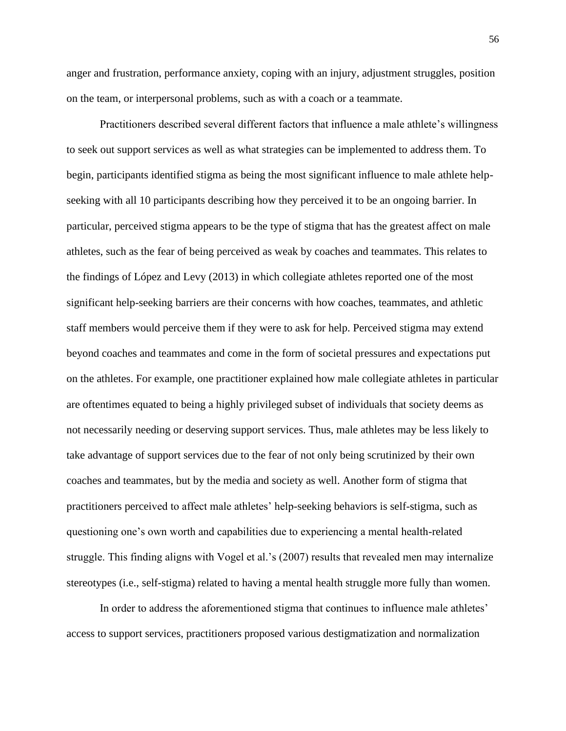anger and frustration, performance anxiety, coping with an injury, adjustment struggles, position on the team, or interpersonal problems, such as with a coach or a teammate.

Practitioners described several different factors that influence a male athlete's willingness to seek out support services as well as what strategies can be implemented to address them. To begin, participants identified stigma as being the most significant influence to male athlete helpseeking with all 10 participants describing how they perceived it to be an ongoing barrier. In particular, perceived stigma appears to be the type of stigma that has the greatest affect on male athletes, such as the fear of being perceived as weak by coaches and teammates. This relates to the findings of López and Levy (2013) in which collegiate athletes reported one of the most significant help-seeking barriers are their concerns with how coaches, teammates, and athletic staff members would perceive them if they were to ask for help. Perceived stigma may extend beyond coaches and teammates and come in the form of societal pressures and expectations put on the athletes. For example, one practitioner explained how male collegiate athletes in particular are oftentimes equated to being a highly privileged subset of individuals that society deems as not necessarily needing or deserving support services. Thus, male athletes may be less likely to take advantage of support services due to the fear of not only being scrutinized by their own coaches and teammates, but by the media and society as well. Another form of stigma that practitioners perceived to affect male athletes' help-seeking behaviors is self-stigma, such as questioning one's own worth and capabilities due to experiencing a mental health-related struggle. This finding aligns with Vogel et al.'s (2007) results that revealed men may internalize stereotypes (i.e., self-stigma) related to having a mental health struggle more fully than women.

In order to address the aforementioned stigma that continues to influence male athletes' access to support services, practitioners proposed various destigmatization and normalization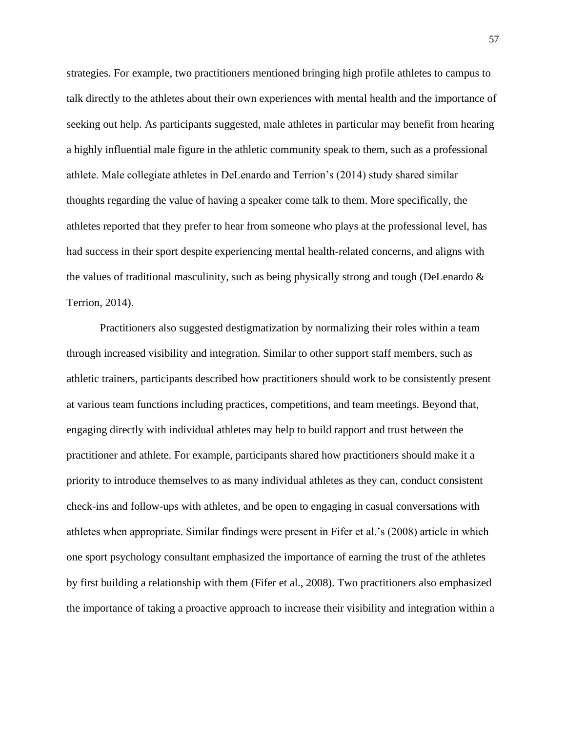strategies. For example, two practitioners mentioned bringing high profile athletes to campus to talk directly to the athletes about their own experiences with mental health and the importance of seeking out help. As participants suggested, male athletes in particular may benefit from hearing a highly influential male figure in the athletic community speak to them, such as a professional athlete. Male collegiate athletes in DeLenardo and Terrion's (2014) study shared similar thoughts regarding the value of having a speaker come talk to them. More specifically, the athletes reported that they prefer to hear from someone who plays at the professional level, has had success in their sport despite experiencing mental health-related concerns, and aligns with the values of traditional masculinity, such as being physically strong and tough (DeLenardo & Terrion, 2014).

Practitioners also suggested destigmatization by normalizing their roles within a team through increased visibility and integration. Similar to other support staff members, such as athletic trainers, participants described how practitioners should work to be consistently present at various team functions including practices, competitions, and team meetings. Beyond that, engaging directly with individual athletes may help to build rapport and trust between the practitioner and athlete. For example, participants shared how practitioners should make it a priority to introduce themselves to as many individual athletes as they can, conduct consistent check-ins and follow-ups with athletes, and be open to engaging in casual conversations with athletes when appropriate. Similar findings were present in Fifer et al.'s (2008) article in which one sport psychology consultant emphasized the importance of earning the trust of the athletes by first building a relationship with them (Fifer et al., 2008). Two practitioners also emphasized the importance of taking a proactive approach to increase their visibility and integration within a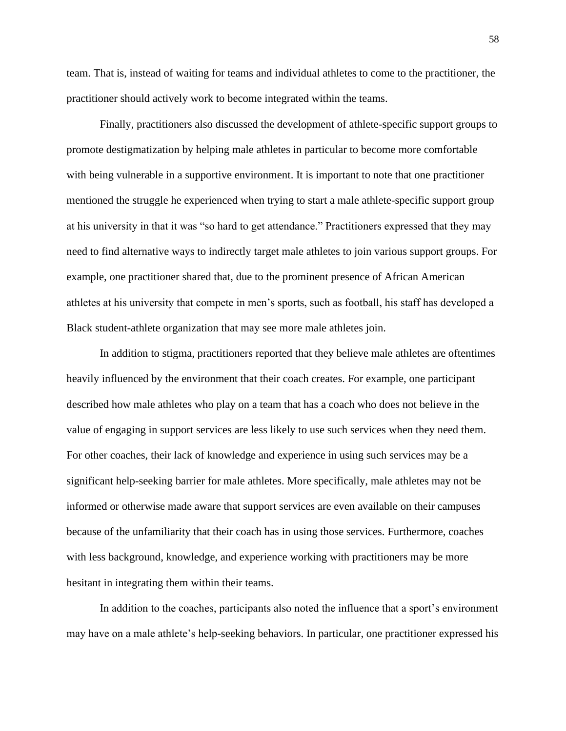team. That is, instead of waiting for teams and individual athletes to come to the practitioner, the practitioner should actively work to become integrated within the teams.

Finally, practitioners also discussed the development of athlete-specific support groups to promote destigmatization by helping male athletes in particular to become more comfortable with being vulnerable in a supportive environment. It is important to note that one practitioner mentioned the struggle he experienced when trying to start a male athlete-specific support group at his university in that it was "so hard to get attendance." Practitioners expressed that they may need to find alternative ways to indirectly target male athletes to join various support groups. For example, one practitioner shared that, due to the prominent presence of African American athletes at his university that compete in men's sports, such as football, his staff has developed a Black student-athlete organization that may see more male athletes join.

In addition to stigma, practitioners reported that they believe male athletes are oftentimes heavily influenced by the environment that their coach creates. For example, one participant described how male athletes who play on a team that has a coach who does not believe in the value of engaging in support services are less likely to use such services when they need them. For other coaches, their lack of knowledge and experience in using such services may be a significant help-seeking barrier for male athletes. More specifically, male athletes may not be informed or otherwise made aware that support services are even available on their campuses because of the unfamiliarity that their coach has in using those services. Furthermore, coaches with less background, knowledge, and experience working with practitioners may be more hesitant in integrating them within their teams.

In addition to the coaches, participants also noted the influence that a sport's environment may have on a male athlete's help-seeking behaviors. In particular, one practitioner expressed his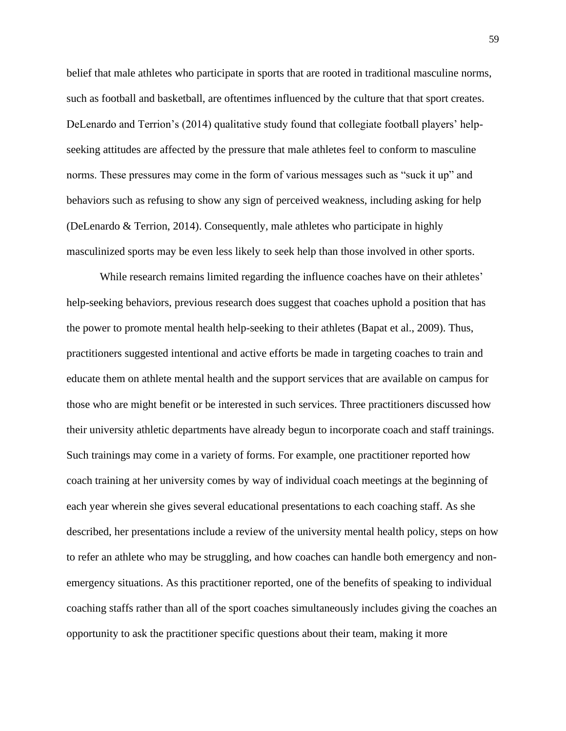belief that male athletes who participate in sports that are rooted in traditional masculine norms, such as football and basketball, are oftentimes influenced by the culture that that sport creates. DeLenardo and Terrion's (2014) qualitative study found that collegiate football players' helpseeking attitudes are affected by the pressure that male athletes feel to conform to masculine norms. These pressures may come in the form of various messages such as "suck it up" and behaviors such as refusing to show any sign of perceived weakness, including asking for help (DeLenardo & Terrion, 2014). Consequently, male athletes who participate in highly masculinized sports may be even less likely to seek help than those involved in other sports.

While research remains limited regarding the influence coaches have on their athletes' help-seeking behaviors, previous research does suggest that coaches uphold a position that has the power to promote mental health help-seeking to their athletes (Bapat et al., 2009). Thus, practitioners suggested intentional and active efforts be made in targeting coaches to train and educate them on athlete mental health and the support services that are available on campus for those who are might benefit or be interested in such services. Three practitioners discussed how their university athletic departments have already begun to incorporate coach and staff trainings. Such trainings may come in a variety of forms. For example, one practitioner reported how coach training at her university comes by way of individual coach meetings at the beginning of each year wherein she gives several educational presentations to each coaching staff. As she described, her presentations include a review of the university mental health policy, steps on how to refer an athlete who may be struggling, and how coaches can handle both emergency and nonemergency situations. As this practitioner reported, one of the benefits of speaking to individual coaching staffs rather than all of the sport coaches simultaneously includes giving the coaches an opportunity to ask the practitioner specific questions about their team, making it more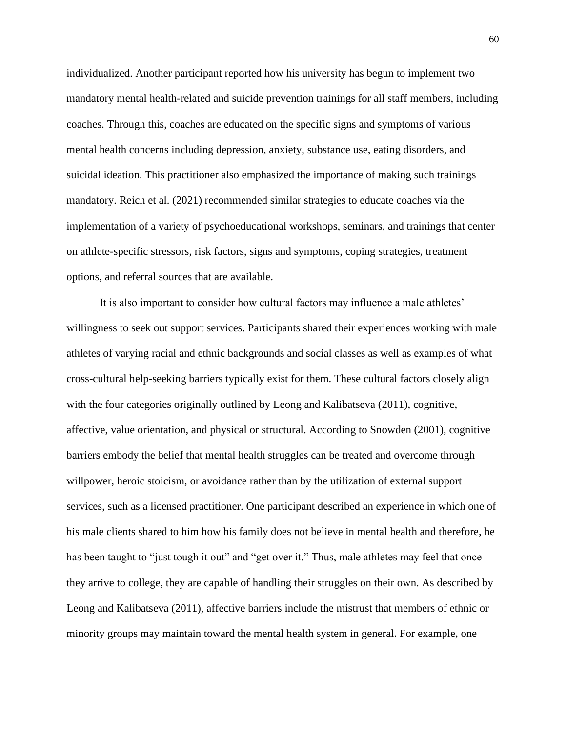individualized. Another participant reported how his university has begun to implement two mandatory mental health-related and suicide prevention trainings for all staff members, including coaches. Through this, coaches are educated on the specific signs and symptoms of various mental health concerns including depression, anxiety, substance use, eating disorders, and suicidal ideation. This practitioner also emphasized the importance of making such trainings mandatory. Reich et al. (2021) recommended similar strategies to educate coaches via the implementation of a variety of psychoeducational workshops, seminars, and trainings that center on athlete-specific stressors, risk factors, signs and symptoms, coping strategies, treatment options, and referral sources that are available.

It is also important to consider how cultural factors may influence a male athletes' willingness to seek out support services. Participants shared their experiences working with male athletes of varying racial and ethnic backgrounds and social classes as well as examples of what cross-cultural help-seeking barriers typically exist for them. These cultural factors closely align with the four categories originally outlined by Leong and Kalibatseva (2011), cognitive, affective, value orientation, and physical or structural. According to Snowden (2001), cognitive barriers embody the belief that mental health struggles can be treated and overcome through willpower, heroic stoicism, or avoidance rather than by the utilization of external support services, such as a licensed practitioner. One participant described an experience in which one of his male clients shared to him how his family does not believe in mental health and therefore, he has been taught to "just tough it out" and "get over it." Thus, male athletes may feel that once they arrive to college, they are capable of handling their struggles on their own. As described by Leong and Kalibatseva (2011), affective barriers include the mistrust that members of ethnic or minority groups may maintain toward the mental health system in general. For example, one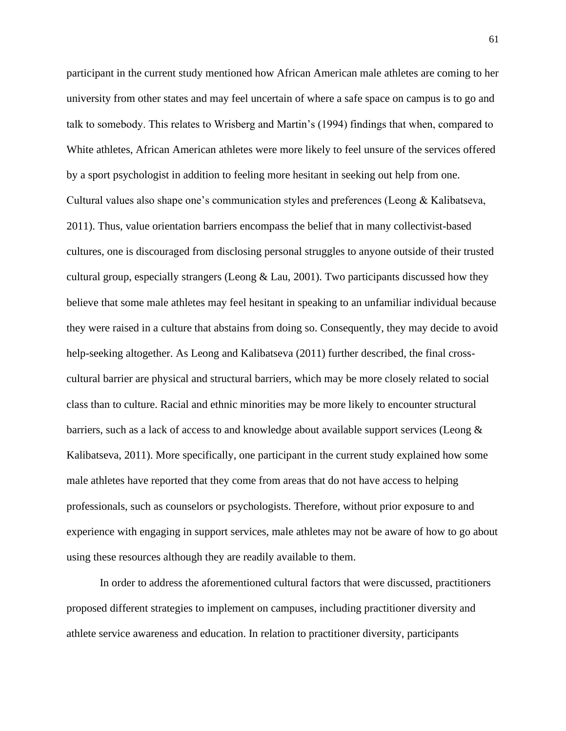participant in the current study mentioned how African American male athletes are coming to her university from other states and may feel uncertain of where a safe space on campus is to go and talk to somebody. This relates to Wrisberg and Martin's (1994) findings that when, compared to White athletes, African American athletes were more likely to feel unsure of the services offered by a sport psychologist in addition to feeling more hesitant in seeking out help from one. Cultural values also shape one's communication styles and preferences (Leong & Kalibatseva, 2011). Thus, value orientation barriers encompass the belief that in many collectivist-based cultures, one is discouraged from disclosing personal struggles to anyone outside of their trusted cultural group, especially strangers (Leong  $& Lau, 2001$ ). Two participants discussed how they believe that some male athletes may feel hesitant in speaking to an unfamiliar individual because they were raised in a culture that abstains from doing so. Consequently, they may decide to avoid help-seeking altogether. As Leong and Kalibatseva (2011) further described, the final crosscultural barrier are physical and structural barriers, which may be more closely related to social class than to culture. Racial and ethnic minorities may be more likely to encounter structural barriers, such as a lack of access to and knowledge about available support services (Leong & Kalibatseva, 2011). More specifically, one participant in the current study explained how some male athletes have reported that they come from areas that do not have access to helping professionals, such as counselors or psychologists. Therefore, without prior exposure to and experience with engaging in support services, male athletes may not be aware of how to go about using these resources although they are readily available to them.

In order to address the aforementioned cultural factors that were discussed, practitioners proposed different strategies to implement on campuses, including practitioner diversity and athlete service awareness and education. In relation to practitioner diversity, participants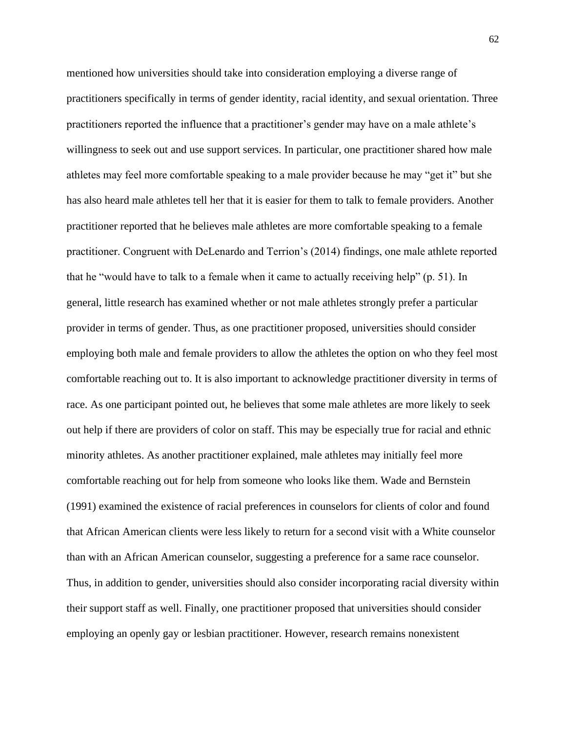mentioned how universities should take into consideration employing a diverse range of practitioners specifically in terms of gender identity, racial identity, and sexual orientation. Three practitioners reported the influence that a practitioner's gender may have on a male athlete's willingness to seek out and use support services. In particular, one practitioner shared how male athletes may feel more comfortable speaking to a male provider because he may "get it" but she has also heard male athletes tell her that it is easier for them to talk to female providers. Another practitioner reported that he believes male athletes are more comfortable speaking to a female practitioner. Congruent with DeLenardo and Terrion's (2014) findings, one male athlete reported that he "would have to talk to a female when it came to actually receiving help" (p. 51). In general, little research has examined whether or not male athletes strongly prefer a particular provider in terms of gender. Thus, as one practitioner proposed, universities should consider employing both male and female providers to allow the athletes the option on who they feel most comfortable reaching out to. It is also important to acknowledge practitioner diversity in terms of race. As one participant pointed out, he believes that some male athletes are more likely to seek out help if there are providers of color on staff. This may be especially true for racial and ethnic minority athletes. As another practitioner explained, male athletes may initially feel more comfortable reaching out for help from someone who looks like them. Wade and Bernstein (1991) examined the existence of racial preferences in counselors for clients of color and found that African American clients were less likely to return for a second visit with a White counselor than with an African American counselor, suggesting a preference for a same race counselor. Thus, in addition to gender, universities should also consider incorporating racial diversity within their support staff as well. Finally, one practitioner proposed that universities should consider employing an openly gay or lesbian practitioner. However, research remains nonexistent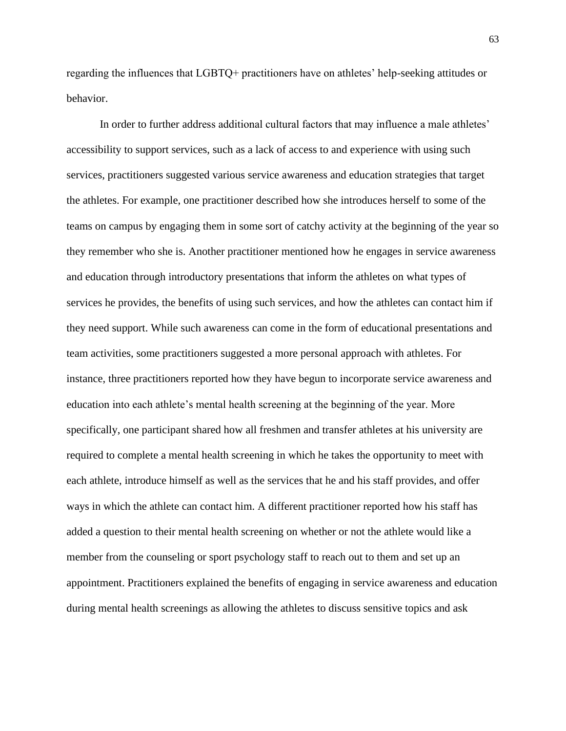regarding the influences that LGBTQ+ practitioners have on athletes' help-seeking attitudes or behavior.

In order to further address additional cultural factors that may influence a male athletes' accessibility to support services, such as a lack of access to and experience with using such services, practitioners suggested various service awareness and education strategies that target the athletes. For example, one practitioner described how she introduces herself to some of the teams on campus by engaging them in some sort of catchy activity at the beginning of the year so they remember who she is. Another practitioner mentioned how he engages in service awareness and education through introductory presentations that inform the athletes on what types of services he provides, the benefits of using such services, and how the athletes can contact him if they need support. While such awareness can come in the form of educational presentations and team activities, some practitioners suggested a more personal approach with athletes. For instance, three practitioners reported how they have begun to incorporate service awareness and education into each athlete's mental health screening at the beginning of the year. More specifically, one participant shared how all freshmen and transfer athletes at his university are required to complete a mental health screening in which he takes the opportunity to meet with each athlete, introduce himself as well as the services that he and his staff provides, and offer ways in which the athlete can contact him. A different practitioner reported how his staff has added a question to their mental health screening on whether or not the athlete would like a member from the counseling or sport psychology staff to reach out to them and set up an appointment. Practitioners explained the benefits of engaging in service awareness and education during mental health screenings as allowing the athletes to discuss sensitive topics and ask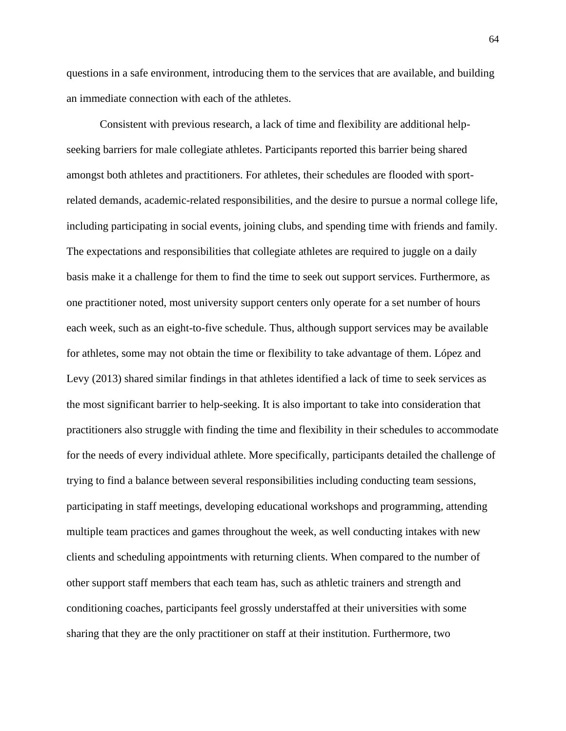questions in a safe environment, introducing them to the services that are available, and building an immediate connection with each of the athletes.

Consistent with previous research, a lack of time and flexibility are additional helpseeking barriers for male collegiate athletes. Participants reported this barrier being shared amongst both athletes and practitioners. For athletes, their schedules are flooded with sportrelated demands, academic-related responsibilities, and the desire to pursue a normal college life, including participating in social events, joining clubs, and spending time with friends and family. The expectations and responsibilities that collegiate athletes are required to juggle on a daily basis make it a challenge for them to find the time to seek out support services. Furthermore, as one practitioner noted, most university support centers only operate for a set number of hours each week, such as an eight-to-five schedule. Thus, although support services may be available for athletes, some may not obtain the time or flexibility to take advantage of them. López and Levy (2013) shared similar findings in that athletes identified a lack of time to seek services as the most significant barrier to help-seeking. It is also important to take into consideration that practitioners also struggle with finding the time and flexibility in their schedules to accommodate for the needs of every individual athlete. More specifically, participants detailed the challenge of trying to find a balance between several responsibilities including conducting team sessions, participating in staff meetings, developing educational workshops and programming, attending multiple team practices and games throughout the week, as well conducting intakes with new clients and scheduling appointments with returning clients. When compared to the number of other support staff members that each team has, such as athletic trainers and strength and conditioning coaches, participants feel grossly understaffed at their universities with some sharing that they are the only practitioner on staff at their institution. Furthermore, two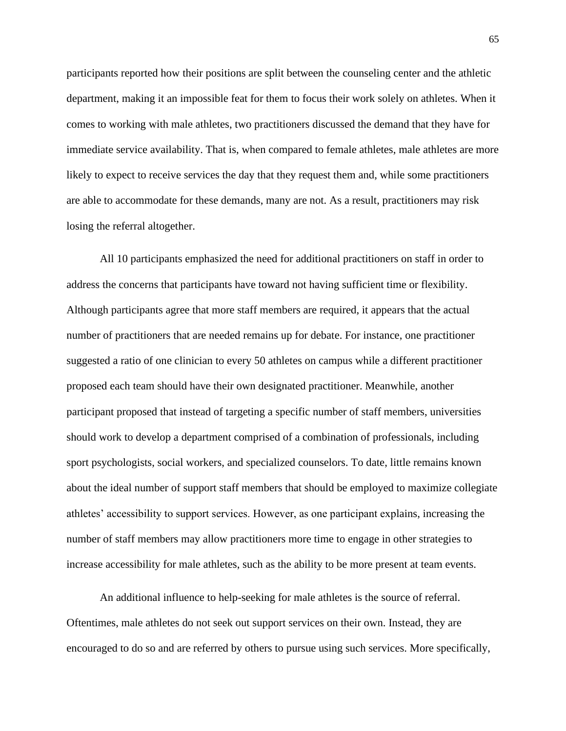participants reported how their positions are split between the counseling center and the athletic department, making it an impossible feat for them to focus their work solely on athletes. When it comes to working with male athletes, two practitioners discussed the demand that they have for immediate service availability. That is, when compared to female athletes, male athletes are more likely to expect to receive services the day that they request them and, while some practitioners are able to accommodate for these demands, many are not. As a result, practitioners may risk losing the referral altogether.

All 10 participants emphasized the need for additional practitioners on staff in order to address the concerns that participants have toward not having sufficient time or flexibility. Although participants agree that more staff members are required, it appears that the actual number of practitioners that are needed remains up for debate. For instance, one practitioner suggested a ratio of one clinician to every 50 athletes on campus while a different practitioner proposed each team should have their own designated practitioner. Meanwhile, another participant proposed that instead of targeting a specific number of staff members, universities should work to develop a department comprised of a combination of professionals, including sport psychologists, social workers, and specialized counselors. To date, little remains known about the ideal number of support staff members that should be employed to maximize collegiate athletes' accessibility to support services. However, as one participant explains, increasing the number of staff members may allow practitioners more time to engage in other strategies to increase accessibility for male athletes, such as the ability to be more present at team events.

An additional influence to help-seeking for male athletes is the source of referral. Oftentimes, male athletes do not seek out support services on their own. Instead, they are encouraged to do so and are referred by others to pursue using such services. More specifically,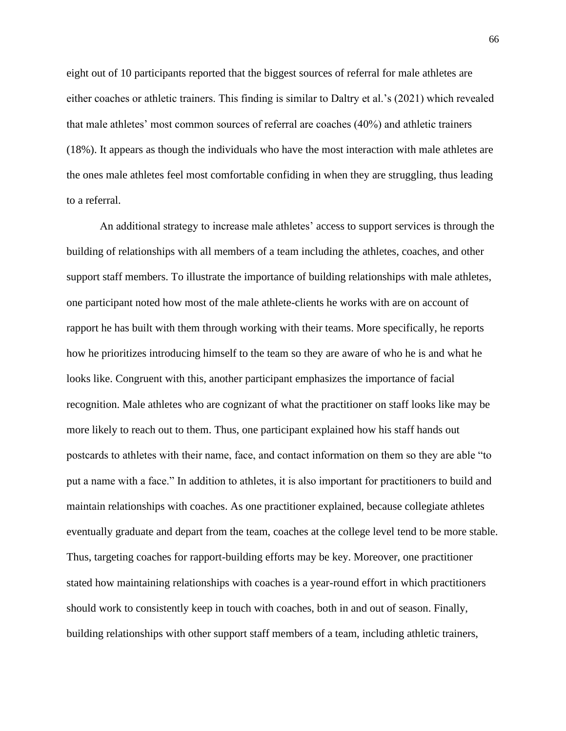eight out of 10 participants reported that the biggest sources of referral for male athletes are either coaches or athletic trainers. This finding is similar to Daltry et al.'s (2021) which revealed that male athletes' most common sources of referral are coaches (40%) and athletic trainers (18%). It appears as though the individuals who have the most interaction with male athletes are the ones male athletes feel most comfortable confiding in when they are struggling, thus leading to a referral.

An additional strategy to increase male athletes' access to support services is through the building of relationships with all members of a team including the athletes, coaches, and other support staff members. To illustrate the importance of building relationships with male athletes, one participant noted how most of the male athlete-clients he works with are on account of rapport he has built with them through working with their teams. More specifically, he reports how he prioritizes introducing himself to the team so they are aware of who he is and what he looks like. Congruent with this, another participant emphasizes the importance of facial recognition. Male athletes who are cognizant of what the practitioner on staff looks like may be more likely to reach out to them. Thus, one participant explained how his staff hands out postcards to athletes with their name, face, and contact information on them so they are able "to put a name with a face." In addition to athletes, it is also important for practitioners to build and maintain relationships with coaches. As one practitioner explained, because collegiate athletes eventually graduate and depart from the team, coaches at the college level tend to be more stable. Thus, targeting coaches for rapport-building efforts may be key. Moreover, one practitioner stated how maintaining relationships with coaches is a year-round effort in which practitioners should work to consistently keep in touch with coaches, both in and out of season. Finally, building relationships with other support staff members of a team, including athletic trainers,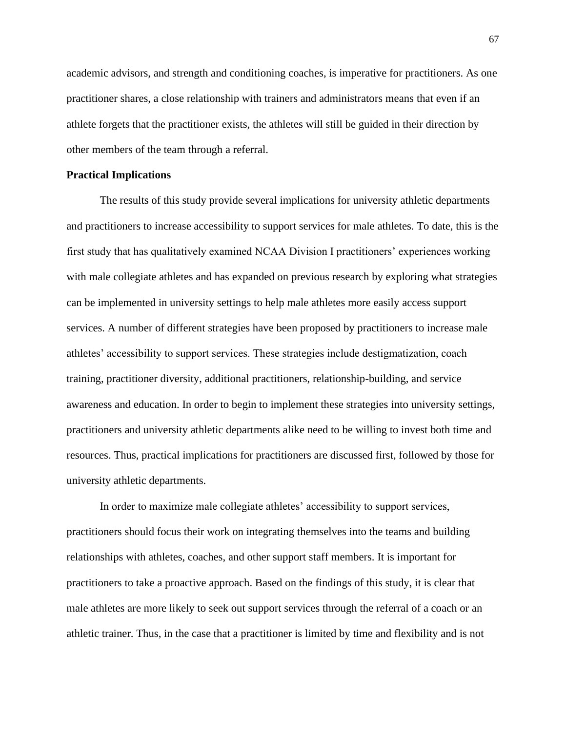academic advisors, and strength and conditioning coaches, is imperative for practitioners. As one practitioner shares, a close relationship with trainers and administrators means that even if an athlete forgets that the practitioner exists, the athletes will still be guided in their direction by other members of the team through a referral.

# **Practical Implications**

The results of this study provide several implications for university athletic departments and practitioners to increase accessibility to support services for male athletes. To date, this is the first study that has qualitatively examined NCAA Division I practitioners' experiences working with male collegiate athletes and has expanded on previous research by exploring what strategies can be implemented in university settings to help male athletes more easily access support services. A number of different strategies have been proposed by practitioners to increase male athletes' accessibility to support services. These strategies include destigmatization, coach training, practitioner diversity, additional practitioners, relationship-building, and service awareness and education. In order to begin to implement these strategies into university settings, practitioners and university athletic departments alike need to be willing to invest both time and resources. Thus, practical implications for practitioners are discussed first, followed by those for university athletic departments.

In order to maximize male collegiate athletes' accessibility to support services, practitioners should focus their work on integrating themselves into the teams and building relationships with athletes, coaches, and other support staff members. It is important for practitioners to take a proactive approach. Based on the findings of this study, it is clear that male athletes are more likely to seek out support services through the referral of a coach or an athletic trainer. Thus, in the case that a practitioner is limited by time and flexibility and is not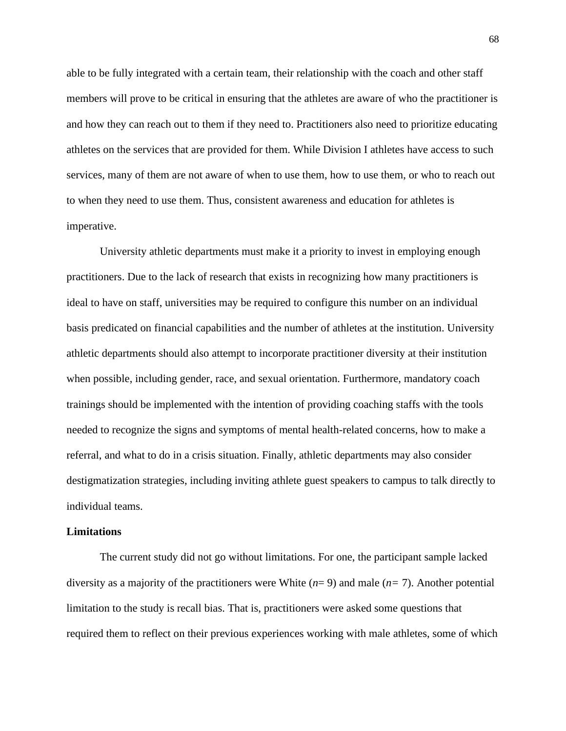able to be fully integrated with a certain team, their relationship with the coach and other staff members will prove to be critical in ensuring that the athletes are aware of who the practitioner is and how they can reach out to them if they need to. Practitioners also need to prioritize educating athletes on the services that are provided for them. While Division I athletes have access to such services, many of them are not aware of when to use them, how to use them, or who to reach out to when they need to use them. Thus, consistent awareness and education for athletes is imperative.

University athletic departments must make it a priority to invest in employing enough practitioners. Due to the lack of research that exists in recognizing how many practitioners is ideal to have on staff, universities may be required to configure this number on an individual basis predicated on financial capabilities and the number of athletes at the institution. University athletic departments should also attempt to incorporate practitioner diversity at their institution when possible, including gender, race, and sexual orientation. Furthermore, mandatory coach trainings should be implemented with the intention of providing coaching staffs with the tools needed to recognize the signs and symptoms of mental health-related concerns, how to make a referral, and what to do in a crisis situation. Finally, athletic departments may also consider destigmatization strategies, including inviting athlete guest speakers to campus to talk directly to individual teams.

#### **Limitations**

The current study did not go without limitations. For one, the participant sample lacked diversity as a majority of the practitioners were White (*n*= 9) and male (*n=* 7). Another potential limitation to the study is recall bias. That is, practitioners were asked some questions that required them to reflect on their previous experiences working with male athletes, some of which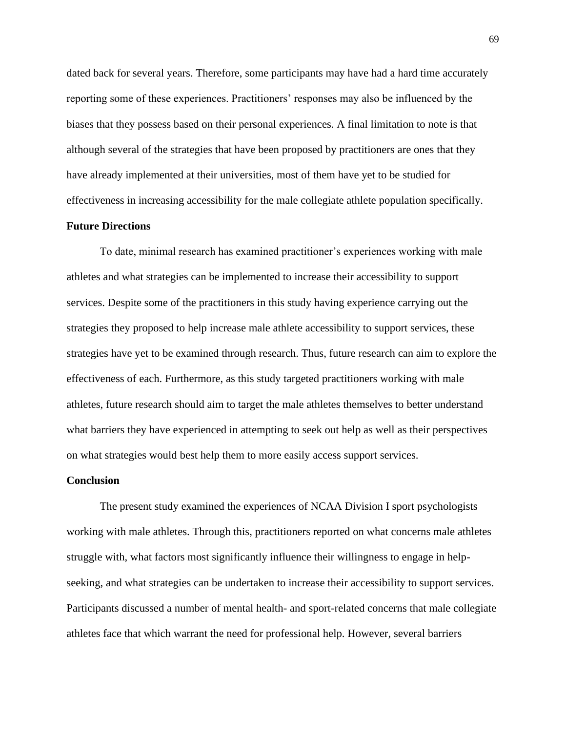dated back for several years. Therefore, some participants may have had a hard time accurately reporting some of these experiences. Practitioners' responses may also be influenced by the biases that they possess based on their personal experiences. A final limitation to note is that although several of the strategies that have been proposed by practitioners are ones that they have already implemented at their universities, most of them have yet to be studied for effectiveness in increasing accessibility for the male collegiate athlete population specifically.

## **Future Directions**

To date, minimal research has examined practitioner's experiences working with male athletes and what strategies can be implemented to increase their accessibility to support services. Despite some of the practitioners in this study having experience carrying out the strategies they proposed to help increase male athlete accessibility to support services, these strategies have yet to be examined through research. Thus, future research can aim to explore the effectiveness of each. Furthermore, as this study targeted practitioners working with male athletes, future research should aim to target the male athletes themselves to better understand what barriers they have experienced in attempting to seek out help as well as their perspectives on what strategies would best help them to more easily access support services.

#### **Conclusion**

The present study examined the experiences of NCAA Division I sport psychologists working with male athletes. Through this, practitioners reported on what concerns male athletes struggle with, what factors most significantly influence their willingness to engage in helpseeking, and what strategies can be undertaken to increase their accessibility to support services. Participants discussed a number of mental health- and sport-related concerns that male collegiate athletes face that which warrant the need for professional help. However, several barriers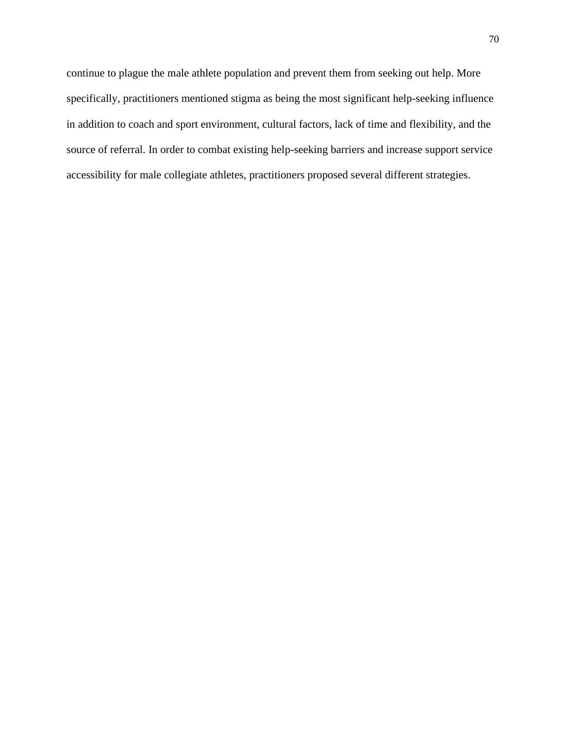continue to plague the male athlete population and prevent them from seeking out help. More specifically, practitioners mentioned stigma as being the most significant help-seeking influence in addition to coach and sport environment, cultural factors, lack of time and flexibility, and the source of referral. In order to combat existing help-seeking barriers and increase support service accessibility for male collegiate athletes, practitioners proposed several different strategies.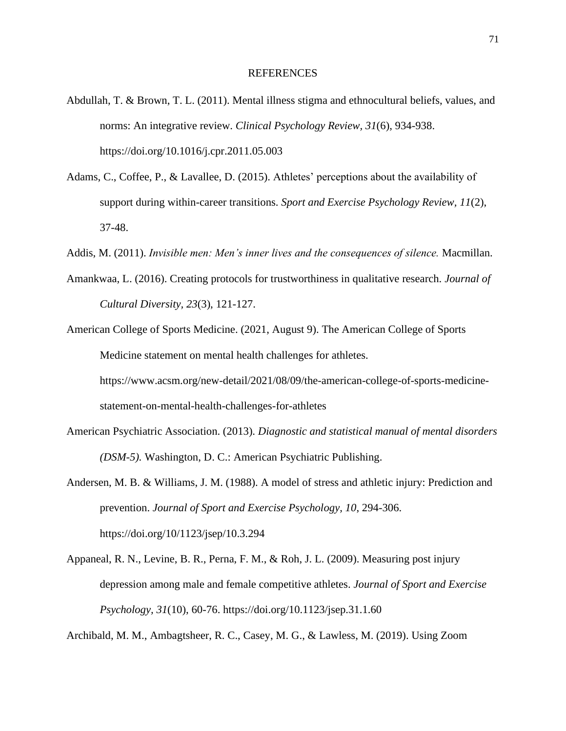- Abdullah, T. & Brown, T. L. (2011). Mental illness stigma and ethnocultural beliefs, values, and norms: An integrative review. *Clinical Psychology Review, 31*(6), 934-938. https://doi.org/10.1016/j.cpr.2011.05.003
- Adams, C., Coffee, P., & Lavallee, D. (2015). Athletes' perceptions about the availability of support during within-career transitions. *Sport and Exercise Psychology Review, 11*(2), 37-48.
- Addis, M. (2011). *Invisible men: Men's inner lives and the consequences of silence.* Macmillan.
- Amankwaa, L. (2016). Creating protocols for trustworthiness in qualitative research. *Journal of Cultural Diversity, 23*(3), 121-127.
- American College of Sports Medicine. (2021, August 9). The American College of Sports Medicine statement on mental health challenges for athletes. https://www.acsm.org/new-detail/2021/08/09/the-american-college-of-sports-medicine-

statement-on-mental-health-challenges-for-athletes

- American Psychiatric Association. (2013). *Diagnostic and statistical manual of mental disorders (DSM-5).* Washington, D. C.: American Psychiatric Publishing.
- Andersen, M. B. & Williams, J. M. (1988). A model of stress and athletic injury: Prediction and prevention. *Journal of Sport and Exercise Psychology, 10*, 294-306. https://doi.org/10/1123/jsep/10.3.294
- Appaneal, R. N., Levine, B. R., Perna, F. M., & Roh, J. L. (2009). Measuring post injury depression among male and female competitive athletes. *Journal of Sport and Exercise Psychology, 31*(10), 60-76. https://doi.org/10.1123/jsep.31.1.60

Archibald, M. M., Ambagtsheer, R. C., Casey, M. G., & Lawless, M. (2019). Using Zoom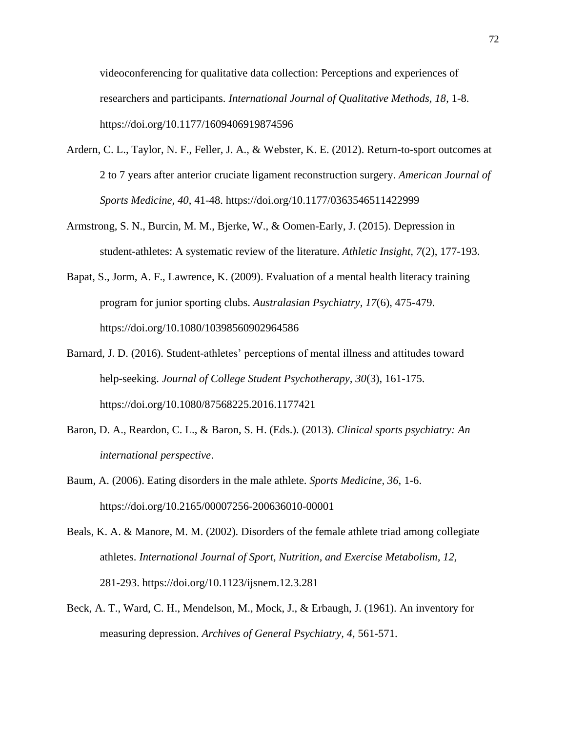videoconferencing for qualitative data collection: Perceptions and experiences of researchers and participants. *International Journal of Qualitative Methods, 18*, 1-8. https://doi.org/10.1177/1609406919874596

- Ardern, C. L., Taylor, N. F., Feller, J. A., & Webster, K. E. (2012). Return-to-sport outcomes at 2 to 7 years after anterior cruciate ligament reconstruction surgery. *American Journal of Sports Medicine, 40*, 41-48. https://doi.org/10.1177/0363546511422999
- Armstrong, S. N., Burcin, M. M., Bjerke, W., & Oomen-Early, J. (2015). Depression in student-athletes: A systematic review of the literature. *Athletic Insight, 7*(2), 177-193.
- Bapat, S., Jorm, A. F., Lawrence, K. (2009). Evaluation of a mental health literacy training program for junior sporting clubs. *Australasian Psychiatry, 17*(6), 475-479. https://doi.org/10.1080/10398560902964586
- Barnard, J. D. (2016). Student-athletes' perceptions of mental illness and attitudes toward help-seeking. *Journal of College Student Psychotherapy, 30*(3), 161-175. https://doi.org/10.1080/87568225.2016.1177421
- Baron, D. A., Reardon, C. L., & Baron, S. H. (Eds.). (2013). *Clinical sports psychiatry: An international perspective*.
- Baum, A. (2006). Eating disorders in the male athlete. *Sports Medicine, 36*, 1-6. https://doi.org/10.2165/00007256-200636010-00001
- Beals, K. A. & Manore, M. M. (2002). Disorders of the female athlete triad among collegiate athletes. *International Journal of Sport, Nutrition, and Exercise Metabolism, 12,*  281-293. https://doi.org/10.1123/ijsnem.12.3.281
- Beck, A. T., Ward, C. H., Mendelson, M., Mock, J., & Erbaugh, J. (1961). An inventory for measuring depression. *Archives of General Psychiatry, 4,* 561-571.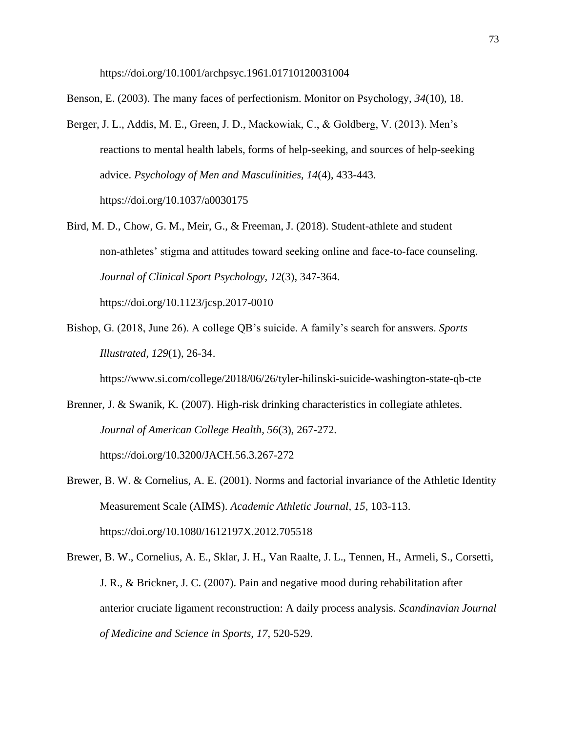https://doi.org/10.1001/archpsyc.1961.01710120031004

Benson, E. (2003). The many faces of perfectionism. Monitor on Psychology, *34*(10), 18.

- Berger, J. L., Addis, M. E., Green, J. D., Mackowiak, C., & Goldberg, V. (2013). Men's reactions to mental health labels, forms of help-seeking, and sources of help-seeking advice. *Psychology of Men and Masculinities, 14*(4), 433-443. https://doi.org/10.1037/a0030175
- Bird, M. D., Chow, G. M., Meir, G., & Freeman, J. (2018). Student-athlete and student non-athletes' stigma and attitudes toward seeking online and face-to-face counseling. *Journal of Clinical Sport Psychology, 12*(3), 347-364. https://doi.org/10.1123/jcsp.2017-0010
- Bishop, G. (2018, June 26). A college QB's suicide. A family's search for answers. *Sports Illustrated, 129*(1), 26-34.

https://www.si.com/college/2018/06/26/tyler-hilinski-suicide-washington-state-qb-cte

Brenner, J. & Swanik, K. (2007). High-risk drinking characteristics in collegiate athletes. *Journal of American College Health, 56*(3), 267-272.

https://doi.org/10.3200/JACH.56.3.267-272

- Brewer, B. W. & Cornelius, A. E. (2001). Norms and factorial invariance of the Athletic Identity Measurement Scale (AIMS). *Academic Athletic Journal, 15*, 103-113. https://doi.org/10.1080/1612197X.2012.705518
- Brewer, B. W., Cornelius, A. E., Sklar, J. H., Van Raalte, J. L., Tennen, H., Armeli, S., Corsetti, J. R., & Brickner, J. C. (2007). Pain and negative mood during rehabilitation after anterior cruciate ligament reconstruction: A daily process analysis. *Scandinavian Journal of Medicine and Science in Sports, 17*, 520-529.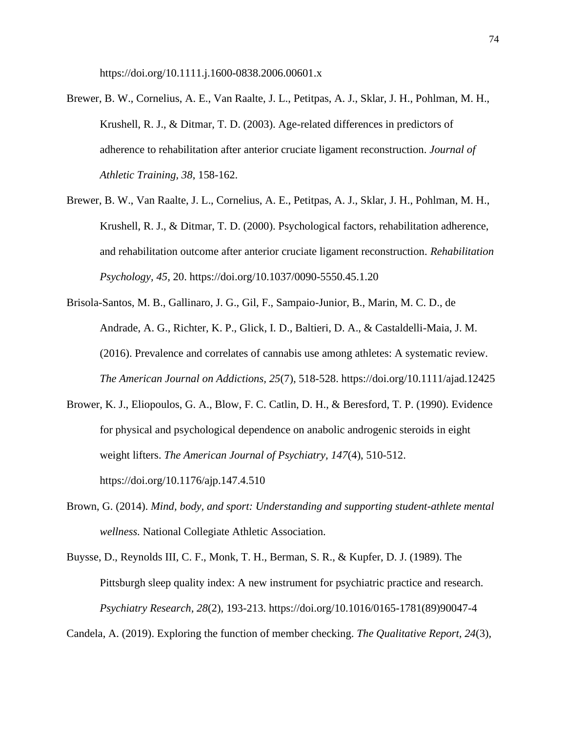https://doi.org/10.1111.j.1600-0838.2006.00601.x

- Brewer, B. W., Cornelius, A. E., Van Raalte, J. L., Petitpas, A. J., Sklar, J. H., Pohlman, M. H., Krushell, R. J., & Ditmar, T. D. (2003). Age-related differences in predictors of adherence to rehabilitation after anterior cruciate ligament reconstruction. *Journal of Athletic Training, 38*, 158-162.
- Brewer, B. W., Van Raalte, J. L., Cornelius, A. E., Petitpas, A. J., Sklar, J. H., Pohlman, M. H., Krushell, R. J., & Ditmar, T. D. (2000). Psychological factors, rehabilitation adherence, and rehabilitation outcome after anterior cruciate ligament reconstruction. *Rehabilitation Psychology, 45,* 20. https://doi.org/10.1037/0090-5550.45.1.20
- Brisola-Santos, M. B., Gallinaro, J. G., Gil, F., Sampaio-Junior, B., Marin, M. C. D., de Andrade, A. G., Richter, K. P., Glick, I. D., Baltieri, D. A., & Castaldelli-Maia, J. M. (2016). Prevalence and correlates of cannabis use among athletes: A systematic review. *The American Journal on Addictions, 25*(7), 518-528. https://doi.org/10.1111/ajad.12425
- Brower, K. J., Eliopoulos, G. A., Blow, F. C. Catlin, D. H., & Beresford, T. P. (1990). Evidence for physical and psychological dependence on anabolic androgenic steroids in eight weight lifters. *The American Journal of Psychiatry, 147*(4), 510-512. https://doi.org/10.1176/ajp.147.4.510
- Brown, G. (2014). *Mind, body, and sport: Understanding and supporting student-athlete mental wellness.* National Collegiate Athletic Association.
- Buysse, D., Reynolds III, C. F., Monk, T. H., Berman, S. R., & Kupfer, D. J. (1989). The Pittsburgh sleep quality index: A new instrument for psychiatric practice and research. *Psychiatry Research, 28*(2), 193-213. https://doi.org/10.1016/0165-1781(89)90047-4

Candela, A. (2019). Exploring the function of member checking. *The Qualitative Report, 24*(3),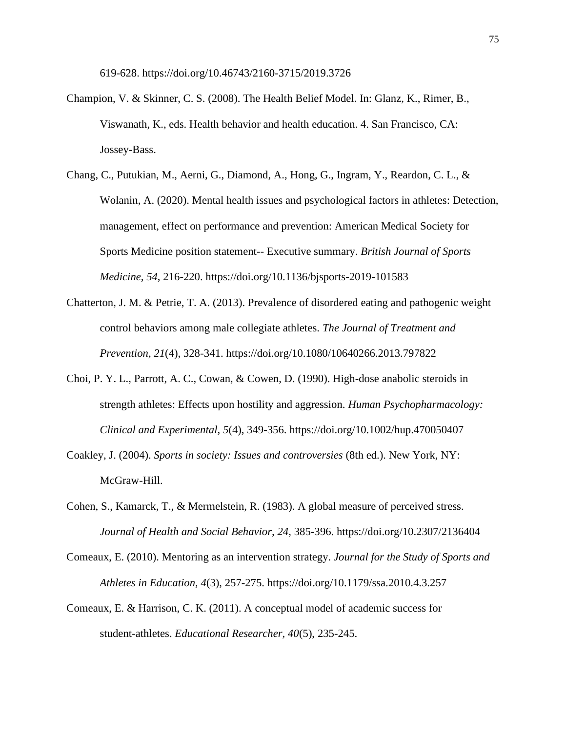619-628. https://doi.org/10.46743/2160-3715/2019.3726

- Champion, V. & Skinner, C. S. (2008). The Health Belief Model. In: Glanz, K., Rimer, B., Viswanath, K., eds. Health behavior and health education. 4. San Francisco, CA: Jossey-Bass.
- Chang, C., Putukian, M., Aerni, G., Diamond, A., Hong, G., Ingram, Y., Reardon, C. L., & Wolanin, A. (2020). Mental health issues and psychological factors in athletes: Detection, management, effect on performance and prevention: American Medical Society for Sports Medicine position statement-- Executive summary. *British Journal of Sports Medicine, 54*, 216-220. https://doi.org/10.1136/bjsports-2019-101583
- Chatterton, J. M. & Petrie, T. A. (2013). Prevalence of disordered eating and pathogenic weight control behaviors among male collegiate athletes. *The Journal of Treatment and Prevention, 21*(4), 328-341. https://doi.org/10.1080/10640266.2013.797822
- Choi, P. Y. L., Parrott, A. C., Cowan, & Cowen, D. (1990). High-dose anabolic steroids in strength athletes: Effects upon hostility and aggression. *Human Psychopharmacology: Clinical and Experimental, 5*(4), 349-356. https://doi.org/10.1002/hup.470050407
- Coakley, J. (2004). *Sports in society: Issues and controversies* (8th ed.). New York, NY: McGraw-Hill.
- Cohen, S., Kamarck, T., & Mermelstein, R. (1983). A global measure of perceived stress. *Journal of Health and Social Behavior, 24*, 385-396. https://doi.org/10.2307/2136404
- Comeaux, E. (2010). Mentoring as an intervention strategy. *Journal for the Study of Sports and Athletes in Education, 4*(3), 257-275. https://doi.org/10.1179/ssa.2010.4.3.257
- Comeaux, E. & Harrison, C. K. (2011). A conceptual model of academic success for student-athletes. *Educational Researcher, 40*(5), 235-245.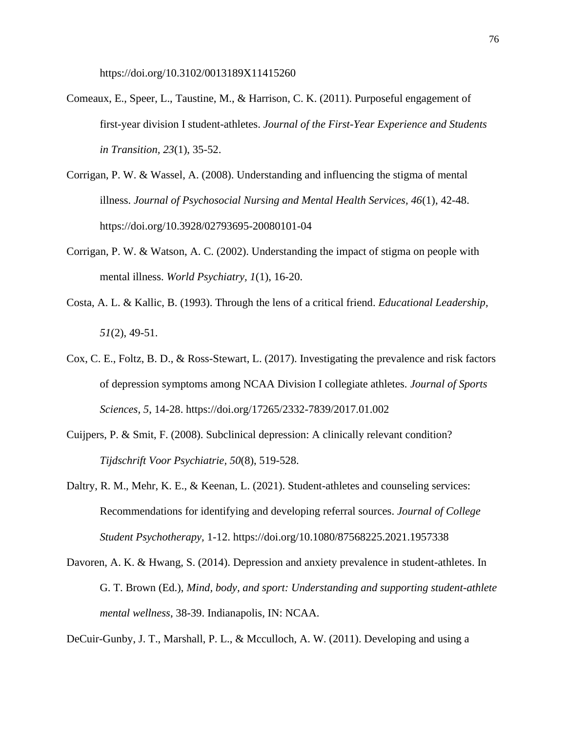https://doi.org/10.3102/0013189X11415260

- Comeaux, E., Speer, L., Taustine, M., & Harrison, C. K. (2011). Purposeful engagement of first-year division I student-athletes. *Journal of the First-Year Experience and Students in Transition, 23*(1), 35-52.
- Corrigan, P. W. & Wassel, A. (2008). Understanding and influencing the stigma of mental illness. *Journal of Psychosocial Nursing and Mental Health Services, 46*(1), 42-48. https://doi.org/10.3928/02793695-20080101-04
- Corrigan, P. W. & Watson, A. C. (2002). Understanding the impact of stigma on people with mental illness. *World Psychiatry, 1*(1), 16-20.
- Costa, A. L. & Kallic, B. (1993). Through the lens of a critical friend. *Educational Leadership, 51*(2), 49-51.
- Cox, C. E., Foltz, B. D., & Ross-Stewart, L. (2017). Investigating the prevalence and risk factors of depression symptoms among NCAA Division I collegiate athletes. *Journal of Sports Sciences, 5*, 14-28. https://doi.org/17265/2332-7839/2017.01.002
- Cuijpers, P. & Smit, F. (2008). Subclinical depression: A clinically relevant condition? *Tijdschrift Voor Psychiatrie, 50*(8), 519-528.
- Daltry, R. M., Mehr, K. E., & Keenan, L. (2021). Student-athletes and counseling services: Recommendations for identifying and developing referral sources. *Journal of College Student Psychotherapy,* 1-12. https://doi.org/10.1080/87568225.2021.1957338
- Davoren, A. K. & Hwang, S. (2014). Depression and anxiety prevalence in student-athletes. In G. T. Brown (Ed.), *Mind, body, and sport: Understanding and supporting student-athlete mental wellness*, 38-39. Indianapolis, IN: NCAA.

DeCuir-Gunby, J. T., Marshall, P. L., & Mcculloch, A. W. (2011). Developing and using a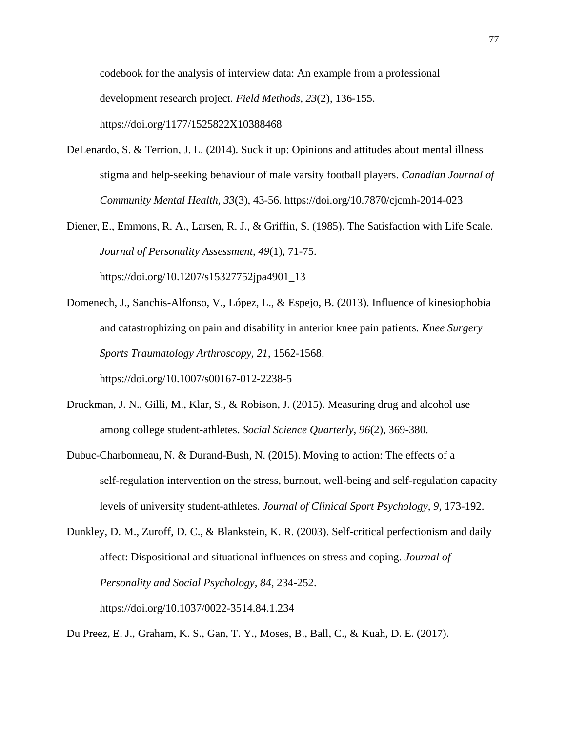codebook for the analysis of interview data: An example from a professional development research project. *Field Methods, 23*(2), 136-155. https://doi.org/1177/1525822X10388468

- DeLenardo, S. & Terrion, J. L. (2014). Suck it up: Opinions and attitudes about mental illness stigma and help-seeking behaviour of male varsity football players. *Canadian Journal of Community Mental Health, 33*(3), 43-56. https://doi.org/10.7870/cjcmh-2014-023
- Diener, E., Emmons, R. A., Larsen, R. J., & Griffin, S. (1985). The Satisfaction with Life Scale. *Journal of Personality Assessment, 49*(1), 71-75. https://doi.org/10.1207/s15327752jpa4901\_13
- Domenech, J., Sanchis-Alfonso, V., López, L., & Espejo, B. (2013). Influence of kinesiophobia and catastrophizing on pain and disability in anterior knee pain patients. *Knee Surgery Sports Traumatology Arthroscopy, 21*, 1562-1568.

https://doi.org/10.1007/s00167-012-2238-5

- Druckman, J. N., Gilli, M., Klar, S., & Robison, J. (2015). Measuring drug and alcohol use among college student-athletes. *Social Science Quarterly, 96*(2), 369-380.
- Dubuc-Charbonneau, N. & Durand-Bush, N. (2015). Moving to action: The effects of a self-regulation intervention on the stress, burnout, well-being and self-regulation capacity levels of university student-athletes. *Journal of Clinical Sport Psychology, 9*, 173-192.
- Dunkley, D. M., Zuroff, D. C., & Blankstein, K. R. (2003). Self-critical perfectionism and daily affect: Dispositional and situational influences on stress and coping. *Journal of Personality and Social Psychology, 84*, 234-252. https://doi.org/10.1037/0022-3514.84.1.234

Du Preez, E. J., Graham, K. S., Gan, T. Y., Moses, B., Ball, C., & Kuah, D. E. (2017).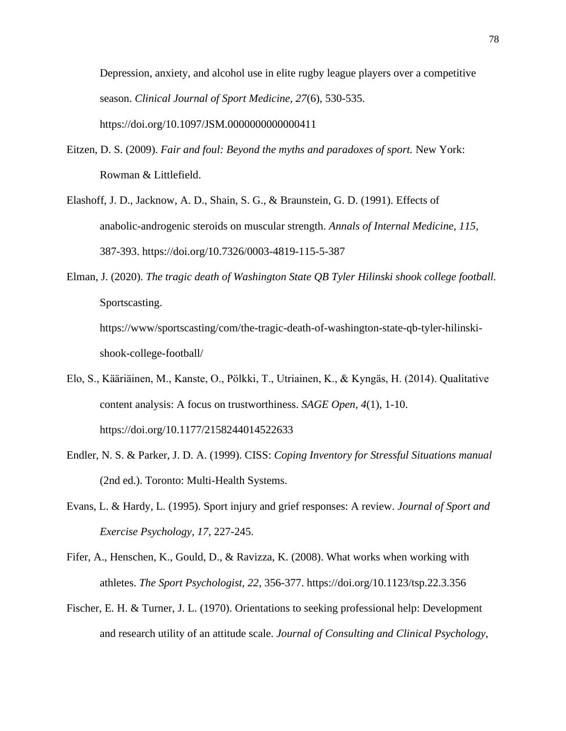Depression, anxiety, and alcohol use in elite rugby league players over a competitive season. *Clinical Journal of Sport Medicine, 27*(6), 530-535. https://doi.org/10.1097/JSM.0000000000000411

- Eitzen, D. S. (2009). *Fair and foul: Beyond the myths and paradoxes of sport.* New York: Rowman & Littlefield.
- Elashoff, J. D., Jacknow, A. D., Shain, S. G., & Braunstein, G. D. (1991). Effects of anabolic-androgenic steroids on muscular strength. *Annals of Internal Medicine, 115,* 387-393. https://doi.org/10.7326/0003-4819-115-5-387
- Elman, J. (2020). *The tragic death of Washington State QB Tyler Hilinski shook college football.*  Sportscasting. https://www/sportscasting/com/the-tragic-death-of-washington-state-qb-tyler-hilinskishook-college-football/
- Elo, S., Kääriäinen, M., Kanste, O., Pӧlkki, T., Utriainen, K., & Kyngäs, H. (2014). Qualitative content analysis: A focus on trustworthiness. *SAGE Open, 4*(1), 1-10. https://doi.org/10.1177/2158244014522633
- Endler, N. S. & Parker, J. D. A. (1999). CISS: *Coping Inventory for Stressful Situations manual* (2nd ed.). Toronto: Multi-Health Systems.
- Evans, L. & Hardy, L. (1995). Sport injury and grief responses: A review. *Journal of Sport and Exercise Psychology, 17*, 227-245.
- Fifer, A., Henschen, K., Gould, D., & Ravizza, K. (2008). What works when working with athletes. *The Sport Psychologist, 22*, 356-377. https://doi.org/10.1123/tsp.22.3.356
- Fischer, E. H. & Turner, J. L. (1970). Orientations to seeking professional help: Development and research utility of an attitude scale. *Journal of Consulting and Clinical Psychology,*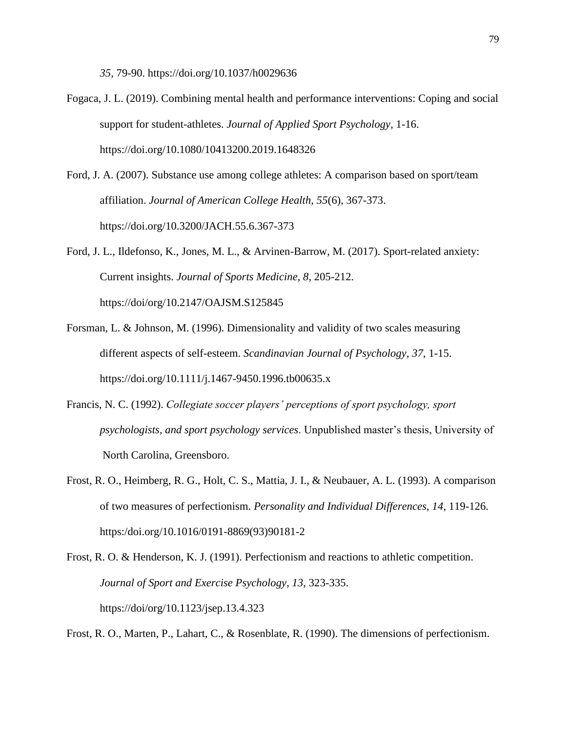*35,* 79-90. https://doi.org/10.1037/h0029636

- Fogaca, J. L. (2019). Combining mental health and performance interventions: Coping and social support for student-athletes. *Journal of Applied Sport Psychology,* 1-16. https://doi.org/10.1080/10413200.2019.1648326
- Ford, J. A. (2007). Substance use among college athletes: A comparison based on sport/team affiliation. *Journal of American College Health, 55*(6), 367-373. https://doi.org/10.3200/JACH.55.6.367-373
- Ford, J. L., Ildefonso, K., Jones, M. L., & Arvinen-Barrow, M. (2017). Sport-related anxiety: Current insights. *Journal of Sports Medicine, 8,* 205-212. https://doi/org/10.2147/OAJSM.S125845
- Forsman, L. & Johnson, M. (1996). Dimensionality and validity of two scales measuring different aspects of self-esteem. *Scandinavian Journal of Psychology, 37*, 1-15. https://doi.org/10.1111/j.1467-9450.1996.tb00635.x
- Francis, N. C. (1992). *Collegiate soccer players' perceptions of sport psychology, sport psychologists, and sport psychology services*. Unpublished master's thesis, University of North Carolina, Greensboro.
- Frost, R. O., Heimberg, R. G., Holt, C. S., Mattia, J. I., & Neubauer, A. L. (1993). A comparison of two measures of perfectionism. *Personality and Individual Differences, 14*, 119-126. https:/doi.org/10.1016/0191-8869(93)90181-2
- Frost, R. O. & Henderson, K. J. (1991). Perfectionism and reactions to athletic competition. *Journal of Sport and Exercise Psychology, 13*, 323-335. https://doi/org/10.1123/jsep.13.4.323

Frost, R. O., Marten, P., Lahart, C., & Rosenblate, R. (1990). The dimensions of perfectionism.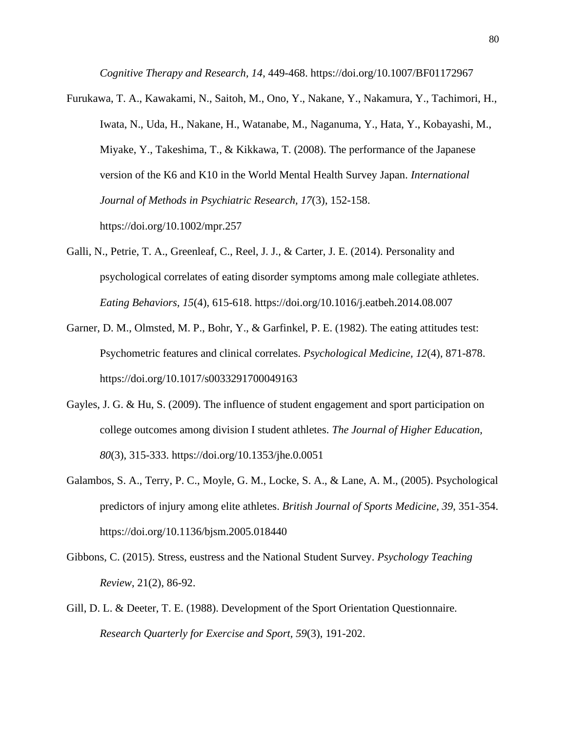*Cognitive Therapy and Research, 14*, 449-468. https://doi.org/10.1007/BF01172967

- Furukawa, T. A., Kawakami, N., Saitoh, M., Ono, Y., Nakane, Y., Nakamura, Y., Tachimori, H., Iwata, N., Uda, H., Nakane, H., Watanabe, M., Naganuma, Y., Hata, Y., Kobayashi, M., Miyake, Y., Takeshima, T., & Kikkawa, T. (2008). The performance of the Japanese version of the K6 and K10 in the World Mental Health Survey Japan. *International Journal of Methods in Psychiatric Research, 17*(3), 152-158. https://doi.org/10.1002/mpr.257
- Galli, N., Petrie, T. A., Greenleaf, C., Reel, J. J., & Carter, J. E. (2014). Personality and psychological correlates of eating disorder symptoms among male collegiate athletes. *Eating Behaviors, 15*(4), 615-618. https://doi.org/10.1016/j.eatbeh.2014.08.007
- Garner, D. M., Olmsted, M. P., Bohr, Y., & Garfinkel, P. E. (1982). The eating attitudes test: Psychometric features and clinical correlates. *Psychological Medicine, 12*(4), 871-878. https://doi.org/10.1017/s0033291700049163
- Gayles, J. G. & Hu, S. (2009). The influence of student engagement and sport participation on college outcomes among division I student athletes. *The Journal of Higher Education, 80*(3), 315-333. https://doi.org/10.1353/jhe.0.0051
- Galambos, S. A., Terry, P. C., Moyle, G. M., Locke, S. A., & Lane, A. M., (2005). Psychological predictors of injury among elite athletes. *British Journal of Sports Medicine, 39,* 351-354. https://doi.org/10.1136/bjsm.2005.018440
- Gibbons, C. (2015). Stress, eustress and the National Student Survey. *Psychology Teaching Review*, 21(2), 86-92.
- Gill, D. L. & Deeter, T. E. (1988). Development of the Sport Orientation Questionnaire. *Research Quarterly for Exercise and Sport, 59*(3), 191-202.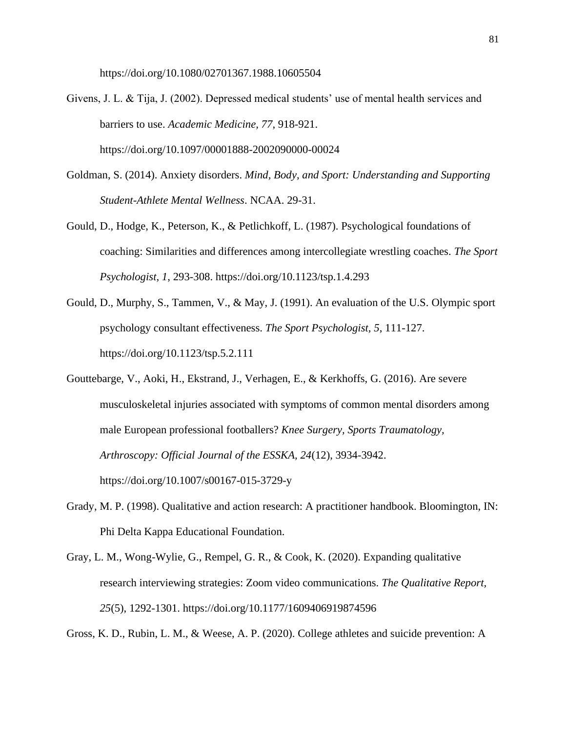https://doi.org/10.1080/02701367.1988.10605504

- Givens, J. L. & Tija, J. (2002). Depressed medical students' use of mental health services and barriers to use. *Academic Medicine, 77*, 918-921. https://doi.org/10.1097/00001888-2002090000-00024
- Goldman, S. (2014). Anxiety disorders. *Mind, Body, and Sport: Understanding and Supporting Student-Athlete Mental Wellness*. NCAA. 29-31.
- Gould, D., Hodge, K., Peterson, K., & Petlichkoff, L. (1987). Psychological foundations of coaching: Similarities and differences among intercollegiate wrestling coaches. *The Sport Psychologist, 1*, 293-308. https://doi.org/10.1123/tsp.1.4.293
- Gould, D., Murphy, S., Tammen, V., & May, J. (1991). An evaluation of the U.S. Olympic sport psychology consultant effectiveness. *The Sport Psychologist, 5*, 111-127. https://doi.org/10.1123/tsp.5.2.111
- Gouttebarge, V., Aoki, H., Ekstrand, J., Verhagen, E., & Kerkhoffs, G. (2016). Are severe musculoskeletal injuries associated with symptoms of common mental disorders among male European professional footballers? *Knee Surgery, Sports Traumatology, Arthroscopy: Official Journal of the ESSKA, 24*(12), 3934-3942. https://doi.org/10.1007/s00167-015-3729-y
- Grady, M. P. (1998). Qualitative and action research: A practitioner handbook. Bloomington, IN: Phi Delta Kappa Educational Foundation.
- Gray, L. M., Wong-Wylie, G., Rempel, G. R., & Cook, K. (2020). Expanding qualitative research interviewing strategies: Zoom video communications. *The Qualitative Report, 25*(5), 1292-1301. https://doi.org/10.1177/1609406919874596

Gross, K. D., Rubin, L. M., & Weese, A. P. (2020). College athletes and suicide prevention: A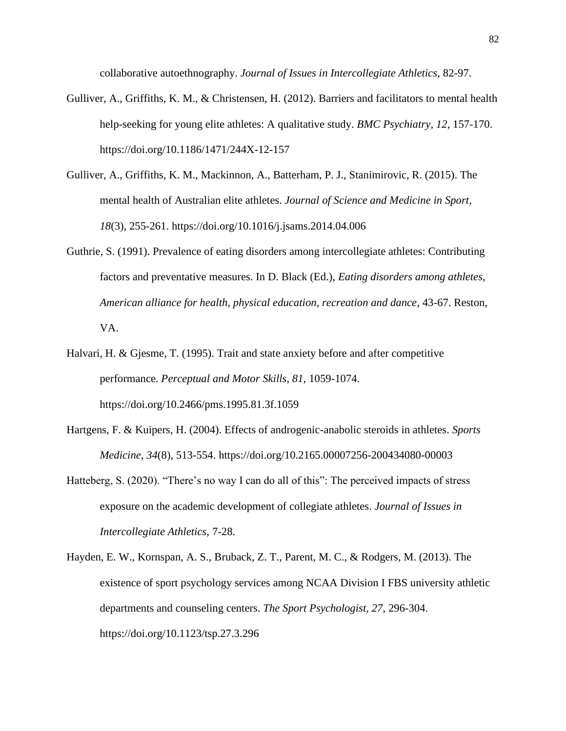collaborative autoethnography. *Journal of Issues in Intercollegiate Athletics,* 82-97.

- Gulliver, A., Griffiths, K. M., & Christensen, H. (2012). Barriers and facilitators to mental health help-seeking for young elite athletes: A qualitative study. *BMC Psychiatry, 12*, 157-170. https://doi.org/10.1186/1471/244X-12-157
- Gulliver, A., Griffiths, K. M., Mackinnon, A., Batterham, P. J., Stanimirovic, R. (2015). The mental health of Australian elite athletes. *Journal of Science and Medicine in Sport, 18*(3), 255-261. https://doi.org/10.1016/j.jsams.2014.04.006
- Guthrie, S. (1991). Prevalence of eating disorders among intercollegiate athletes: Contributing factors and preventative measures. In D. Black (Ed.), *Eating disorders among athletes, American alliance for health, physical education, recreation and dance*, 43-67. Reston, VA.
- Halvari, H. & Gjesme, T. (1995). Trait and state anxiety before and after competitive performance. *Perceptual and Motor Skills, 81,* 1059-1074. https://doi.org/10.2466/pms.1995.81.3f.1059
- Hartgens, F. & Kuipers, H. (2004). Effects of androgenic-anabolic steroids in athletes. *Sports Medicine, 34*(8), 513-554. https://doi.org/10.2165.00007256-200434080-00003
- Hatteberg, S. (2020). "There's no way I can do all of this": The perceived impacts of stress exposure on the academic development of collegiate athletes. *Journal of Issues in Intercollegiate Athletics,* 7-28.
- Hayden, E. W., Kornspan, A. S., Bruback, Z. T., Parent, M. C., & Rodgers, M. (2013). The existence of sport psychology services among NCAA Division I FBS university athletic departments and counseling centers. *The Sport Psychologist, 27*, 296-304. https://doi.org/10.1123/tsp.27.3.296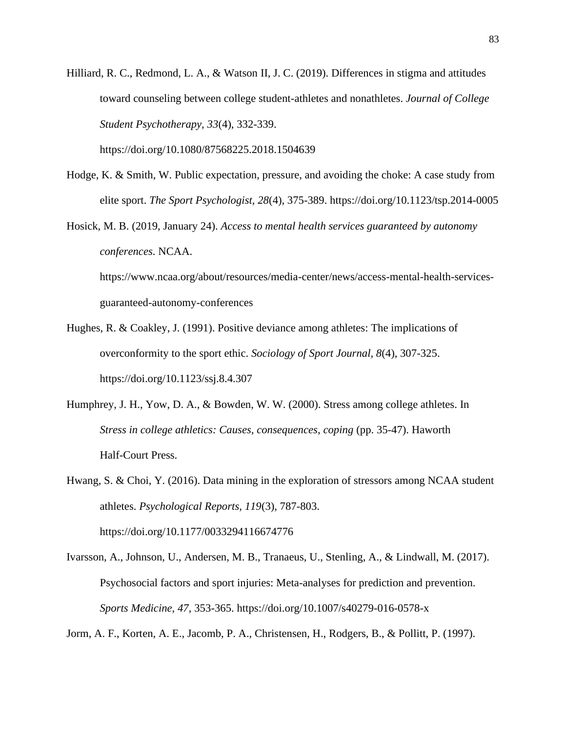Hilliard, R. C., Redmond, L. A., & Watson II, J. C. (2019). Differences in stigma and attitudes toward counseling between college student-athletes and nonathletes. *Journal of College Student Psychotherapy, 33*(4), 332-339.

https://doi.org/10.1080/87568225.2018.1504639

- Hodge, K. & Smith, W. Public expectation, pressure, and avoiding the choke: A case study from elite sport. *The Sport Psychologist, 28*(4), 375-389. https://doi.org/10.1123/tsp.2014-0005
- Hosick, M. B. (2019, January 24). *Access to mental health services guaranteed by autonomy conferences*. NCAA. https://www.ncaa.org/about/resources/media-center/news/access-mental-health-servicesguaranteed-autonomy-conferences
- Hughes, R. & Coakley, J. (1991). Positive deviance among athletes: The implications of overconformity to the sport ethic. *Sociology of Sport Journal, 8*(4), 307-325. https://doi.org/10.1123/ssj.8.4.307
- Humphrey, J. H., Yow, D. A., & Bowden, W. W. (2000). Stress among college athletes. In *Stress in college athletics: Causes, consequences, coping* (pp. 35-47). Haworth Half-Court Press.
- Hwang, S. & Choi, Y. (2016). Data mining in the exploration of stressors among NCAA student athletes. *Psychological Reports, 119*(3), 787-803. https://doi.org/10.1177/0033294116674776
- Ivarsson, A., Johnson, U., Andersen, M. B., Tranaeus, U., Stenling, A., & Lindwall, M. (2017). Psychosocial factors and sport injuries: Meta-analyses for prediction and prevention. *Sports Medicine, 47,* 353-365. https://doi.org/10.1007/s40279-016-0578-x

Jorm, A. F., Korten, A. E., Jacomb, P. A., Christensen, H., Rodgers, B., & Pollitt, P. (1997).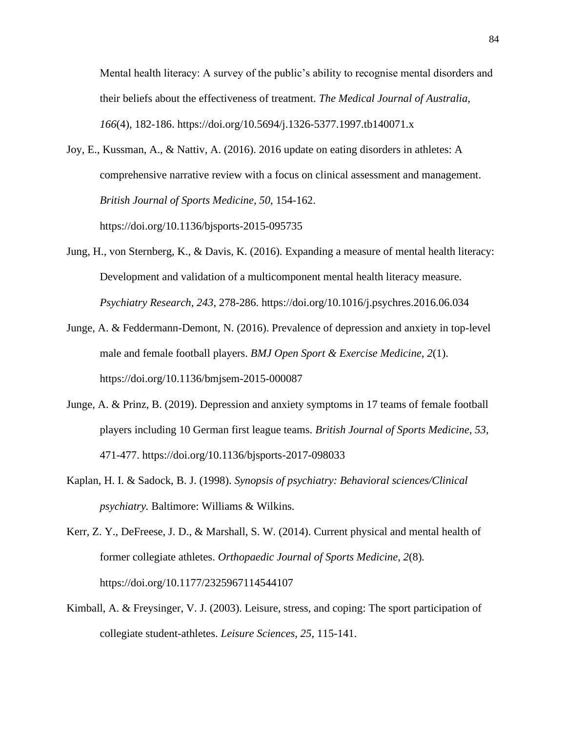Mental health literacy: A survey of the public's ability to recognise mental disorders and their beliefs about the effectiveness of treatment. *The Medical Journal of Australia, 166*(4), 182-186. https://doi.org/10.5694/j.1326-5377.1997.tb140071.x

- Joy, E., Kussman, A., & Nattiv, A. (2016). 2016 update on eating disorders in athletes: A comprehensive narrative review with a focus on clinical assessment and management. *British Journal of Sports Medicine, 50*, 154-162. https://doi.org/10.1136/bjsports-2015-095735
- Jung, H., von Sternberg, K., & Davis, K. (2016). Expanding a measure of mental health literacy: Development and validation of a multicomponent mental health literacy measure. *Psychiatry Research, 243*, 278-286. https://doi.org/10.1016/j.psychres.2016.06.034
- Junge, A. & Feddermann-Demont, N. (2016). Prevalence of depression and anxiety in top-level male and female football players. *BMJ Open Sport & Exercise Medicine, 2*(1). https://doi.org/10.1136/bmjsem-2015-000087
- Junge, A. & Prinz, B. (2019). Depression and anxiety symptoms in 17 teams of female football players including 10 German first league teams. *British Journal of Sports Medicine, 53*, 471-477. https://doi.org/10.1136/bjsports-2017-098033
- Kaplan, H. I. & Sadock, B. J. (1998). *Synopsis of psychiatry: Behavioral sciences/Clinical psychiatry.* Baltimore: Williams & Wilkins.
- Kerr, Z. Y., DeFreese, J. D., & Marshall, S. W. (2014). Current physical and mental health of former collegiate athletes. *Orthopaedic Journal of Sports Medicine, 2*(8)*.*  https://doi.org/10.1177/2325967114544107
- Kimball, A. & Freysinger, V. J. (2003). Leisure, stress, and coping: The sport participation of collegiate student-athletes. *Leisure Sciences, 25*, 115-141.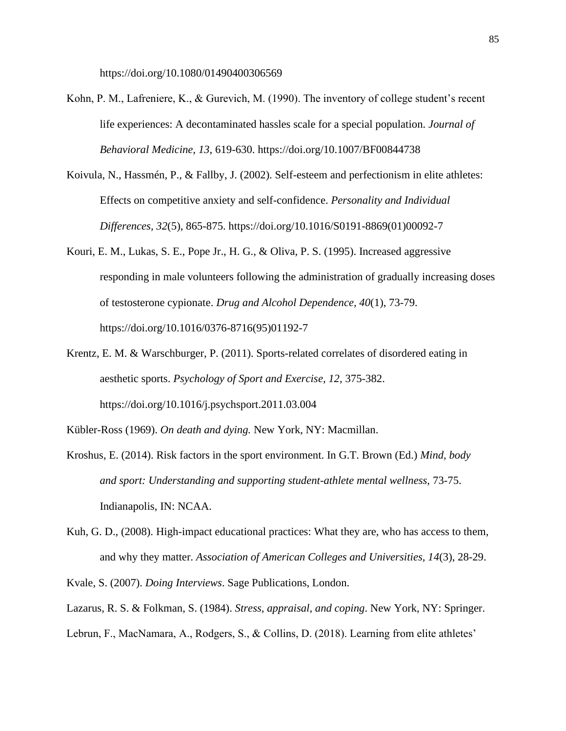https://doi.org/10.1080/01490400306569

- Kohn, P. M., Lafreniere, K., & Gurevich, M. (1990). The inventory of college student's recent life experiences: A decontaminated hassles scale for a special population. *Journal of Behavioral Medicine, 13*, 619-630. https://doi.org/10.1007/BF00844738
- Koivula, N., Hassmén, P., & Fallby, J. (2002). Self-esteem and perfectionism in elite athletes: Effects on competitive anxiety and self-confidence. *Personality and Individual Differences, 32*(5), 865-875. https://doi.org/10.1016/S0191-8869(01)00092-7
- Kouri, E. M., Lukas, S. E., Pope Jr., H. G., & Oliva, P. S. (1995). Increased aggressive responding in male volunteers following the administration of gradually increasing doses of testosterone cypionate. *Drug and Alcohol Dependence, 40*(1), 73-79. https://doi.org/10.1016/0376-8716(95)01192-7
- Krentz, E. M. & Warschburger, P. (2011). Sports-related correlates of disordered eating in aesthetic sports. *Psychology of Sport and Exercise, 12,* 375-382. https://doi.org/10.1016/j.psychsport.2011.03.004

Kübler-Ross (1969). *On death and dying.* New York, NY: Macmillan.

- Kroshus, E. (2014). Risk factors in the sport environment. In G.T. Brown (Ed.) *Mind, body and sport: Understanding and supporting student-athlete mental wellness,* 73-75. Indianapolis, IN: NCAA.
- Kuh, G. D., (2008). High-impact educational practices: What they are, who has access to them, and why they matter. *Association of American Colleges and Universities, 14*(3), 28-29.

Kvale, S. (2007). *Doing Interviews*. Sage Publications, London.

Lazarus, R. S. & Folkman, S. (1984). *Stress, appraisal, and coping*. New York, NY: Springer.

Lebrun, F., MacNamara, A., Rodgers, S., & Collins, D. (2018). Learning from elite athletes'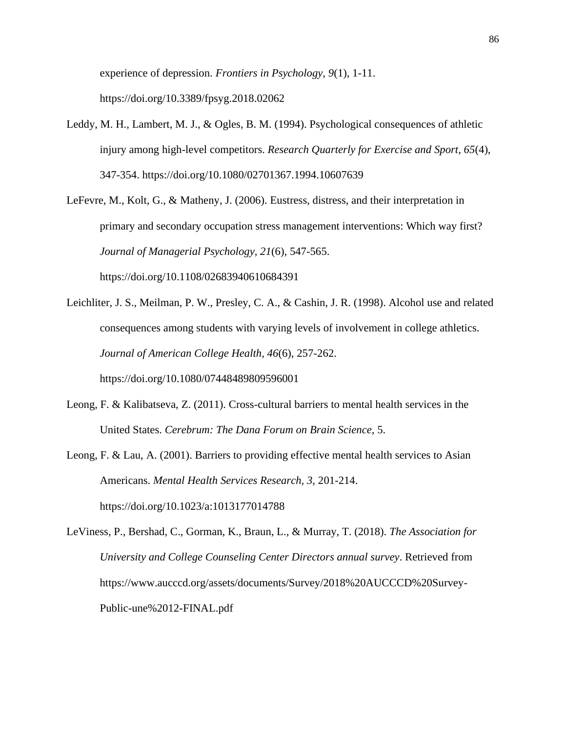experience of depression. *Frontiers in Psychology, 9*(1), 1-11. https://doi.org/10.3389/fpsyg.2018.02062

Leddy, M. H., Lambert, M. J., & Ogles, B. M. (1994). Psychological consequences of athletic injury among high-level competitors. *Research Quarterly for Exercise and Sport, 65*(4), 347-354. https://doi.org/10.1080/02701367.1994.10607639

LeFevre, M., Kolt, G., & Matheny, J. (2006). Eustress, distress, and their interpretation in primary and secondary occupation stress management interventions: Which way first? *Journal of Managerial Psychology, 21*(6), 547-565. https://doi.org/10.1108/02683940610684391

- Leichliter, J. S., Meilman, P. W., Presley, C. A., & Cashin, J. R. (1998). Alcohol use and related consequences among students with varying levels of involvement in college athletics. *Journal of American College Health, 46*(6), 257-262. https://doi.org/10.1080/07448489809596001
- Leong, F. & Kalibatseva, Z. (2011). Cross-cultural barriers to mental health services in the United States. *Cerebrum: The Dana Forum on Brain Science,* 5.
- Leong, F. & Lau, A. (2001). Barriers to providing effective mental health services to Asian Americans. *Mental Health Services Research, 3,* 201-214. https://doi.org/10.1023/a:1013177014788
- LeViness, P., Bershad, C., Gorman, K., Braun, L., & Murray, T. (2018). *The Association for University and College Counseling Center Directors annual survey*. Retrieved from https://www.aucccd.org/assets/documents/Survey/2018%20AUCCCD%20Survey-Public-une%2012-FINAL.pdf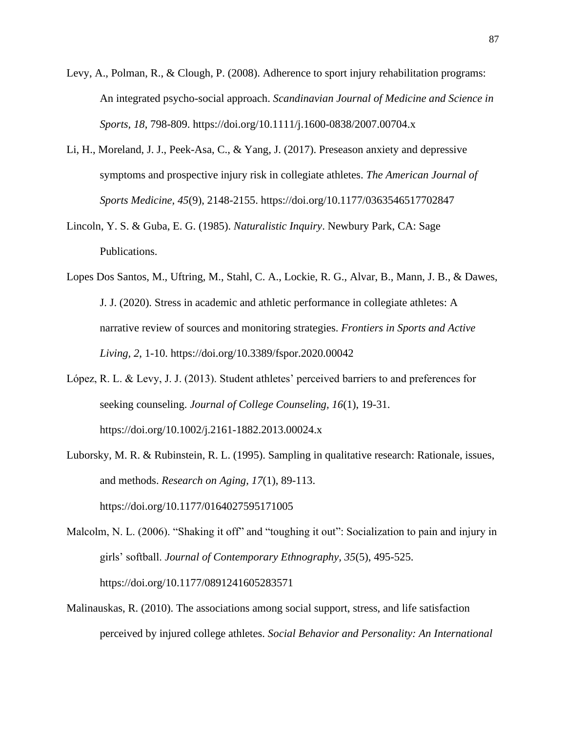- Levy, A., Polman, R., & Clough, P. (2008). Adherence to sport injury rehabilitation programs: An integrated psycho-social approach. *Scandinavian Journal of Medicine and Science in Sports, 18*, 798-809. https://doi.org/10.1111/j.1600-0838/2007.00704.x
- Li, H., Moreland, J. J., Peek-Asa, C., & Yang, J. (2017). Preseason anxiety and depressive symptoms and prospective injury risk in collegiate athletes. *The American Journal of Sports Medicine, 45*(9), 2148-2155. https://doi.org/10.1177/0363546517702847
- Lincoln, Y. S. & Guba, E. G. (1985). *Naturalistic Inquiry*. Newbury Park, CA: Sage Publications.
- Lopes Dos Santos, M., Uftring, M., Stahl, C. A., Lockie, R. G., Alvar, B., Mann, J. B., & Dawes, J. J. (2020). Stress in academic and athletic performance in collegiate athletes: A narrative review of sources and monitoring strategies. *Frontiers in Sports and Active Living, 2*, 1-10. https://doi.org/10.3389/fspor.2020.00042
- López, R. L. & Levy, J. J. (2013). Student athletes' perceived barriers to and preferences for seeking counseling. *Journal of College Counseling, 16*(1), 19-31. https://doi.org/10.1002/j.2161-1882.2013.00024.x
- Luborsky, M. R. & Rubinstein, R. L. (1995). Sampling in qualitative research: Rationale, issues, and methods. *Research on Aging, 17*(1), 89-113.

https://doi.org/10.1177/0164027595171005

- Malcolm, N. L. (2006). "Shaking it off" and "toughing it out": Socialization to pain and injury in girls' softball. *Journal of Contemporary Ethnography, 35*(5), 495-525. https://doi.org/10.1177/0891241605283571
- Malinauskas, R. (2010). The associations among social support, stress, and life satisfaction perceived by injured college athletes. *Social Behavior and Personality: An International*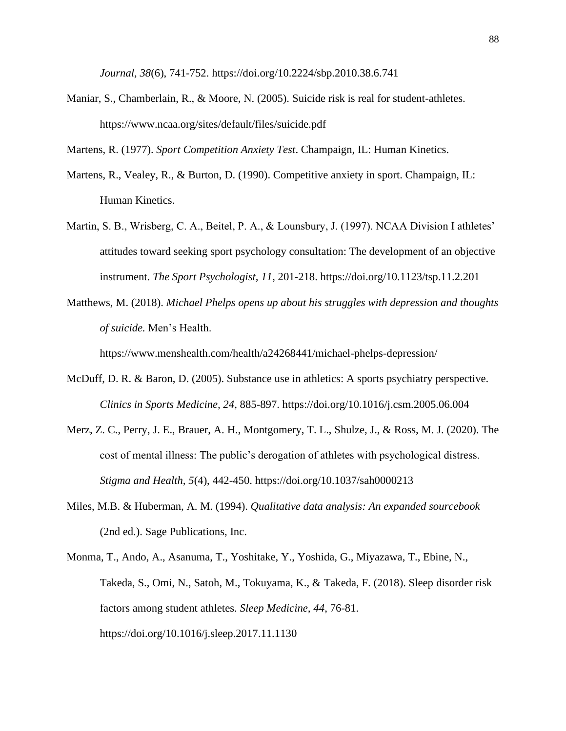*Journal, 38*(6), 741-752. https://doi.org/10.2224/sbp.2010.38.6.741

Maniar, S., Chamberlain, R., & Moore, N. (2005). Suicide risk is real for student-athletes. https://www.ncaa.org/sites/default/files/suicide.pdf

Martens, R. (1977). *Sport Competition Anxiety Test*. Champaign, IL: Human Kinetics.

- Martens, R., Vealey, R., & Burton, D. (1990). Competitive anxiety in sport. Champaign, IL: Human Kinetics.
- Martin, S. B., Wrisberg, C. A., Beitel, P. A., & Lounsbury, J. (1997). NCAA Division I athletes' attitudes toward seeking sport psychology consultation: The development of an objective instrument. *The Sport Psychologist, 11*, 201-218. https://doi.org/10.1123/tsp.11.2.201
- Matthews, M. (2018). *Michael Phelps opens up about his struggles with depression and thoughts of suicide.* Men's Health.

https://www.menshealth.com/health/a24268441/michael-phelps-depression/

- McDuff, D. R. & Baron, D. (2005). Substance use in athletics: A sports psychiatry perspective. *Clinics in Sports Medicine, 24*, 885-897. https://doi.org/10.1016/j.csm.2005.06.004
- Merz, Z. C., Perry, J. E., Brauer, A. H., Montgomery, T. L., Shulze, J., & Ross, M. J. (2020). The cost of mental illness: The public's derogation of athletes with psychological distress. *Stigma and Health, 5*(4), 442-450. https://doi.org/10.1037/sah0000213
- Miles, M.B. & Huberman, A. M. (1994). *Qualitative data analysis: An expanded sourcebook* (2nd ed.). Sage Publications, Inc.
- Monma, T., Ando, A., Asanuma, T., Yoshitake, Y., Yoshida, G., Miyazawa, T., Ebine, N., Takeda, S., Omi, N., Satoh, M., Tokuyama, K., & Takeda, F. (2018). Sleep disorder risk factors among student athletes. *Sleep Medicine, 44*, 76-81. https://doi.org/10.1016/j.sleep.2017.11.1130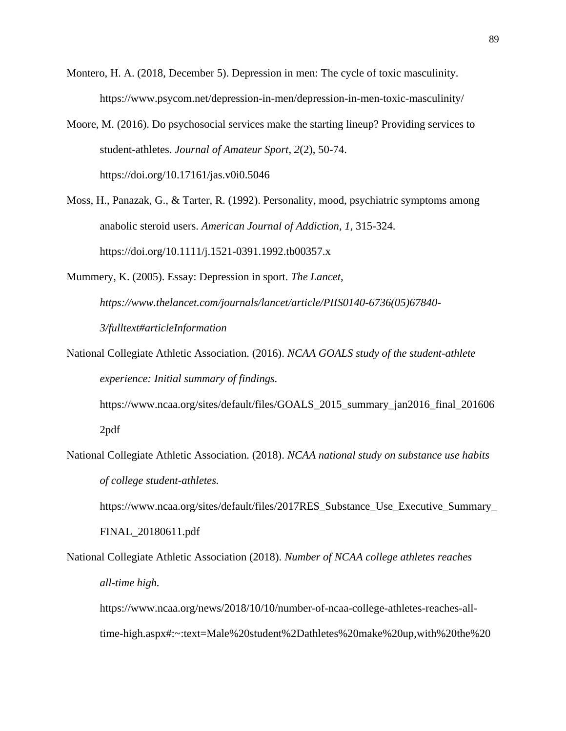- Montero, H. A. (2018, December 5). Depression in men: The cycle of toxic masculinity. https://www.psycom.net/depression-in-men/depression-in-men-toxic-masculinity/
- Moore, M. (2016). Do psychosocial services make the starting lineup? Providing services to student-athletes. *Journal of Amateur Sport, 2*(2), 50-74. https://doi.org/10.17161/jas.v0i0.5046
- Moss, H., Panazak, G., & Tarter, R. (1992). Personality, mood, psychiatric symptoms among anabolic steroid users. *American Journal of Addiction, 1*, 315-324. https://doi.org/10.1111/j.1521-0391.1992.tb00357.x
- Mummery, K. (2005). Essay: Depression in sport. *The Lancet, https://www.thelancet.com/journals/lancet/article/PIIS0140-6736(05)67840- 3/fulltext#articleInformation*
- National Collegiate Athletic Association. (2016). *NCAA GOALS study of the student-athlete experience: Initial summary of findings.*

https://www.ncaa.org/sites/default/files/GOALS\_2015\_summary\_jan2016\_final\_201606 2pdf

National Collegiate Athletic Association. (2018). *NCAA national study on substance use habits of college student-athletes.*

https://www.ncaa.org/sites/default/files/2017RES\_Substance\_Use\_Executive\_Summary\_

FINAL\_20180611.pdf

National Collegiate Athletic Association (2018). *Number of NCAA college athletes reaches all-time high.*

https://www.ncaa.org/news/2018/10/10/number-of-ncaa-college-athletes-reaches-alltime-high.aspx#:~:text=Male%20student%2Dathletes%20make%20up,with%20the%20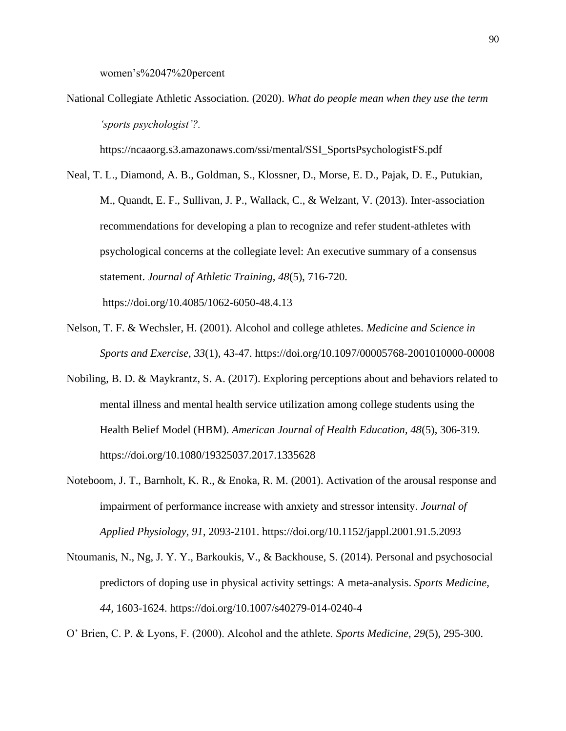women's%2047%20percent

National Collegiate Athletic Association. (2020). *What do people mean when they use the term 'sports psychologist'?.*

https://ncaaorg.s3.amazonaws.com/ssi/mental/SSI\_SportsPsychologistFS.pdf

Neal, T. L., Diamond, A. B., Goldman, S., Klossner, D., Morse, E. D., Pajak, D. E., Putukian, M., Quandt, E. F., Sullivan, J. P., Wallack, C., & Welzant, V. (2013). Inter-association recommendations for developing a plan to recognize and refer student-athletes with psychological concerns at the collegiate level: An executive summary of a consensus statement. *Journal of Athletic Training, 48*(5), 716-720.

https://doi.org/10.4085/1062-6050-48.4.13

- Nelson, T. F. & Wechsler, H. (2001). Alcohol and college athletes. *Medicine and Science in Sports and Exercise, 33*(1), 43-47. https://doi.org/10.1097/00005768-2001010000-00008
- Nobiling, B. D. & Maykrantz, S. A. (2017). Exploring perceptions about and behaviors related to mental illness and mental health service utilization among college students using the Health Belief Model (HBM). *American Journal of Health Education, 48*(5), 306-319. https://doi.org/10.1080/19325037.2017.1335628
- Noteboom, J. T., Barnholt, K. R., & Enoka, R. M. (2001). Activation of the arousal response and impairment of performance increase with anxiety and stressor intensity. *Journal of Applied Physiology, 91*, 2093-2101. https://doi.org/10.1152/jappl.2001.91.5.2093
- Ntoumanis, N., Ng, J. Y. Y., Barkoukis, V., & Backhouse, S. (2014). Personal and psychosocial predictors of doping use in physical activity settings: A meta-analysis. *Sports Medicine, 44,* 1603-1624. https://doi.org/10.1007/s40279-014-0240-4

O' Brien, C. P. & Lyons, F. (2000). Alcohol and the athlete. *Sports Medicine, 29*(5), 295-300.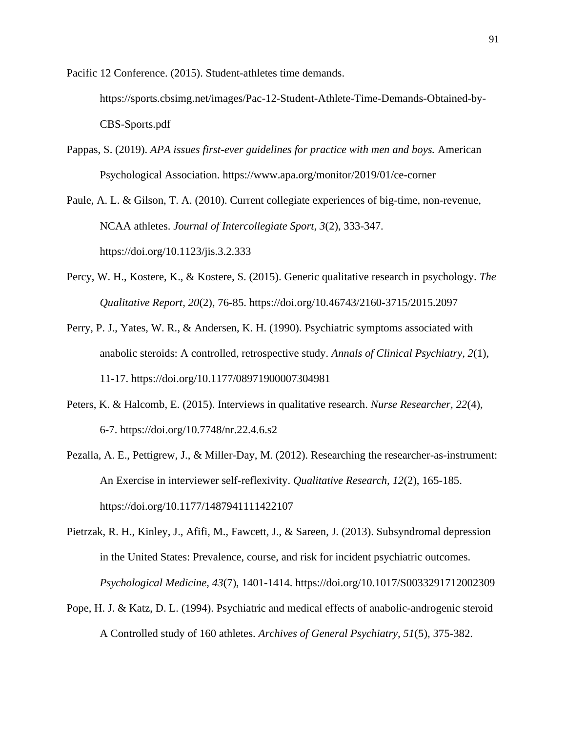Pacific 12 Conference. (2015). Student-athletes time demands.

https://sports.cbsimg.net/images/Pac-12-Student-Athlete-Time-Demands-Obtained-by-CBS-Sports.pdf

Pappas, S. (2019). *APA issues first-ever guidelines for practice with men and boys.* American Psychological Association. https://www.apa.org/monitor/2019/01/ce-corner

Paule, A. L. & Gilson, T. A. (2010). Current collegiate experiences of big-time, non-revenue, NCAA athletes. *Journal of Intercollegiate Sport, 3*(2), 333-347. https://doi.org/10.1123/jis.3.2.333

- Percy, W. H., Kostere, K., & Kostere, S. (2015). Generic qualitative research in psychology. *The Qualitative Report, 20*(2), 76-85. https://doi.org/10.46743/2160-3715/2015.2097
- Perry, P. J., Yates, W. R., & Andersen, K. H. (1990). Psychiatric symptoms associated with anabolic steroids: A controlled, retrospective study. *Annals of Clinical Psychiatry, 2*(1), 11-17. https://doi.org/10.1177/08971900007304981
- Peters, K. & Halcomb, E. (2015). Interviews in qualitative research. *Nurse Researcher, 22*(4), 6-7. https://doi.org/10.7748/nr.22.4.6.s2
- Pezalla, A. E., Pettigrew, J., & Miller-Day, M. (2012). Researching the researcher-as-instrument: An Exercise in interviewer self-reflexivity. *Qualitative Research, 12*(2), 165-185. https://doi.org/10.1177/1487941111422107
- Pietrzak, R. H., Kinley, J., Afifi, M., Fawcett, J., & Sareen, J. (2013). Subsyndromal depression in the United States: Prevalence, course, and risk for incident psychiatric outcomes. *Psychological Medicine, 43*(7), 1401-1414. https://doi.org/10.1017/S0033291712002309
- Pope, H. J. & Katz, D. L. (1994). Psychiatric and medical effects of anabolic-androgenic steroid A Controlled study of 160 athletes. *Archives of General Psychiatry, 51*(5), 375-382.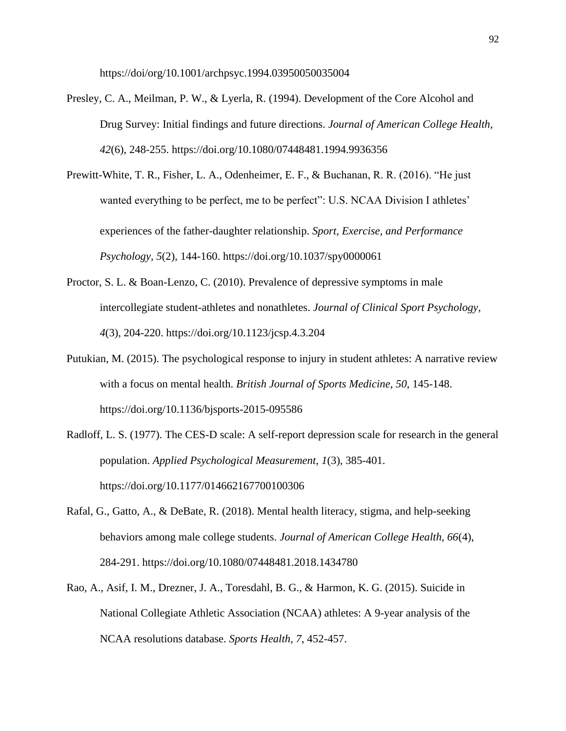https://doi/org/10.1001/archpsyc.1994.03950050035004

- Presley, C. A., Meilman, P. W., & Lyerla, R. (1994). Development of the Core Alcohol and Drug Survey: Initial findings and future directions. *Journal of American College Health, 42*(6), 248-255. https://doi.org/10.1080/07448481.1994.9936356
- Prewitt-White, T. R., Fisher, L. A., Odenheimer, E. F., & Buchanan, R. R. (2016). "He just wanted everything to be perfect, me to be perfect": U.S. NCAA Division I athletes' experiences of the father-daughter relationship. *Sport, Exercise, and Performance Psychology, 5*(2), 144-160. https://doi.org/10.1037/spy0000061
- Proctor, S. L. & Boan-Lenzo, C. (2010). Prevalence of depressive symptoms in male intercollegiate student-athletes and nonathletes. *Journal of Clinical Sport Psychology, 4*(3), 204-220. https://doi.org/10.1123/jcsp.4.3.204
- Putukian, M. (2015). The psychological response to injury in student athletes: A narrative review with a focus on mental health. *British Journal of Sports Medicine, 50*, 145-148. https://doi.org/10.1136/bjsports-2015-095586
- Radloff, L. S. (1977). The CES-D scale: A self-report depression scale for research in the general population. *Applied Psychological Measurement, 1*(3), 385-401. https://doi.org/10.1177/014662167700100306
- Rafal, G., Gatto, A., & DeBate, R. (2018). Mental health literacy, stigma, and help-seeking behaviors among male college students. *Journal of American College Health, 66*(4), 284-291. https://doi.org/10.1080/07448481.2018.1434780
- Rao, A., Asif, I. M., Drezner, J. A., Toresdahl, B. G., & Harmon, K. G. (2015). Suicide in National Collegiate Athletic Association (NCAA) athletes: A 9-year analysis of the NCAA resolutions database. *Sports Health, 7*, 452-457.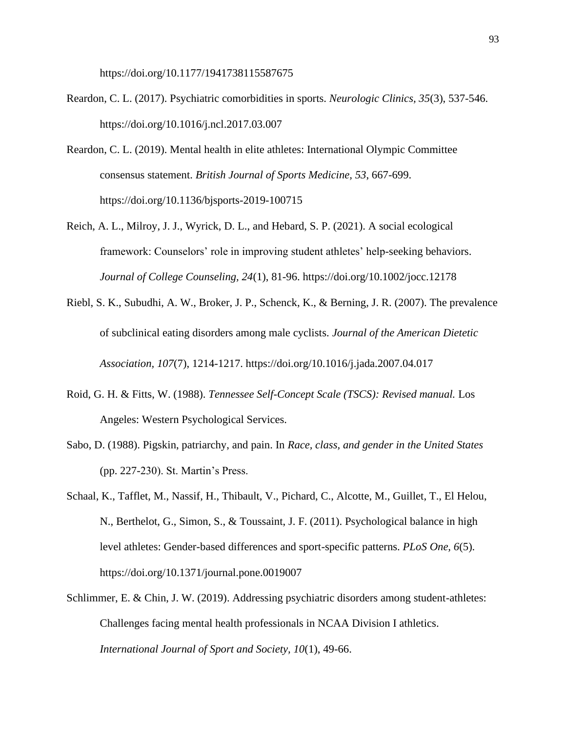https://doi.org/10.1177/1941738115587675

- Reardon, C. L. (2017). Psychiatric comorbidities in sports. *Neurologic Clinics, 35*(3), 537-546. https://doi.org/10.1016/j.ncl.2017.03.007
- Reardon, C. L. (2019). Mental health in elite athletes: International Olympic Committee consensus statement. *British Journal of Sports Medicine, 53*, 667-699. https://doi.org/10.1136/bjsports-2019-100715
- Reich, A. L., Milroy, J. J., Wyrick, D. L., and Hebard, S. P. (2021). A social ecological framework: Counselors' role in improving student athletes' help-seeking behaviors. *Journal of College Counseling, 24*(1), 81-96. https://doi.org/10.1002/jocc.12178
- Riebl, S. K., Subudhi, A. W., Broker, J. P., Schenck, K., & Berning, J. R. (2007). The prevalence of subclinical eating disorders among male cyclists. *Journal of the American Dietetic Association, 107*(7), 1214-1217. https://doi.org/10.1016/j.jada.2007.04.017
- Roid, G. H. & Fitts, W. (1988). *Tennessee Self-Concept Scale (TSCS): Revised manual.* Los Angeles: Western Psychological Services.
- Sabo, D. (1988). Pigskin, patriarchy, and pain. In *Race, class, and gender in the United States* (pp. 227-230). St. Martin's Press.
- Schaal, K., Tafflet, M., Nassif, H., Thibault, V., Pichard, C., Alcotte, M., Guillet, T., El Helou, N., Berthelot, G., Simon, S., & Toussaint, J. F. (2011). Psychological balance in high level athletes: Gender-based differences and sport-specific patterns. *PLoS One, 6*(5). https://doi.org/10.1371/journal.pone.0019007
- Schlimmer, E. & Chin, J. W. (2019). Addressing psychiatric disorders among student-athletes: Challenges facing mental health professionals in NCAA Division I athletics. *International Journal of Sport and Society, 10*(1), 49-66.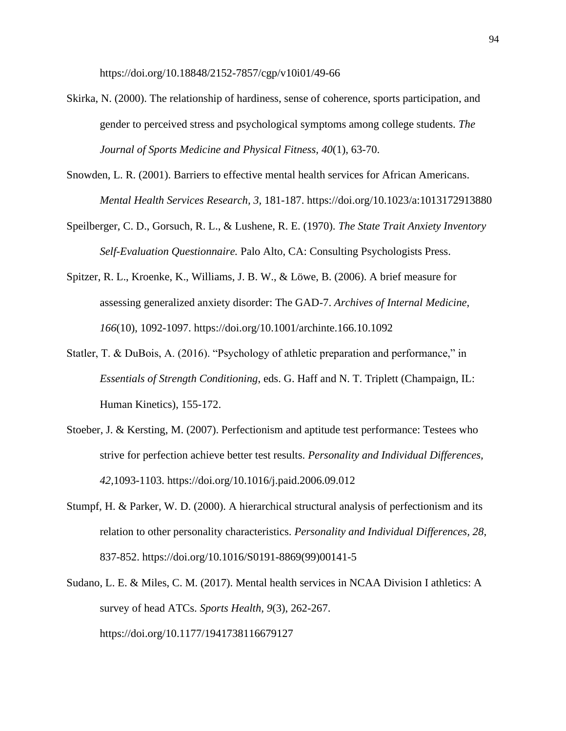https://doi.org/10.18848/2152-7857/cgp/v10i01/49-66

- Skirka, N. (2000). The relationship of hardiness, sense of coherence, sports participation, and gender to perceived stress and psychological symptoms among college students. *The Journal of Sports Medicine and Physical Fitness, 40*(1), 63-70.
- Snowden, L. R. (2001). Barriers to effective mental health services for African Americans. *Mental Health Services Research, 3,* 181-187. https://doi.org/10.1023/a:1013172913880
- Speilberger, C. D., Gorsuch, R. L., & Lushene, R. E. (1970). *The State Trait Anxiety Inventory Self-Evaluation Questionnaire.* Palo Alto, CA: Consulting Psychologists Press.
- Spitzer, R. L., Kroenke, K., Williams, J. B. W., & Löwe, B. (2006). A brief measure for assessing generalized anxiety disorder: The GAD-7. *Archives of Internal Medicine, 166*(10), 1092-1097. https://doi.org/10.1001/archinte.166.10.1092
- Statler, T. & DuBois, A. (2016). "Psychology of athletic preparation and performance," in *Essentials of Strength Conditioning*, eds. G. Haff and N. T. Triplett (Champaign, IL: Human Kinetics), 155-172.
- Stoeber, J. & Kersting, M. (2007). Perfectionism and aptitude test performance: Testees who strive for perfection achieve better test results. *Personality and Individual Differences, 42,*1093-1103. https://doi.org/10.1016/j.paid.2006.09.012
- Stumpf, H. & Parker, W. D. (2000). A hierarchical structural analysis of perfectionism and its relation to other personality characteristics. *Personality and Individual Differences, 28*, 837-852. https://doi.org/10.1016/S0191-8869(99)00141-5
- Sudano, L. E. & Miles, C. M. (2017). Mental health services in NCAA Division I athletics: A survey of head ATCs. *Sports Health, 9*(3), 262-267. https://doi.org/10.1177/1941738116679127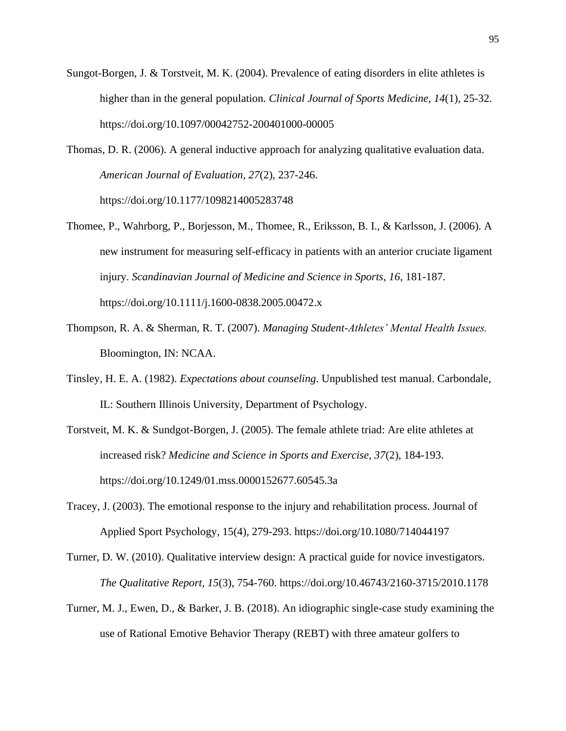- Sungot-Borgen, J. & Torstveit, M. K. (2004). Prevalence of eating disorders in elite athletes is higher than in the general population. *Clinical Journal of Sports Medicine, 14*(1), 25-32. https://doi.org/10.1097/00042752-200401000-00005
- Thomas, D. R. (2006). A general inductive approach for analyzing qualitative evaluation data. *American Journal of Evaluation, 27*(2), 237-246. https://doi.org/10.1177/1098214005283748
- Thomee, P., Wahrborg, P., Borjesson, M., Thomee, R., Eriksson, B. I., & Karlsson, J. (2006). A new instrument for measuring self-efficacy in patients with an anterior cruciate ligament injury. *Scandinavian Journal of Medicine and Science in Sports, 16*, 181-187. https://doi.org/10.1111/j.1600-0838.2005.00472.x
- Thompson, R. A. & Sherman, R. T. (2007). *Managing Student-Athletes' Mental Health Issues.*  Bloomington, IN: NCAA.
- Tinsley, H. E. A. (1982). *Expectations about counseling*. Unpublished test manual. Carbondale, IL: Southern Illinois University, Department of Psychology.
- Torstveit, M. K. & Sundgot-Borgen, J. (2005). The female athlete triad: Are elite athletes at increased risk? *Medicine and Science in Sports and Exercise, 37*(2), 184-193. https://doi.org/10.1249/01.mss.0000152677.60545.3a
- Tracey, J. (2003). The emotional response to the injury and rehabilitation process. Journal of Applied Sport Psychology, 15(4), 279-293. https://doi.org/10.1080/714044197
- Turner, D. W. (2010). Qualitative interview design: A practical guide for novice investigators. *The Qualitative Report, 15*(3), 754-760. https://doi.org/10.46743/2160-3715/2010.1178
- Turner, M. J., Ewen, D., & Barker, J. B. (2018). An idiographic single-case study examining the use of Rational Emotive Behavior Therapy (REBT) with three amateur golfers to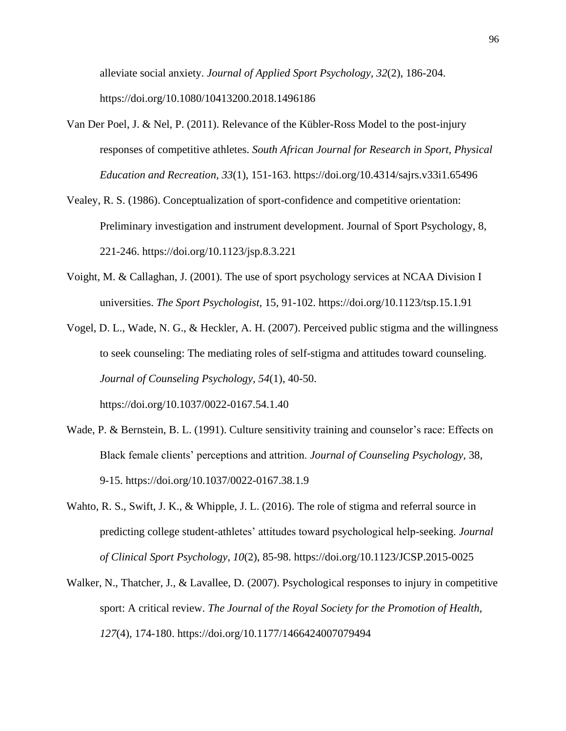alleviate social anxiety. *Journal of Applied Sport Psychology, 32*(2), 186-204. https://doi.org/10.1080/10413200.2018.1496186

- Van Der Poel, J. & Nel, P. (2011). Relevance of the Kübler-Ross Model to the post-injury responses of competitive athletes. *South African Journal for Research in Sport, Physical Education and Recreation, 33*(1), 151-163. https://doi.org/10.4314/sajrs.v33i1.65496
- Vealey, R. S. (1986). Conceptualization of sport-confidence and competitive orientation: Preliminary investigation and instrument development. Journal of Sport Psychology, 8, 221-246. https://doi.org/10.1123/jsp.8.3.221
- Voight, M. & Callaghan, J. (2001). The use of sport psychology services at NCAA Division I universities. *The Sport Psychologist,* 15, 91-102. https://doi.org/10.1123/tsp.15.1.91
- Vogel, D. L., Wade, N. G., & Heckler, A. H. (2007). Perceived public stigma and the willingness to seek counseling: The mediating roles of self-stigma and attitudes toward counseling. *Journal of Counseling Psychology, 54*(1), 40-50. https://doi.org/10.1037/0022-0167.54.1.40
- Wade, P. & Bernstein, B. L. (1991). Culture sensitivity training and counselor's race: Effects on Black female clients' perceptions and attrition. *Journal of Counseling Psychology,* 38, 9-15. https://doi.org/10.1037/0022-0167.38.1.9
- Wahto, R. S., Swift, J. K., & Whipple, J. L. (2016). The role of stigma and referral source in predicting college student-athletes' attitudes toward psychological help-seeking. *Journal of Clinical Sport Psychology, 10*(2), 85-98. https://doi.org/10.1123/JCSP.2015-0025
- Walker, N., Thatcher, J., & Lavallee, D. (2007). Psychological responses to injury in competitive sport: A critical review. *The Journal of the Royal Society for the Promotion of Health, 127*(4), 174-180. https://doi.org/10.1177/1466424007079494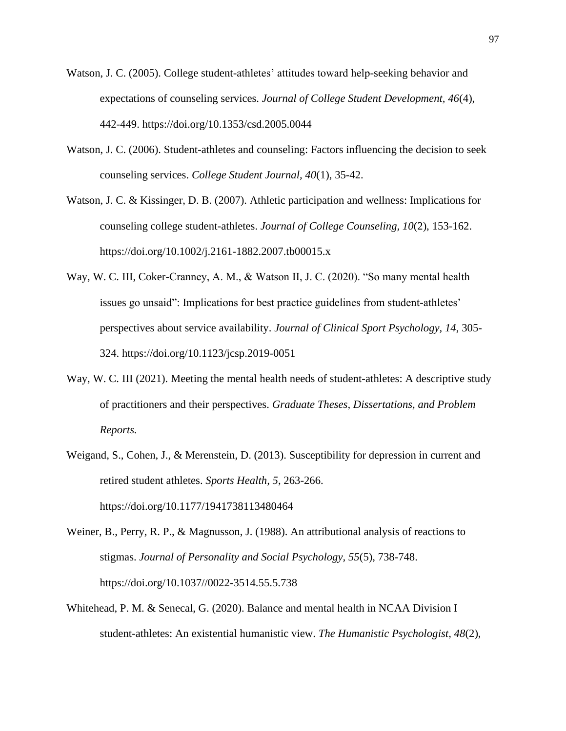- Watson, J. C. (2005). College student-athletes' attitudes toward help-seeking behavior and expectations of counseling services. *Journal of College Student Development, 46*(4), 442-449. https://doi.org/10.1353/csd.2005.0044
- Watson, J. C. (2006). Student-athletes and counseling: Factors influencing the decision to seek counseling services. *College Student Journal, 40*(1), 35-42.
- Watson, J. C. & Kissinger, D. B. (2007). Athletic participation and wellness: Implications for counseling college student-athletes. *Journal of College Counseling, 10*(2), 153-162. https://doi.org/10.1002/j.2161-1882.2007.tb00015.x
- Way, W. C. III, Coker-Cranney, A. M., & Watson II, J. C. (2020). "So many mental health issues go unsaid": Implications for best practice guidelines from student-athletes' perspectives about service availability. *Journal of Clinical Sport Psychology, 14*, 305- 324. https://doi.org/10.1123/jcsp.2019-0051
- Way, W. C. III (2021). Meeting the mental health needs of student-athletes: A descriptive study of practitioners and their perspectives. *Graduate Theses, Dissertations, and Problem Reports.*
- Weigand, S., Cohen, J., & Merenstein, D. (2013). Susceptibility for depression in current and retired student athletes. *Sports Health, 5*, 263-266.

https://doi.org/10.1177/1941738113480464

- Weiner, B., Perry, R. P., & Magnusson, J. (1988). An attributional analysis of reactions to stigmas. *Journal of Personality and Social Psychology, 55*(5), 738-748. https://doi.org/10.1037//0022-3514.55.5.738
- Whitehead, P. M. & Senecal, G. (2020). Balance and mental health in NCAA Division I student-athletes: An existential humanistic view. *The Humanistic Psychologist, 48*(2),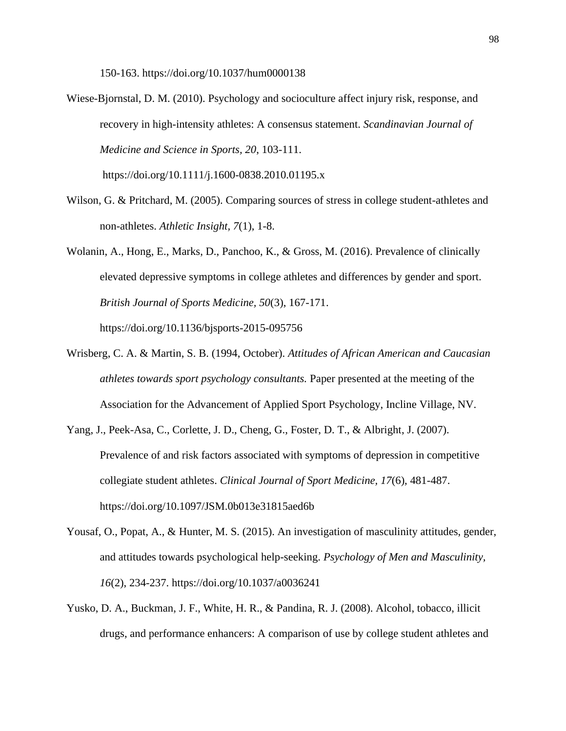150-163. https://doi.org/10.1037/hum0000138

- Wiese-Bjornstal, D. M. (2010). Psychology and socioculture affect injury risk, response, and recovery in high-intensity athletes: A consensus statement. *Scandinavian Journal of Medicine and Science in Sports, 20*, 103-111.
	- https://doi.org/10.1111/j.1600-0838.2010.01195.x
- Wilson, G. & Pritchard, M. (2005). Comparing sources of stress in college student-athletes and non-athletes. *Athletic Insight, 7*(1), 1-8.
- Wolanin, A., Hong, E., Marks, D., Panchoo, K., & Gross, M. (2016). Prevalence of clinically elevated depressive symptoms in college athletes and differences by gender and sport. *British Journal of Sports Medicine, 50*(3), 167-171. https://doi.org/10.1136/bjsports-2015-095756
- Wrisberg, C. A. & Martin, S. B. (1994, October). *Attitudes of African American and Caucasian athletes towards sport psychology consultants.* Paper presented at the meeting of the Association for the Advancement of Applied Sport Psychology, Incline Village, NV.
- Yang, J., Peek-Asa, C., Corlette, J. D., Cheng, G., Foster, D. T., & Albright, J. (2007). Prevalence of and risk factors associated with symptoms of depression in competitive collegiate student athletes. *Clinical Journal of Sport Medicine, 17*(6), 481-487. https://doi.org/10.1097/JSM.0b013e31815aed6b
- Yousaf, O., Popat, A., & Hunter, M. S. (2015). An investigation of masculinity attitudes, gender, and attitudes towards psychological help-seeking. *Psychology of Men and Masculinity, 16*(2), 234-237. https://doi.org/10.1037/a0036241
- Yusko, D. A., Buckman, J. F., White, H. R., & Pandina, R. J. (2008). Alcohol, tobacco, illicit drugs, and performance enhancers: A comparison of use by college student athletes and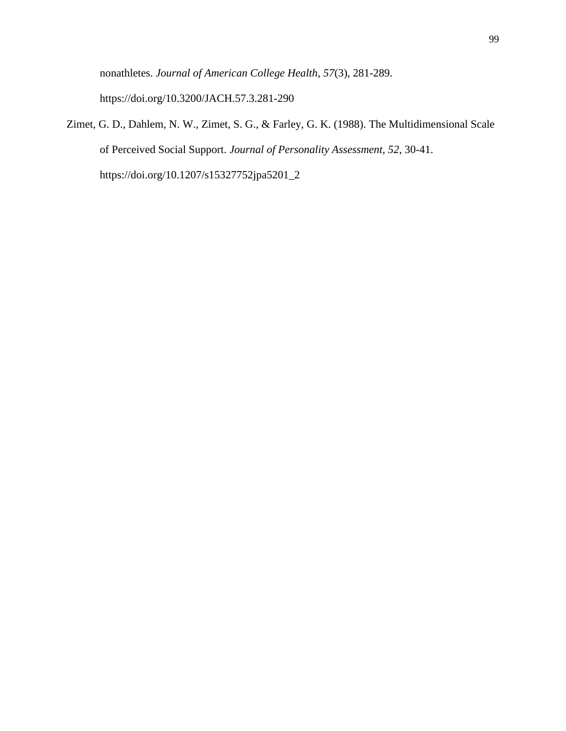nonathletes. *Journal of American College Health, 57*(3), 281-289. https://doi.org/10.3200/JACH.57.3.281-290

Zimet, G. D., Dahlem, N. W., Zimet, S. G., & Farley, G. K. (1988). The Multidimensional Scale of Perceived Social Support. *Journal of Personality Assessment, 52*, 30-41. https://doi.org/10.1207/s15327752jpa5201\_2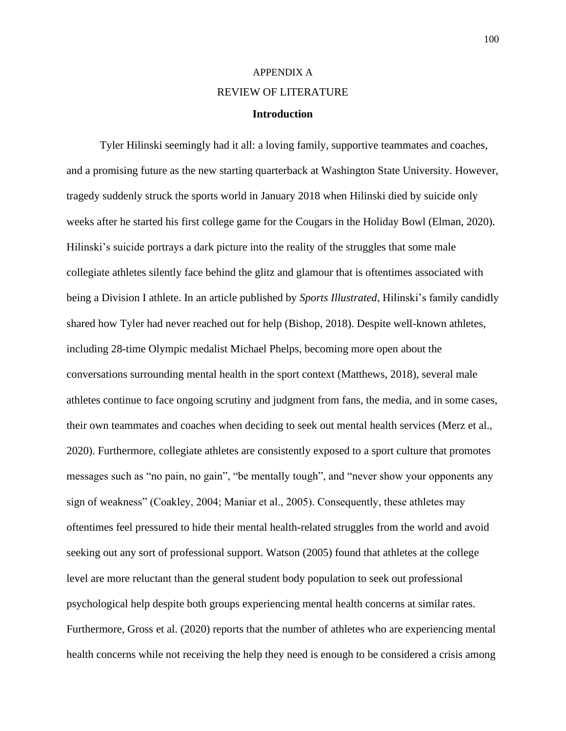# APPENDIX A REVIEW OF LITERATURE

## **Introduction**

Tyler Hilinski seemingly had it all: a loving family, supportive teammates and coaches, and a promising future as the new starting quarterback at Washington State University. However, tragedy suddenly struck the sports world in January 2018 when Hilinski died by suicide only weeks after he started his first college game for the Cougars in the Holiday Bowl (Elman, 2020). Hilinski's suicide portrays a dark picture into the reality of the struggles that some male collegiate athletes silently face behind the glitz and glamour that is oftentimes associated with being a Division I athlete. In an article published by *Sports Illustrated*, Hilinski's family candidly shared how Tyler had never reached out for help (Bishop, 2018). Despite well-known athletes, including 28-time Olympic medalist Michael Phelps, becoming more open about the conversations surrounding mental health in the sport context (Matthews, 2018), several male athletes continue to face ongoing scrutiny and judgment from fans, the media, and in some cases, their own teammates and coaches when deciding to seek out mental health services (Merz et al., 2020). Furthermore, collegiate athletes are consistently exposed to a sport culture that promotes messages such as "no pain, no gain", "be mentally tough", and "never show your opponents any sign of weakness" (Coakley, 2004; Maniar et al., 2005). Consequently, these athletes may oftentimes feel pressured to hide their mental health-related struggles from the world and avoid seeking out any sort of professional support. Watson (2005) found that athletes at the college level are more reluctant than the general student body population to seek out professional psychological help despite both groups experiencing mental health concerns at similar rates. Furthermore, Gross et al. (2020) reports that the number of athletes who are experiencing mental health concerns while not receiving the help they need is enough to be considered a crisis among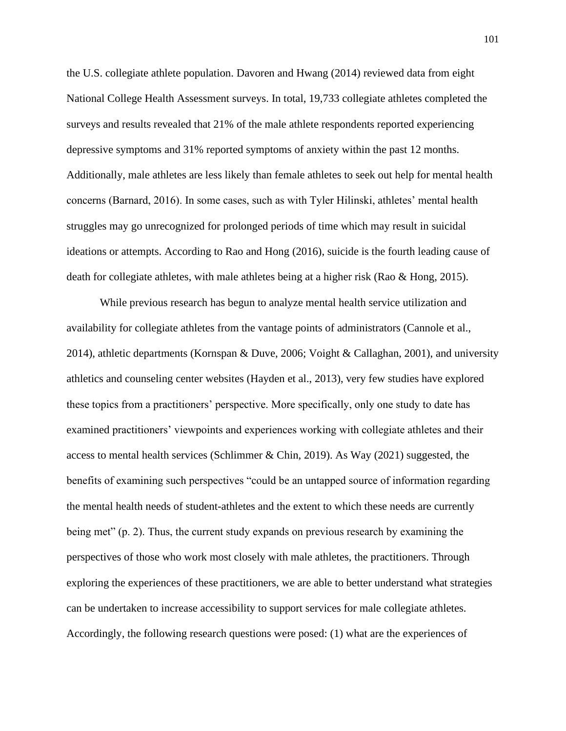the U.S. collegiate athlete population. Davoren and Hwang (2014) reviewed data from eight National College Health Assessment surveys. In total, 19,733 collegiate athletes completed the surveys and results revealed that 21% of the male athlete respondents reported experiencing depressive symptoms and 31% reported symptoms of anxiety within the past 12 months. Additionally, male athletes are less likely than female athletes to seek out help for mental health concerns (Barnard, 2016). In some cases, such as with Tyler Hilinski, athletes' mental health struggles may go unrecognized for prolonged periods of time which may result in suicidal ideations or attempts. According to Rao and Hong (2016), suicide is the fourth leading cause of death for collegiate athletes, with male athletes being at a higher risk (Rao & Hong, 2015).

While previous research has begun to analyze mental health service utilization and availability for collegiate athletes from the vantage points of administrators (Cannole et al., 2014), athletic departments (Kornspan & Duve, 2006; Voight & Callaghan, 2001), and university athletics and counseling center websites (Hayden et al., 2013), very few studies have explored these topics from a practitioners' perspective. More specifically, only one study to date has examined practitioners' viewpoints and experiences working with collegiate athletes and their access to mental health services (Schlimmer & Chin, 2019). As Way (2021) suggested, the benefits of examining such perspectives "could be an untapped source of information regarding the mental health needs of student-athletes and the extent to which these needs are currently being met" (p. 2). Thus, the current study expands on previous research by examining the perspectives of those who work most closely with male athletes, the practitioners. Through exploring the experiences of these practitioners, we are able to better understand what strategies can be undertaken to increase accessibility to support services for male collegiate athletes. Accordingly, the following research questions were posed: (1) what are the experiences of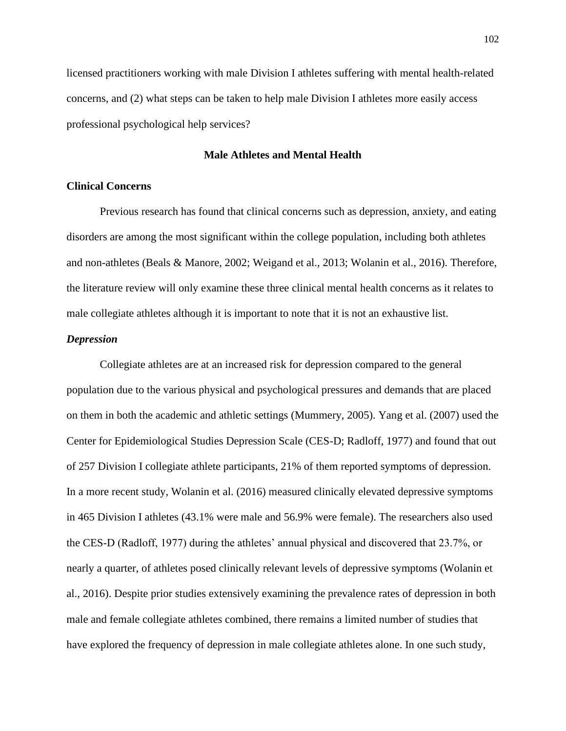licensed practitioners working with male Division I athletes suffering with mental health-related concerns, and (2) what steps can be taken to help male Division I athletes more easily access professional psychological help services?

## **Male Athletes and Mental Health**

#### **Clinical Concerns**

Previous research has found that clinical concerns such as depression, anxiety, and eating disorders are among the most significant within the college population, including both athletes and non-athletes (Beals & Manore, 2002; Weigand et al., 2013; Wolanin et al., 2016). Therefore, the literature review will only examine these three clinical mental health concerns as it relates to male collegiate athletes although it is important to note that it is not an exhaustive list.

### *Depression*

Collegiate athletes are at an increased risk for depression compared to the general population due to the various physical and psychological pressures and demands that are placed on them in both the academic and athletic settings (Mummery, 2005). Yang et al. (2007) used the Center for Epidemiological Studies Depression Scale (CES-D; Radloff, 1977) and found that out of 257 Division I collegiate athlete participants, 21% of them reported symptoms of depression. In a more recent study, Wolanin et al. (2016) measured clinically elevated depressive symptoms in 465 Division I athletes (43.1% were male and 56.9% were female). The researchers also used the CES-D (Radloff, 1977) during the athletes' annual physical and discovered that 23.7%, or nearly a quarter, of athletes posed clinically relevant levels of depressive symptoms (Wolanin et al., 2016). Despite prior studies extensively examining the prevalence rates of depression in both male and female collegiate athletes combined, there remains a limited number of studies that have explored the frequency of depression in male collegiate athletes alone. In one such study,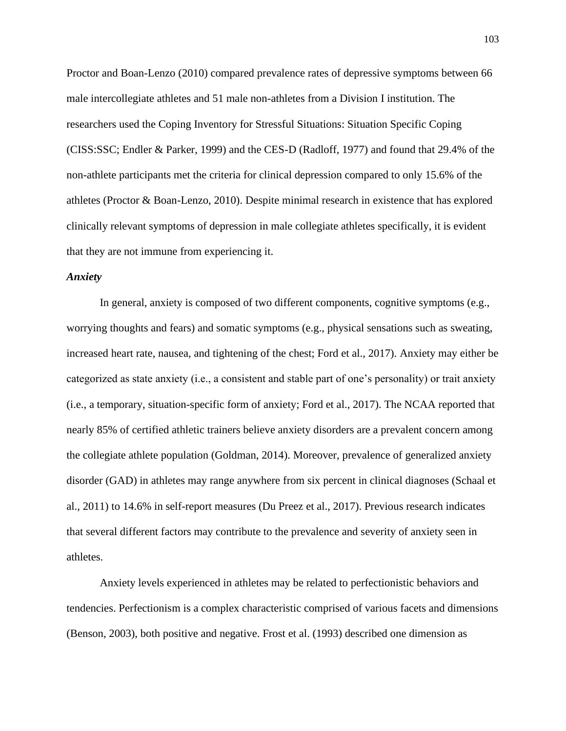Proctor and Boan-Lenzo (2010) compared prevalence rates of depressive symptoms between 66 male intercollegiate athletes and 51 male non-athletes from a Division I institution. The researchers used the Coping Inventory for Stressful Situations: Situation Specific Coping (CISS:SSC; Endler & Parker, 1999) and the CES-D (Radloff, 1977) and found that 29.4% of the non-athlete participants met the criteria for clinical depression compared to only 15.6% of the athletes (Proctor & Boan-Lenzo, 2010). Despite minimal research in existence that has explored clinically relevant symptoms of depression in male collegiate athletes specifically, it is evident that they are not immune from experiencing it.

#### *Anxiety*

In general, anxiety is composed of two different components, cognitive symptoms (e.g., worrying thoughts and fears) and somatic symptoms (e.g., physical sensations such as sweating, increased heart rate, nausea, and tightening of the chest; Ford et al., 2017). Anxiety may either be categorized as state anxiety (i.e., a consistent and stable part of one's personality) or trait anxiety (i.e., a temporary, situation-specific form of anxiety; Ford et al., 2017). The NCAA reported that nearly 85% of certified athletic trainers believe anxiety disorders are a prevalent concern among the collegiate athlete population (Goldman, 2014). Moreover, prevalence of generalized anxiety disorder (GAD) in athletes may range anywhere from six percent in clinical diagnoses (Schaal et al., 2011) to 14.6% in self-report measures (Du Preez et al., 2017). Previous research indicates that several different factors may contribute to the prevalence and severity of anxiety seen in athletes.

Anxiety levels experienced in athletes may be related to perfectionistic behaviors and tendencies. Perfectionism is a complex characteristic comprised of various facets and dimensions (Benson, 2003), both positive and negative. Frost et al. (1993) described one dimension as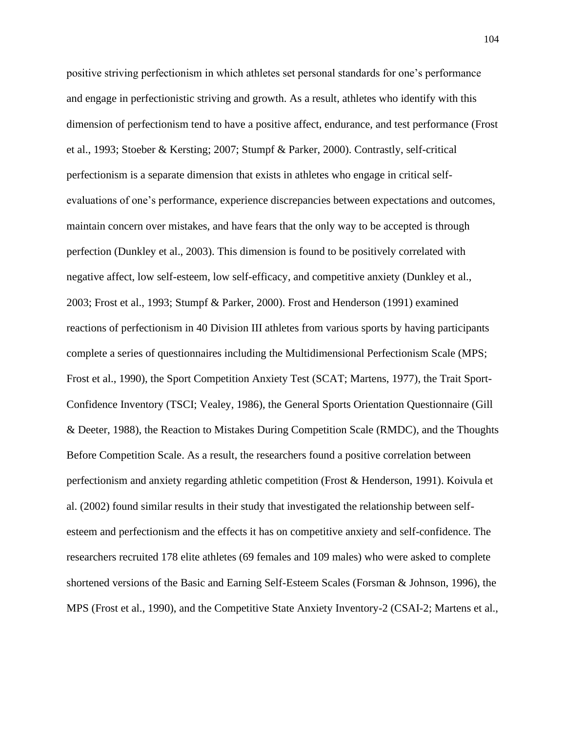positive striving perfectionism in which athletes set personal standards for one's performance and engage in perfectionistic striving and growth. As a result, athletes who identify with this dimension of perfectionism tend to have a positive affect, endurance, and test performance (Frost et al., 1993; Stoeber & Kersting; 2007; Stumpf & Parker, 2000). Contrastly, self-critical perfectionism is a separate dimension that exists in athletes who engage in critical selfevaluations of one's performance, experience discrepancies between expectations and outcomes, maintain concern over mistakes, and have fears that the only way to be accepted is through perfection (Dunkley et al., 2003). This dimension is found to be positively correlated with negative affect, low self-esteem, low self-efficacy, and competitive anxiety (Dunkley et al., 2003; Frost et al., 1993; Stumpf & Parker, 2000). Frost and Henderson (1991) examined reactions of perfectionism in 40 Division III athletes from various sports by having participants complete a series of questionnaires including the Multidimensional Perfectionism Scale (MPS; Frost et al., 1990), the Sport Competition Anxiety Test (SCAT; Martens, 1977), the Trait Sport-Confidence Inventory (TSCI; Vealey, 1986), the General Sports Orientation Questionnaire (Gill & Deeter, 1988), the Reaction to Mistakes During Competition Scale (RMDC), and the Thoughts Before Competition Scale. As a result, the researchers found a positive correlation between perfectionism and anxiety regarding athletic competition (Frost & Henderson, 1991). Koivula et al. (2002) found similar results in their study that investigated the relationship between selfesteem and perfectionism and the effects it has on competitive anxiety and self-confidence. The researchers recruited 178 elite athletes (69 females and 109 males) who were asked to complete shortened versions of the Basic and Earning Self-Esteem Scales (Forsman & Johnson, 1996), the MPS (Frost et al., 1990), and the Competitive State Anxiety Inventory-2 (CSAI-2; Martens et al.,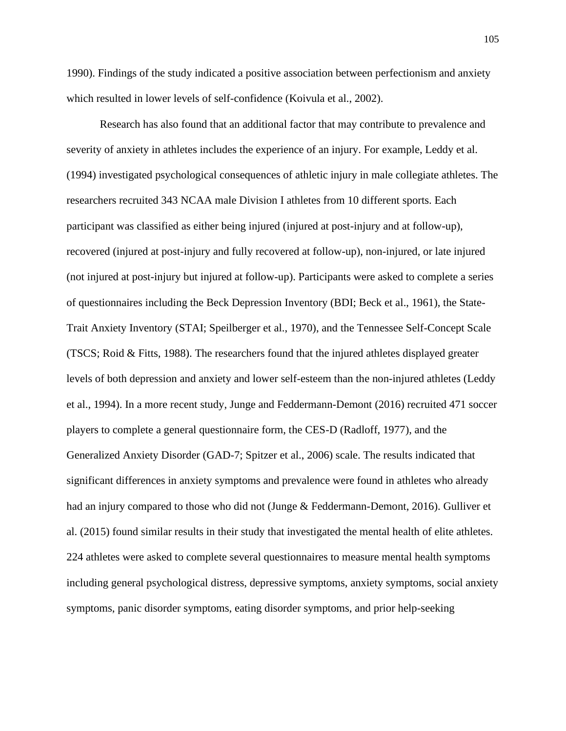1990). Findings of the study indicated a positive association between perfectionism and anxiety which resulted in lower levels of self-confidence (Koivula et al., 2002).

Research has also found that an additional factor that may contribute to prevalence and severity of anxiety in athletes includes the experience of an injury. For example, Leddy et al. (1994) investigated psychological consequences of athletic injury in male collegiate athletes. The researchers recruited 343 NCAA male Division I athletes from 10 different sports. Each participant was classified as either being injured (injured at post-injury and at follow-up), recovered (injured at post-injury and fully recovered at follow-up), non-injured, or late injured (not injured at post-injury but injured at follow-up). Participants were asked to complete a series of questionnaires including the Beck Depression Inventory (BDI; Beck et al., 1961), the State-Trait Anxiety Inventory (STAI; Speilberger et al., 1970), and the Tennessee Self-Concept Scale (TSCS; Roid & Fitts, 1988). The researchers found that the injured athletes displayed greater levels of both depression and anxiety and lower self-esteem than the non-injured athletes (Leddy et al., 1994). In a more recent study, Junge and Feddermann-Demont (2016) recruited 471 soccer players to complete a general questionnaire form, the CES-D (Radloff, 1977), and the Generalized Anxiety Disorder (GAD-7; Spitzer et al., 2006) scale. The results indicated that significant differences in anxiety symptoms and prevalence were found in athletes who already had an injury compared to those who did not (Junge & Feddermann-Demont, 2016). Gulliver et al. (2015) found similar results in their study that investigated the mental health of elite athletes. 224 athletes were asked to complete several questionnaires to measure mental health symptoms including general psychological distress, depressive symptoms, anxiety symptoms, social anxiety symptoms, panic disorder symptoms, eating disorder symptoms, and prior help-seeking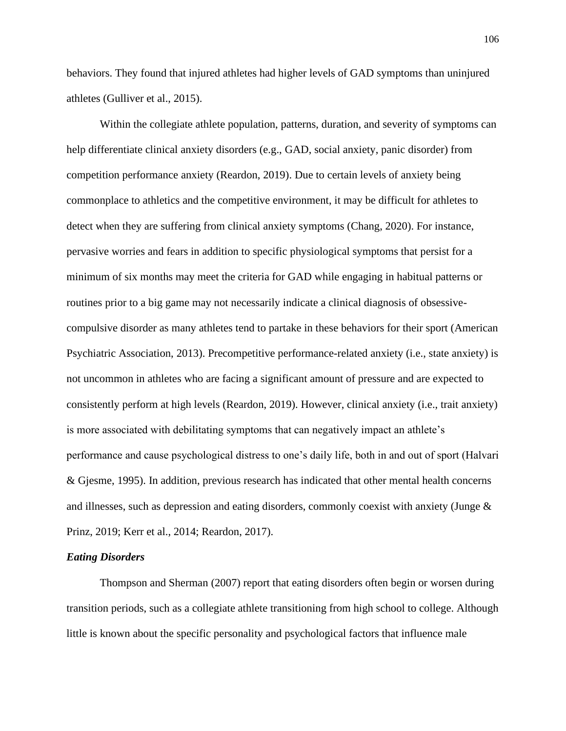behaviors. They found that injured athletes had higher levels of GAD symptoms than uninjured athletes (Gulliver et al., 2015).

Within the collegiate athlete population, patterns, duration, and severity of symptoms can help differentiate clinical anxiety disorders (e.g., GAD, social anxiety, panic disorder) from competition performance anxiety (Reardon, 2019). Due to certain levels of anxiety being commonplace to athletics and the competitive environment, it may be difficult for athletes to detect when they are suffering from clinical anxiety symptoms (Chang, 2020). For instance, pervasive worries and fears in addition to specific physiological symptoms that persist for a minimum of six months may meet the criteria for GAD while engaging in habitual patterns or routines prior to a big game may not necessarily indicate a clinical diagnosis of obsessivecompulsive disorder as many athletes tend to partake in these behaviors for their sport (American Psychiatric Association, 2013). Precompetitive performance-related anxiety (i.e., state anxiety) is not uncommon in athletes who are facing a significant amount of pressure and are expected to consistently perform at high levels (Reardon, 2019). However, clinical anxiety (i.e., trait anxiety) is more associated with debilitating symptoms that can negatively impact an athlete's performance and cause psychological distress to one's daily life, both in and out of sport (Halvari & Gjesme, 1995). In addition, previous research has indicated that other mental health concerns and illnesses, such as depression and eating disorders, commonly coexist with anxiety (Junge & Prinz, 2019; Kerr et al., 2014; Reardon, 2017).

#### *Eating Disorders*

Thompson and Sherman (2007) report that eating disorders often begin or worsen during transition periods, such as a collegiate athlete transitioning from high school to college. Although little is known about the specific personality and psychological factors that influence male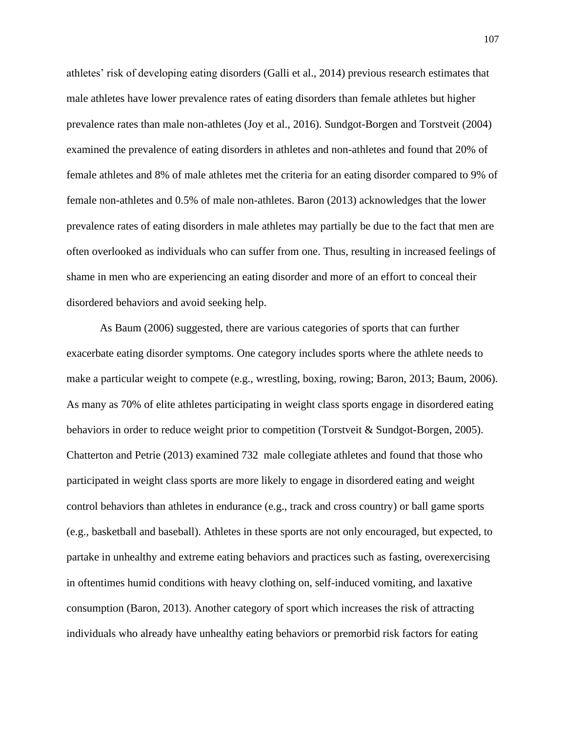athletes' risk of developing eating disorders (Galli et al., 2014) previous research estimates that male athletes have lower prevalence rates of eating disorders than female athletes but higher prevalence rates than male non-athletes (Joy et al., 2016). Sundgot-Borgen and Torstveit (2004) examined the prevalence of eating disorders in athletes and non-athletes and found that 20% of female athletes and 8% of male athletes met the criteria for an eating disorder compared to 9% of female non-athletes and 0.5% of male non-athletes. Baron (2013) acknowledges that the lower prevalence rates of eating disorders in male athletes may partially be due to the fact that men are often overlooked as individuals who can suffer from one. Thus, resulting in increased feelings of shame in men who are experiencing an eating disorder and more of an effort to conceal their disordered behaviors and avoid seeking help.

As Baum (2006) suggested, there are various categories of sports that can further exacerbate eating disorder symptoms. One category includes sports where the athlete needs to make a particular weight to compete (e.g., wrestling, boxing, rowing; Baron, 2013; Baum, 2006). As many as 70% of elite athletes participating in weight class sports engage in disordered eating behaviors in order to reduce weight prior to competition (Torstveit & Sundgot-Borgen, 2005). Chatterton and Petrie (2013) examined 732 male collegiate athletes and found that those who participated in weight class sports are more likely to engage in disordered eating and weight control behaviors than athletes in endurance (e.g., track and cross country) or ball game sports (e.g., basketball and baseball). Athletes in these sports are not only encouraged, but expected, to partake in unhealthy and extreme eating behaviors and practices such as fasting, overexercising in oftentimes humid conditions with heavy clothing on, self-induced vomiting, and laxative consumption (Baron, 2013). Another category of sport which increases the risk of attracting individuals who already have unhealthy eating behaviors or premorbid risk factors for eating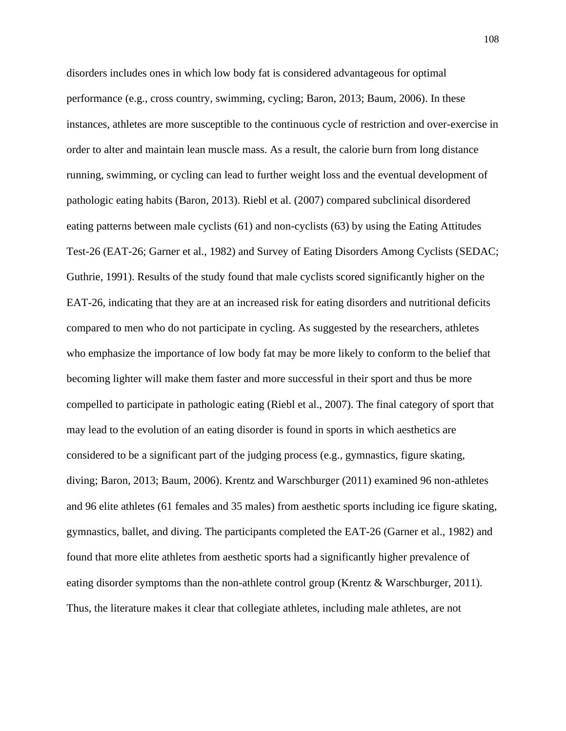disorders includes ones in which low body fat is considered advantageous for optimal performance (e.g., cross country, swimming, cycling; Baron, 2013; Baum, 2006). In these instances, athletes are more susceptible to the continuous cycle of restriction and over-exercise in order to alter and maintain lean muscle mass. As a result, the calorie burn from long distance running, swimming, or cycling can lead to further weight loss and the eventual development of pathologic eating habits (Baron, 2013). Riebl et al. (2007) compared subclinical disordered eating patterns between male cyclists (61) and non-cyclists (63) by using the Eating Attitudes Test-26 (EAT-26; Garner et al., 1982) and Survey of Eating Disorders Among Cyclists (SEDAC; Guthrie, 1991). Results of the study found that male cyclists scored significantly higher on the EAT-26, indicating that they are at an increased risk for eating disorders and nutritional deficits compared to men who do not participate in cycling. As suggested by the researchers, athletes who emphasize the importance of low body fat may be more likely to conform to the belief that becoming lighter will make them faster and more successful in their sport and thus be more compelled to participate in pathologic eating (Riebl et al., 2007). The final category of sport that may lead to the evolution of an eating disorder is found in sports in which aesthetics are considered to be a significant part of the judging process (e.g., gymnastics, figure skating, diving; Baron, 2013; Baum, 2006). Krentz and Warschburger (2011) examined 96 non-athletes and 96 elite athletes (61 females and 35 males) from aesthetic sports including ice figure skating, gymnastics, ballet, and diving. The participants completed the EAT-26 (Garner et al., 1982) and found that more elite athletes from aesthetic sports had a significantly higher prevalence of eating disorder symptoms than the non-athlete control group (Krentz & Warschburger, 2011). Thus, the literature makes it clear that collegiate athletes, including male athletes, are not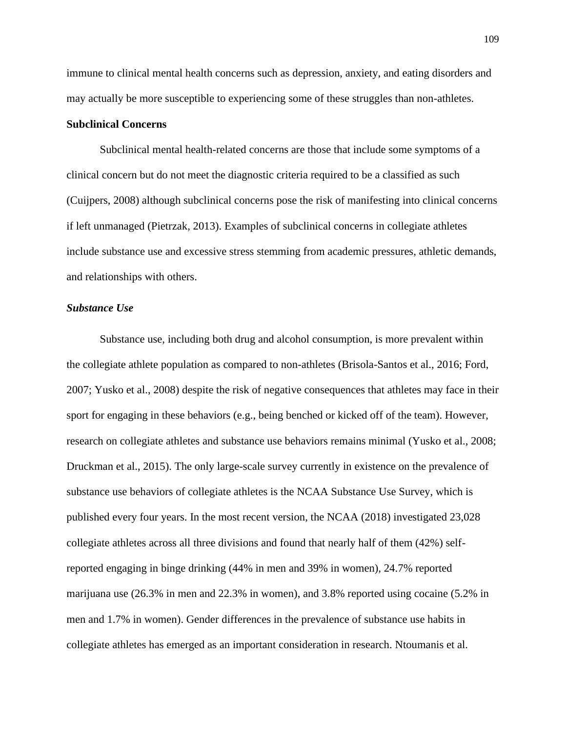immune to clinical mental health concerns such as depression, anxiety, and eating disorders and may actually be more susceptible to experiencing some of these struggles than non-athletes.

## **Subclinical Concerns**

Subclinical mental health-related concerns are those that include some symptoms of a clinical concern but do not meet the diagnostic criteria required to be a classified as such (Cuijpers, 2008) although subclinical concerns pose the risk of manifesting into clinical concerns if left unmanaged (Pietrzak, 2013). Examples of subclinical concerns in collegiate athletes include substance use and excessive stress stemming from academic pressures, athletic demands, and relationships with others.

#### *Substance Use*

Substance use, including both drug and alcohol consumption, is more prevalent within the collegiate athlete population as compared to non-athletes (Brisola-Santos et al., 2016; Ford, 2007; Yusko et al., 2008) despite the risk of negative consequences that athletes may face in their sport for engaging in these behaviors (e.g., being benched or kicked off of the team). However, research on collegiate athletes and substance use behaviors remains minimal (Yusko et al., 2008; Druckman et al., 2015). The only large-scale survey currently in existence on the prevalence of substance use behaviors of collegiate athletes is the NCAA Substance Use Survey, which is published every four years. In the most recent version, the NCAA (2018) investigated 23,028 collegiate athletes across all three divisions and found that nearly half of them (42%) selfreported engaging in binge drinking (44% in men and 39% in women), 24.7% reported marijuana use (26.3% in men and 22.3% in women), and 3.8% reported using cocaine (5.2% in men and 1.7% in women). Gender differences in the prevalence of substance use habits in collegiate athletes has emerged as an important consideration in research. Ntoumanis et al.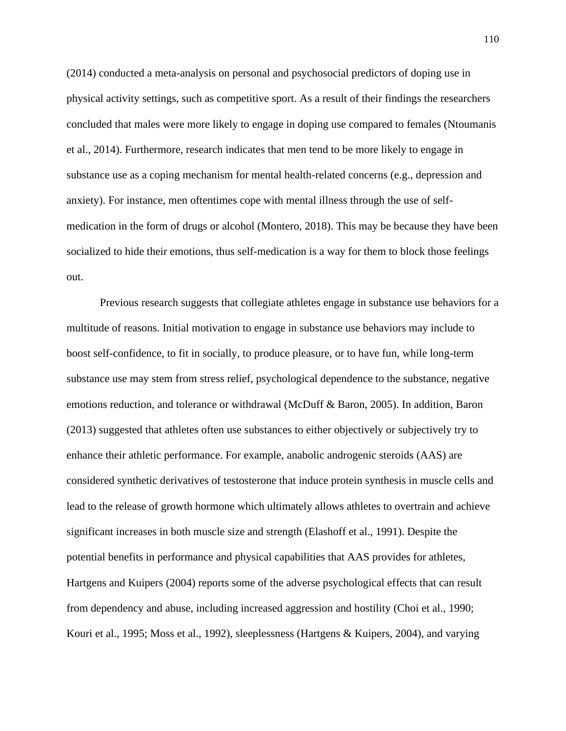(2014) conducted a meta-analysis on personal and psychosocial predictors of doping use in physical activity settings, such as competitive sport. As a result of their findings the researchers concluded that males were more likely to engage in doping use compared to females (Ntoumanis et al., 2014). Furthermore, research indicates that men tend to be more likely to engage in substance use as a coping mechanism for mental health-related concerns (e.g., depression and anxiety). For instance, men oftentimes cope with mental illness through the use of selfmedication in the form of drugs or alcohol (Montero, 2018). This may be because they have been socialized to hide their emotions, thus self-medication is a way for them to block those feelings out.

Previous research suggests that collegiate athletes engage in substance use behaviors for a multitude of reasons. Initial motivation to engage in substance use behaviors may include to boost self-confidence, to fit in socially, to produce pleasure, or to have fun, while long-term substance use may stem from stress relief, psychological dependence to the substance, negative emotions reduction, and tolerance or withdrawal (McDuff & Baron, 2005). In addition, Baron (2013) suggested that athletes often use substances to either objectively or subjectively try to enhance their athletic performance. For example, anabolic androgenic steroids (AAS) are considered synthetic derivatives of testosterone that induce protein synthesis in muscle cells and lead to the release of growth hormone which ultimately allows athletes to overtrain and achieve significant increases in both muscle size and strength (Elashoff et al., 1991). Despite the potential benefits in performance and physical capabilities that AAS provides for athletes, Hartgens and Kuipers (2004) reports some of the adverse psychological effects that can result from dependency and abuse, including increased aggression and hostility (Choi et al., 1990; Kouri et al., 1995; Moss et al., 1992), sleeplessness (Hartgens & Kuipers, 2004), and varying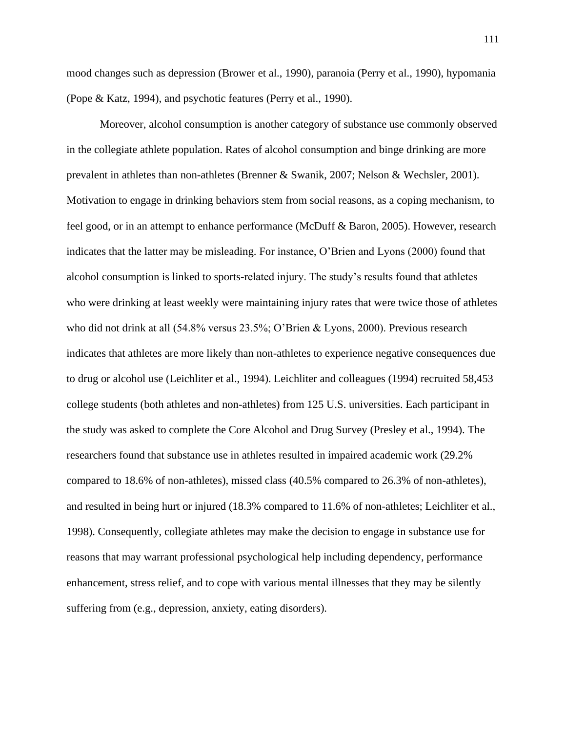mood changes such as depression (Brower et al., 1990), paranoia (Perry et al., 1990), hypomania (Pope & Katz, 1994), and psychotic features (Perry et al., 1990).

Moreover, alcohol consumption is another category of substance use commonly observed in the collegiate athlete population. Rates of alcohol consumption and binge drinking are more prevalent in athletes than non-athletes (Brenner & Swanik, 2007; Nelson & Wechsler, 2001). Motivation to engage in drinking behaviors stem from social reasons, as a coping mechanism, to feel good, or in an attempt to enhance performance (McDuff & Baron, 2005). However, research indicates that the latter may be misleading. For instance, O'Brien and Lyons (2000) found that alcohol consumption is linked to sports-related injury. The study's results found that athletes who were drinking at least weekly were maintaining injury rates that were twice those of athletes who did not drink at all (54.8% versus 23.5%; O'Brien & Lyons, 2000). Previous research indicates that athletes are more likely than non-athletes to experience negative consequences due to drug or alcohol use (Leichliter et al., 1994). Leichliter and colleagues (1994) recruited 58,453 college students (both athletes and non-athletes) from 125 U.S. universities. Each participant in the study was asked to complete the Core Alcohol and Drug Survey (Presley et al., 1994). The researchers found that substance use in athletes resulted in impaired academic work (29.2% compared to 18.6% of non-athletes), missed class (40.5% compared to 26.3% of non-athletes), and resulted in being hurt or injured (18.3% compared to 11.6% of non-athletes; Leichliter et al., 1998). Consequently, collegiate athletes may make the decision to engage in substance use for reasons that may warrant professional psychological help including dependency, performance enhancement, stress relief, and to cope with various mental illnesses that they may be silently suffering from (e.g., depression, anxiety, eating disorders).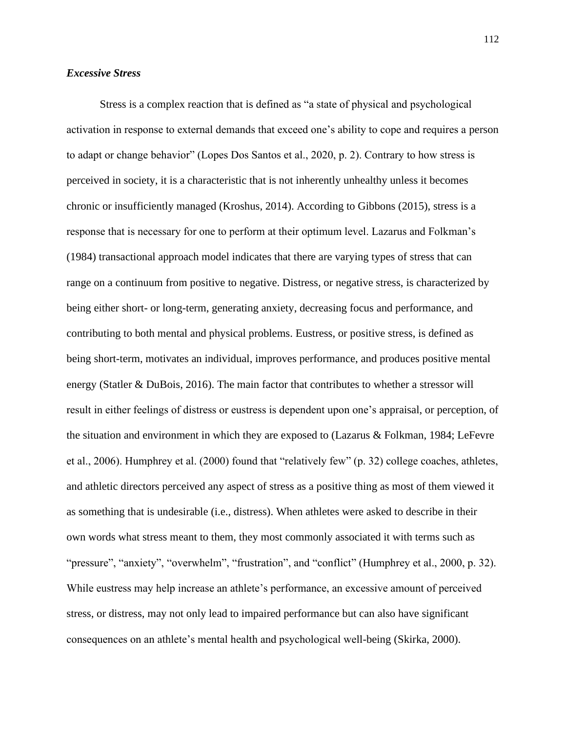### *Excessive Stress*

Stress is a complex reaction that is defined as "a state of physical and psychological activation in response to external demands that exceed one's ability to cope and requires a person to adapt or change behavior" (Lopes Dos Santos et al., 2020, p. 2). Contrary to how stress is perceived in society, it is a characteristic that is not inherently unhealthy unless it becomes chronic or insufficiently managed (Kroshus, 2014). According to Gibbons (2015), stress is a response that is necessary for one to perform at their optimum level. Lazarus and Folkman's (1984) transactional approach model indicates that there are varying types of stress that can range on a continuum from positive to negative. Distress, or negative stress, is characterized by being either short- or long-term, generating anxiety, decreasing focus and performance, and contributing to both mental and physical problems. Eustress, or positive stress, is defined as being short-term, motivates an individual, improves performance, and produces positive mental energy (Statler & DuBois, 2016). The main factor that contributes to whether a stressor will result in either feelings of distress or eustress is dependent upon one's appraisal, or perception, of the situation and environment in which they are exposed to (Lazarus & Folkman, 1984; LeFevre et al., 2006). Humphrey et al. (2000) found that "relatively few" (p. 32) college coaches, athletes, and athletic directors perceived any aspect of stress as a positive thing as most of them viewed it as something that is undesirable (i.e., distress). When athletes were asked to describe in their own words what stress meant to them, they most commonly associated it with terms such as "pressure", "anxiety", "overwhelm", "frustration", and "conflict" (Humphrey et al., 2000, p. 32). While eustress may help increase an athlete's performance, an excessive amount of perceived stress, or distress, may not only lead to impaired performance but can also have significant consequences on an athlete's mental health and psychological well-being (Skirka, 2000).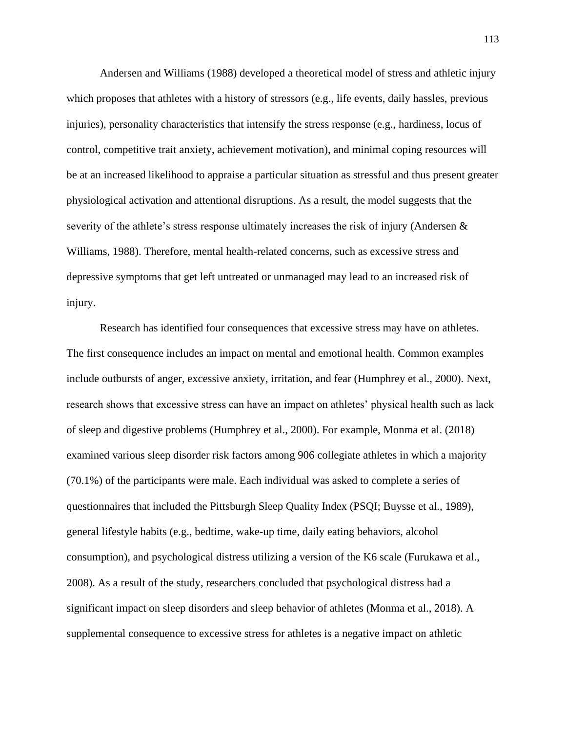Andersen and Williams (1988) developed a theoretical model of stress and athletic injury which proposes that athletes with a history of stressors (e.g., life events, daily hassles, previous injuries), personality characteristics that intensify the stress response (e.g., hardiness, locus of control, competitive trait anxiety, achievement motivation), and minimal coping resources will be at an increased likelihood to appraise a particular situation as stressful and thus present greater physiological activation and attentional disruptions. As a result, the model suggests that the severity of the athlete's stress response ultimately increases the risk of injury (Andersen  $\&$ Williams, 1988). Therefore, mental health-related concerns, such as excessive stress and depressive symptoms that get left untreated or unmanaged may lead to an increased risk of injury.

Research has identified four consequences that excessive stress may have on athletes. The first consequence includes an impact on mental and emotional health. Common examples include outbursts of anger, excessive anxiety, irritation, and fear (Humphrey et al., 2000). Next, research shows that excessive stress can have an impact on athletes' physical health such as lack of sleep and digestive problems (Humphrey et al., 2000). For example, Monma et al. (2018) examined various sleep disorder risk factors among 906 collegiate athletes in which a majority (70.1%) of the participants were male. Each individual was asked to complete a series of questionnaires that included the Pittsburgh Sleep Quality Index (PSQI; Buysse et al., 1989), general lifestyle habits (e.g., bedtime, wake-up time, daily eating behaviors, alcohol consumption), and psychological distress utilizing a version of the K6 scale (Furukawa et al., 2008). As a result of the study, researchers concluded that psychological distress had a significant impact on sleep disorders and sleep behavior of athletes (Monma et al., 2018). A supplemental consequence to excessive stress for athletes is a negative impact on athletic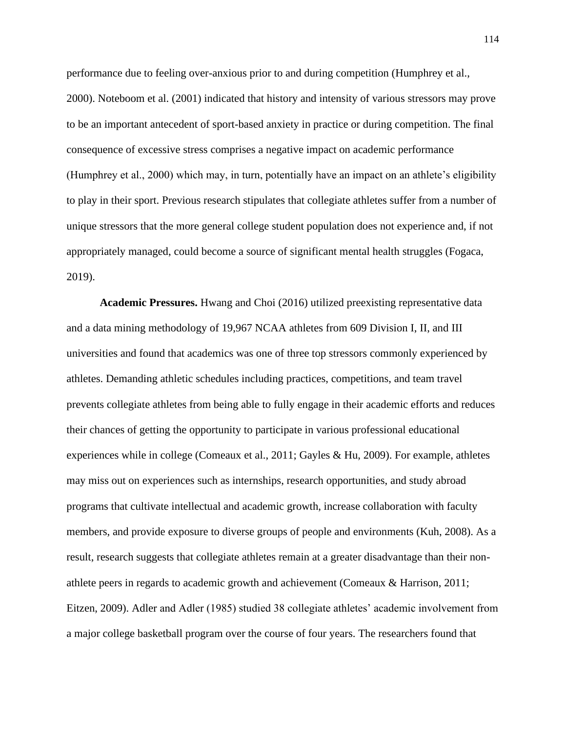performance due to feeling over-anxious prior to and during competition (Humphrey et al., 2000). Noteboom et al. (2001) indicated that history and intensity of various stressors may prove to be an important antecedent of sport-based anxiety in practice or during competition. The final consequence of excessive stress comprises a negative impact on academic performance (Humphrey et al., 2000) which may, in turn, potentially have an impact on an athlete's eligibility to play in their sport. Previous research stipulates that collegiate athletes suffer from a number of unique stressors that the more general college student population does not experience and, if not appropriately managed, could become a source of significant mental health struggles (Fogaca, 2019).

**Academic Pressures.** Hwang and Choi (2016) utilized preexisting representative data and a data mining methodology of 19,967 NCAA athletes from 609 Division I, II, and III universities and found that academics was one of three top stressors commonly experienced by athletes. Demanding athletic schedules including practices, competitions, and team travel prevents collegiate athletes from being able to fully engage in their academic efforts and reduces their chances of getting the opportunity to participate in various professional educational experiences while in college (Comeaux et al., 2011; Gayles & Hu, 2009). For example, athletes may miss out on experiences such as internships, research opportunities, and study abroad programs that cultivate intellectual and academic growth, increase collaboration with faculty members, and provide exposure to diverse groups of people and environments (Kuh, 2008). As a result, research suggests that collegiate athletes remain at a greater disadvantage than their nonathlete peers in regards to academic growth and achievement (Comeaux & Harrison, 2011; Eitzen, 2009). Adler and Adler (1985) studied 38 collegiate athletes' academic involvement from a major college basketball program over the course of four years. The researchers found that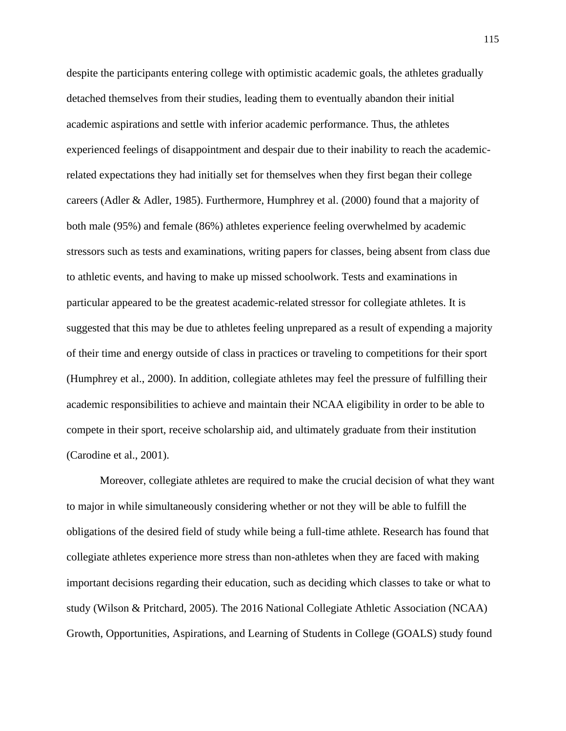despite the participants entering college with optimistic academic goals, the athletes gradually detached themselves from their studies, leading them to eventually abandon their initial academic aspirations and settle with inferior academic performance. Thus, the athletes experienced feelings of disappointment and despair due to their inability to reach the academicrelated expectations they had initially set for themselves when they first began their college careers (Adler & Adler, 1985). Furthermore, Humphrey et al. (2000) found that a majority of both male (95%) and female (86%) athletes experience feeling overwhelmed by academic stressors such as tests and examinations, writing papers for classes, being absent from class due to athletic events, and having to make up missed schoolwork. Tests and examinations in particular appeared to be the greatest academic-related stressor for collegiate athletes. It is suggested that this may be due to athletes feeling unprepared as a result of expending a majority of their time and energy outside of class in practices or traveling to competitions for their sport (Humphrey et al., 2000). In addition, collegiate athletes may feel the pressure of fulfilling their academic responsibilities to achieve and maintain their NCAA eligibility in order to be able to compete in their sport, receive scholarship aid, and ultimately graduate from their institution (Carodine et al., 2001).

Moreover, collegiate athletes are required to make the crucial decision of what they want to major in while simultaneously considering whether or not they will be able to fulfill the obligations of the desired field of study while being a full-time athlete. Research has found that collegiate athletes experience more stress than non-athletes when they are faced with making important decisions regarding their education, such as deciding which classes to take or what to study (Wilson & Pritchard, 2005). The 2016 National Collegiate Athletic Association (NCAA) Growth, Opportunities, Aspirations, and Learning of Students in College (GOALS) study found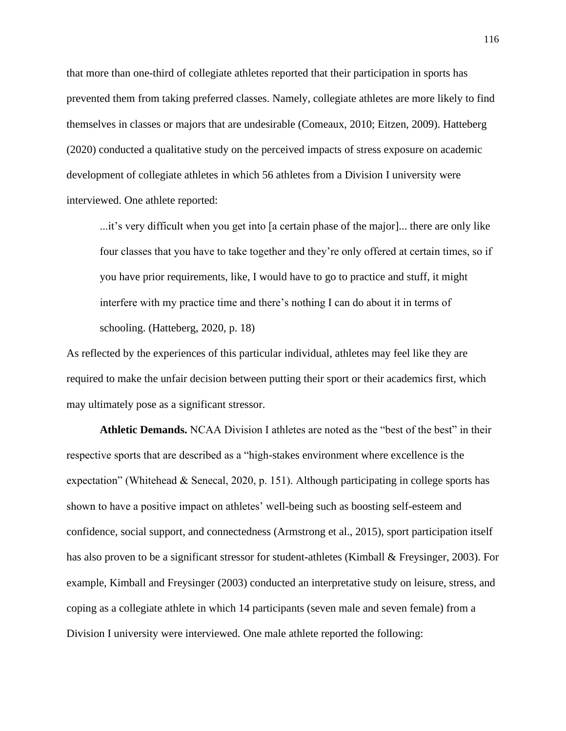that more than one-third of collegiate athletes reported that their participation in sports has prevented them from taking preferred classes. Namely, collegiate athletes are more likely to find themselves in classes or majors that are undesirable (Comeaux, 2010; Eitzen, 2009). Hatteberg (2020) conducted a qualitative study on the perceived impacts of stress exposure on academic development of collegiate athletes in which 56 athletes from a Division I university were interviewed. One athlete reported:

...it's very difficult when you get into [a certain phase of the major]... there are only like four classes that you have to take together and they're only offered at certain times, so if you have prior requirements, like, I would have to go to practice and stuff, it might interfere with my practice time and there's nothing I can do about it in terms of schooling. (Hatteberg, 2020, p. 18)

As reflected by the experiences of this particular individual, athletes may feel like they are required to make the unfair decision between putting their sport or their academics first, which may ultimately pose as a significant stressor.

**Athletic Demands.** NCAA Division I athletes are noted as the "best of the best" in their respective sports that are described as a "high-stakes environment where excellence is the expectation" (Whitehead & Senecal, 2020, p. 151). Although participating in college sports has shown to have a positive impact on athletes' well-being such as boosting self-esteem and confidence, social support, and connectedness (Armstrong et al., 2015), sport participation itself has also proven to be a significant stressor for student-athletes (Kimball & Freysinger, 2003). For example, Kimball and Freysinger (2003) conducted an interpretative study on leisure, stress, and coping as a collegiate athlete in which 14 participants (seven male and seven female) from a Division I university were interviewed. One male athlete reported the following: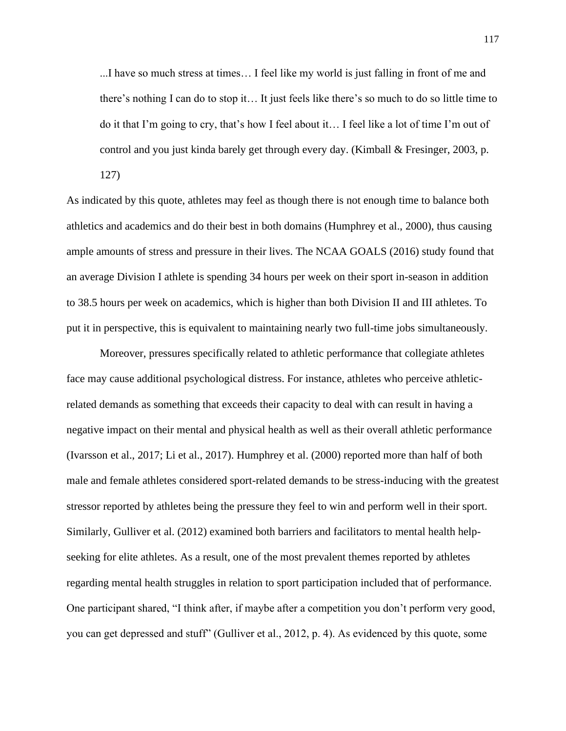...I have so much stress at times… I feel like my world is just falling in front of me and there's nothing I can do to stop it… It just feels like there's so much to do so little time to do it that I'm going to cry, that's how I feel about it… I feel like a lot of time I'm out of control and you just kinda barely get through every day. (Kimball & Fresinger, 2003, p.

127)

As indicated by this quote, athletes may feel as though there is not enough time to balance both athletics and academics and do their best in both domains (Humphrey et al., 2000), thus causing ample amounts of stress and pressure in their lives. The NCAA GOALS (2016) study found that an average Division I athlete is spending 34 hours per week on their sport in-season in addition to 38.5 hours per week on academics, which is higher than both Division II and III athletes. To put it in perspective, this is equivalent to maintaining nearly two full-time jobs simultaneously.

Moreover, pressures specifically related to athletic performance that collegiate athletes face may cause additional psychological distress. For instance, athletes who perceive athleticrelated demands as something that exceeds their capacity to deal with can result in having a negative impact on their mental and physical health as well as their overall athletic performance (Ivarsson et al., 2017; Li et al., 2017). Humphrey et al. (2000) reported more than half of both male and female athletes considered sport-related demands to be stress-inducing with the greatest stressor reported by athletes being the pressure they feel to win and perform well in their sport. Similarly, Gulliver et al. (2012) examined both barriers and facilitators to mental health helpseeking for elite athletes. As a result, one of the most prevalent themes reported by athletes regarding mental health struggles in relation to sport participation included that of performance. One participant shared, "I think after, if maybe after a competition you don't perform very good, you can get depressed and stuff" (Gulliver et al., 2012, p. 4). As evidenced by this quote, some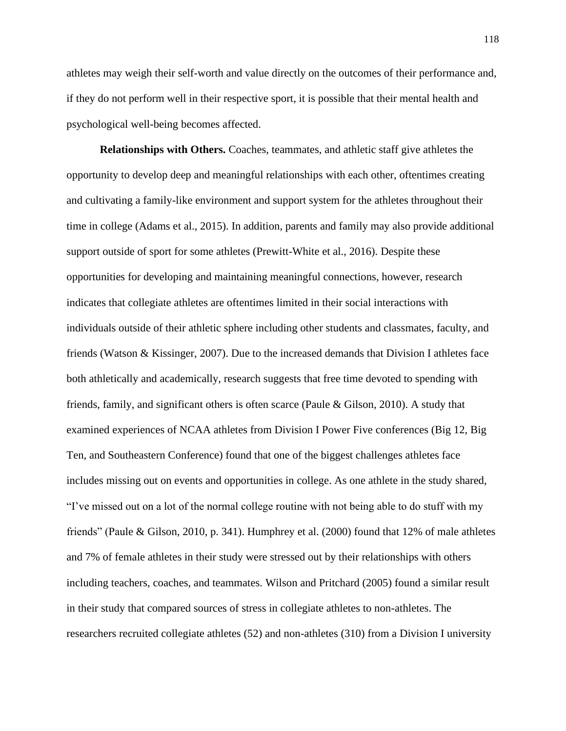athletes may weigh their self-worth and value directly on the outcomes of their performance and, if they do not perform well in their respective sport, it is possible that their mental health and psychological well-being becomes affected.

**Relationships with Others.** Coaches, teammates, and athletic staff give athletes the opportunity to develop deep and meaningful relationships with each other, oftentimes creating and cultivating a family-like environment and support system for the athletes throughout their time in college (Adams et al., 2015). In addition, parents and family may also provide additional support outside of sport for some athletes (Prewitt-White et al., 2016). Despite these opportunities for developing and maintaining meaningful connections, however, research indicates that collegiate athletes are oftentimes limited in their social interactions with individuals outside of their athletic sphere including other students and classmates, faculty, and friends (Watson & Kissinger, 2007). Due to the increased demands that Division I athletes face both athletically and academically, research suggests that free time devoted to spending with friends, family, and significant others is often scarce (Paule & Gilson, 2010). A study that examined experiences of NCAA athletes from Division I Power Five conferences (Big 12, Big Ten, and Southeastern Conference) found that one of the biggest challenges athletes face includes missing out on events and opportunities in college. As one athlete in the study shared, "I've missed out on a lot of the normal college routine with not being able to do stuff with my friends" (Paule & Gilson, 2010, p. 341). Humphrey et al. (2000) found that 12% of male athletes and 7% of female athletes in their study were stressed out by their relationships with others including teachers, coaches, and teammates. Wilson and Pritchard (2005) found a similar result in their study that compared sources of stress in collegiate athletes to non-athletes. The researchers recruited collegiate athletes (52) and non-athletes (310) from a Division I university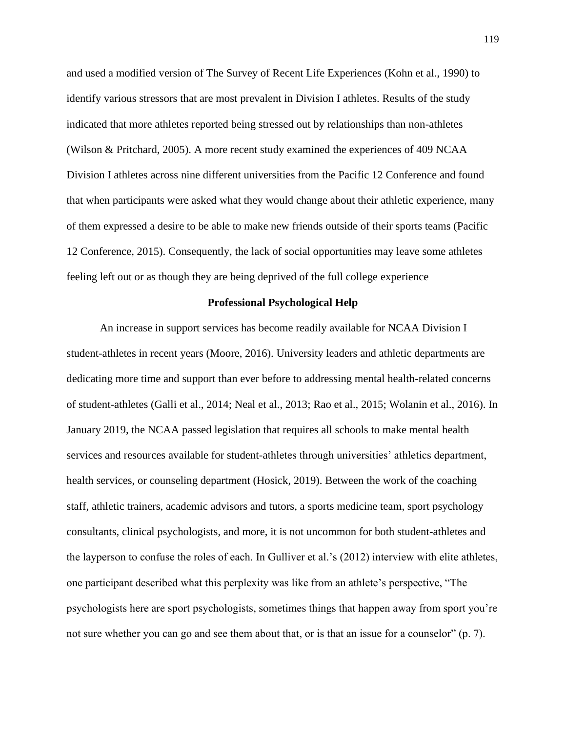and used a modified version of The Survey of Recent Life Experiences (Kohn et al., 1990) to identify various stressors that are most prevalent in Division I athletes. Results of the study indicated that more athletes reported being stressed out by relationships than non-athletes (Wilson & Pritchard, 2005). A more recent study examined the experiences of 409 NCAA Division I athletes across nine different universities from the Pacific 12 Conference and found that when participants were asked what they would change about their athletic experience, many of them expressed a desire to be able to make new friends outside of their sports teams (Pacific 12 Conference, 2015). Consequently, the lack of social opportunities may leave some athletes feeling left out or as though they are being deprived of the full college experience

### **Professional Psychological Help**

An increase in support services has become readily available for NCAA Division I student-athletes in recent years (Moore, 2016). University leaders and athletic departments are dedicating more time and support than ever before to addressing mental health-related concerns of student-athletes (Galli et al., 2014; Neal et al., 2013; Rao et al., 2015; Wolanin et al., 2016). In January 2019, the NCAA passed legislation that requires all schools to make mental health services and resources available for student-athletes through universities' athletics department, health services, or counseling department (Hosick, 2019). Between the work of the coaching staff, athletic trainers, academic advisors and tutors, a sports medicine team, sport psychology consultants, clinical psychologists, and more, it is not uncommon for both student-athletes and the layperson to confuse the roles of each. In Gulliver et al.'s (2012) interview with elite athletes, one participant described what this perplexity was like from an athlete's perspective, "The psychologists here are sport psychologists, sometimes things that happen away from sport you're not sure whether you can go and see them about that, or is that an issue for a counselor" (p. 7).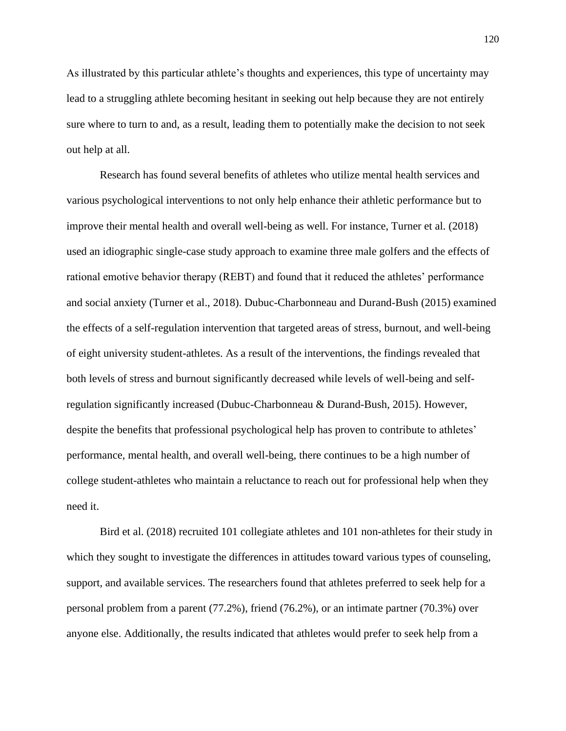As illustrated by this particular athlete's thoughts and experiences, this type of uncertainty may lead to a struggling athlete becoming hesitant in seeking out help because they are not entirely sure where to turn to and, as a result, leading them to potentially make the decision to not seek out help at all.

Research has found several benefits of athletes who utilize mental health services and various psychological interventions to not only help enhance their athletic performance but to improve their mental health and overall well-being as well. For instance, Turner et al. (2018) used an idiographic single-case study approach to examine three male golfers and the effects of rational emotive behavior therapy (REBT) and found that it reduced the athletes' performance and social anxiety (Turner et al., 2018). Dubuc-Charbonneau and Durand-Bush (2015) examined the effects of a self-regulation intervention that targeted areas of stress, burnout, and well-being of eight university student-athletes. As a result of the interventions, the findings revealed that both levels of stress and burnout significantly decreased while levels of well-being and selfregulation significantly increased (Dubuc-Charbonneau & Durand-Bush, 2015). However, despite the benefits that professional psychological help has proven to contribute to athletes' performance, mental health, and overall well-being, there continues to be a high number of college student-athletes who maintain a reluctance to reach out for professional help when they need it.

Bird et al. (2018) recruited 101 collegiate athletes and 101 non-athletes for their study in which they sought to investigate the differences in attitudes toward various types of counseling, support, and available services. The researchers found that athletes preferred to seek help for a personal problem from a parent (77.2%), friend (76.2%), or an intimate partner (70.3%) over anyone else. Additionally, the results indicated that athletes would prefer to seek help from a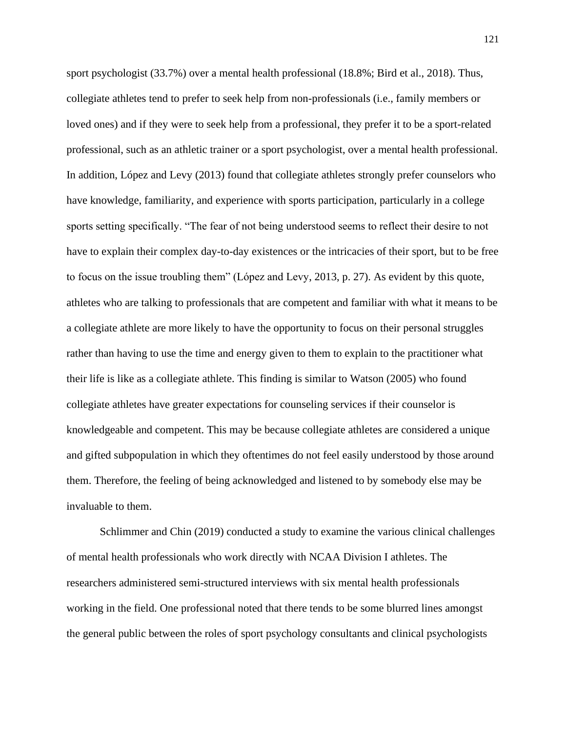sport psychologist (33.7%) over a mental health professional (18.8%; Bird et al., 2018). Thus, collegiate athletes tend to prefer to seek help from non-professionals (i.e., family members or loved ones) and if they were to seek help from a professional, they prefer it to be a sport-related professional, such as an athletic trainer or a sport psychologist, over a mental health professional. In addition, López and Levy (2013) found that collegiate athletes strongly prefer counselors who have knowledge, familiarity, and experience with sports participation, particularly in a college sports setting specifically. "The fear of not being understood seems to reflect their desire to not have to explain their complex day-to-day existences or the intricacies of their sport, but to be free to focus on the issue troubling them" (López and Levy, 2013, p. 27). As evident by this quote, athletes who are talking to professionals that are competent and familiar with what it means to be a collegiate athlete are more likely to have the opportunity to focus on their personal struggles rather than having to use the time and energy given to them to explain to the practitioner what their life is like as a collegiate athlete. This finding is similar to Watson (2005) who found collegiate athletes have greater expectations for counseling services if their counselor is knowledgeable and competent. This may be because collegiate athletes are considered a unique and gifted subpopulation in which they oftentimes do not feel easily understood by those around them. Therefore, the feeling of being acknowledged and listened to by somebody else may be invaluable to them.

Schlimmer and Chin (2019) conducted a study to examine the various clinical challenges of mental health professionals who work directly with NCAA Division I athletes. The researchers administered semi-structured interviews with six mental health professionals working in the field. One professional noted that there tends to be some blurred lines amongst the general public between the roles of sport psychology consultants and clinical psychologists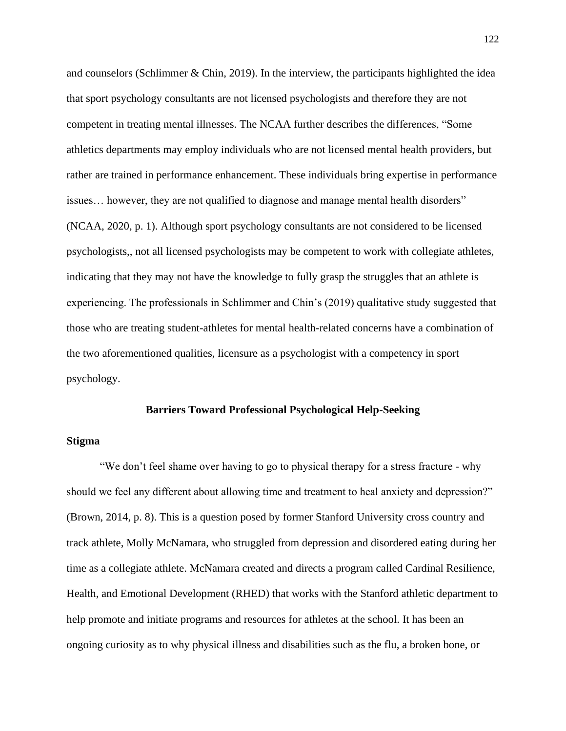and counselors (Schlimmer & Chin, 2019). In the interview, the participants highlighted the idea that sport psychology consultants are not licensed psychologists and therefore they are not competent in treating mental illnesses. The NCAA further describes the differences, "Some athletics departments may employ individuals who are not licensed mental health providers, but rather are trained in performance enhancement. These individuals bring expertise in performance issues… however, they are not qualified to diagnose and manage mental health disorders" (NCAA, 2020, p. 1). Although sport psychology consultants are not considered to be licensed psychologists,, not all licensed psychologists may be competent to work with collegiate athletes, indicating that they may not have the knowledge to fully grasp the struggles that an athlete is experiencing. The professionals in Schlimmer and Chin's (2019) qualitative study suggested that those who are treating student-athletes for mental health-related concerns have a combination of the two aforementioned qualities, licensure as a psychologist with a competency in sport psychology.

### **Barriers Toward Professional Psychological Help-Seeking**

### **Stigma**

"We don't feel shame over having to go to physical therapy for a stress fracture - why should we feel any different about allowing time and treatment to heal anxiety and depression?" (Brown, 2014, p. 8). This is a question posed by former Stanford University cross country and track athlete, Molly McNamara, who struggled from depression and disordered eating during her time as a collegiate athlete. McNamara created and directs a program called Cardinal Resilience, Health, and Emotional Development (RHED) that works with the Stanford athletic department to help promote and initiate programs and resources for athletes at the school. It has been an ongoing curiosity as to why physical illness and disabilities such as the flu, a broken bone, or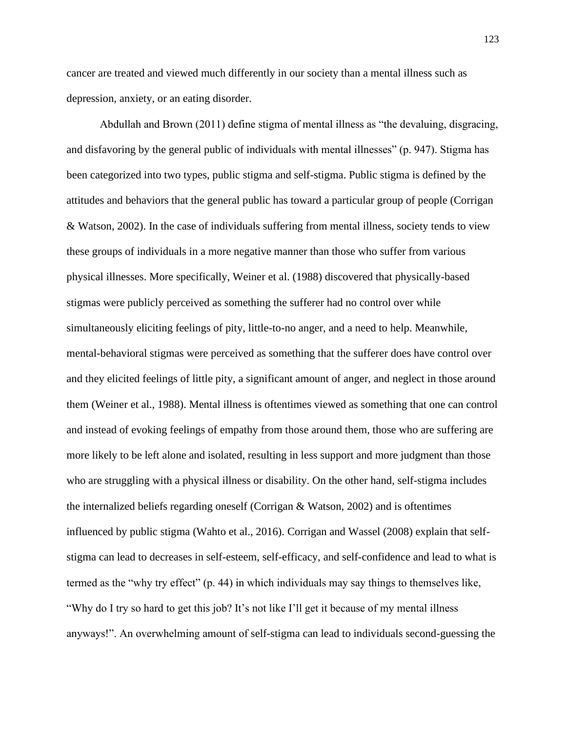cancer are treated and viewed much differently in our society than a mental illness such as depression, anxiety, or an eating disorder.

Abdullah and Brown (2011) define stigma of mental illness as "the devaluing, disgracing, and disfavoring by the general public of individuals with mental illnesses" (p. 947). Stigma has been categorized into two types, public stigma and self-stigma. Public stigma is defined by the attitudes and behaviors that the general public has toward a particular group of people (Corrigan & Watson, 2002). In the case of individuals suffering from mental illness, society tends to view these groups of individuals in a more negative manner than those who suffer from various physical illnesses. More specifically, Weiner et al. (1988) discovered that physically-based stigmas were publicly perceived as something the sufferer had no control over while simultaneously eliciting feelings of pity, little-to-no anger, and a need to help. Meanwhile, mental-behavioral stigmas were perceived as something that the sufferer does have control over and they elicited feelings of little pity, a significant amount of anger, and neglect in those around them (Weiner et al., 1988). Mental illness is oftentimes viewed as something that one can control and instead of evoking feelings of empathy from those around them, those who are suffering are more likely to be left alone and isolated, resulting in less support and more judgment than those who are struggling with a physical illness or disability. On the other hand, self-stigma includes the internalized beliefs regarding oneself (Corrigan  $\&$  Watson, 2002) and is oftentimes influenced by public stigma (Wahto et al., 2016). Corrigan and Wassel (2008) explain that selfstigma can lead to decreases in self-esteem, self-efficacy, and self-confidence and lead to what is termed as the "why try effect" (p. 44) in which individuals may say things to themselves like, "Why do I try so hard to get this job? It's not like I'll get it because of my mental illness anyways!". An overwhelming amount of self-stigma can lead to individuals second-guessing the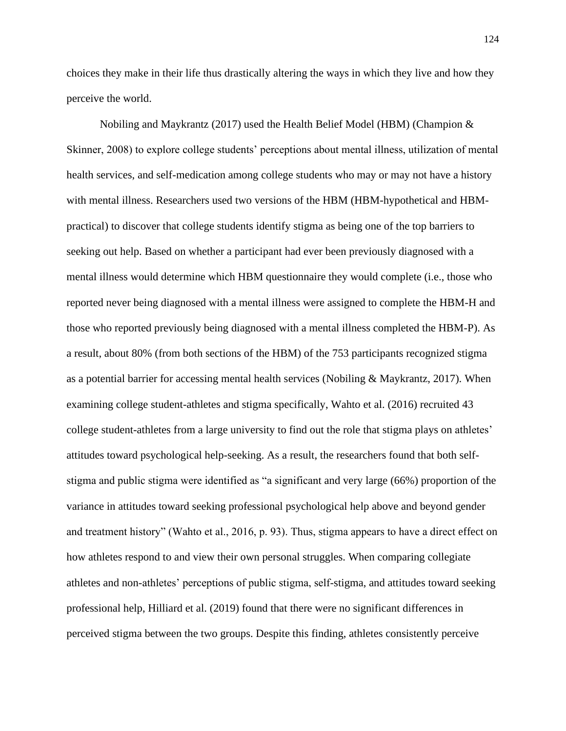choices they make in their life thus drastically altering the ways in which they live and how they perceive the world.

Nobiling and Maykrantz (2017) used the Health Belief Model (HBM) (Champion & Skinner, 2008) to explore college students' perceptions about mental illness, utilization of mental health services, and self-medication among college students who may or may not have a history with mental illness. Researchers used two versions of the HBM (HBM-hypothetical and HBMpractical) to discover that college students identify stigma as being one of the top barriers to seeking out help. Based on whether a participant had ever been previously diagnosed with a mental illness would determine which HBM questionnaire they would complete (i.e., those who reported never being diagnosed with a mental illness were assigned to complete the HBM-H and those who reported previously being diagnosed with a mental illness completed the HBM-P). As a result, about 80% (from both sections of the HBM) of the 753 participants recognized stigma as a potential barrier for accessing mental health services (Nobiling & Maykrantz, 2017). When examining college student-athletes and stigma specifically, Wahto et al. (2016) recruited 43 college student-athletes from a large university to find out the role that stigma plays on athletes' attitudes toward psychological help-seeking. As a result, the researchers found that both selfstigma and public stigma were identified as "a significant and very large (66%) proportion of the variance in attitudes toward seeking professional psychological help above and beyond gender and treatment history" (Wahto et al., 2016, p. 93). Thus, stigma appears to have a direct effect on how athletes respond to and view their own personal struggles. When comparing collegiate athletes and non-athletes' perceptions of public stigma, self-stigma, and attitudes toward seeking professional help, Hilliard et al. (2019) found that there were no significant differences in perceived stigma between the two groups. Despite this finding, athletes consistently perceive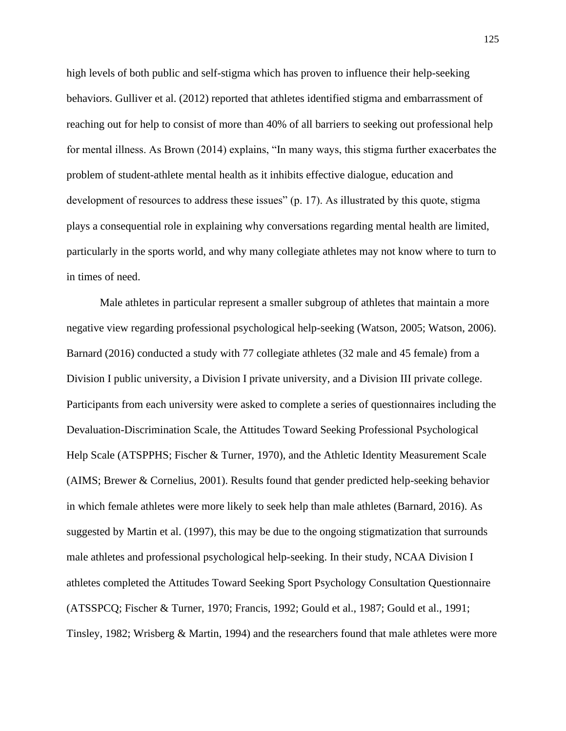high levels of both public and self-stigma which has proven to influence their help-seeking behaviors. Gulliver et al. (2012) reported that athletes identified stigma and embarrassment of reaching out for help to consist of more than 40% of all barriers to seeking out professional help for mental illness. As Brown (2014) explains, "In many ways, this stigma further exacerbates the problem of student-athlete mental health as it inhibits effective dialogue, education and development of resources to address these issues" (p. 17). As illustrated by this quote, stigma plays a consequential role in explaining why conversations regarding mental health are limited, particularly in the sports world, and why many collegiate athletes may not know where to turn to in times of need.

Male athletes in particular represent a smaller subgroup of athletes that maintain a more negative view regarding professional psychological help-seeking (Watson, 2005; Watson, 2006). Barnard (2016) conducted a study with 77 collegiate athletes (32 male and 45 female) from a Division I public university, a Division I private university, and a Division III private college. Participants from each university were asked to complete a series of questionnaires including the Devaluation-Discrimination Scale, the Attitudes Toward Seeking Professional Psychological Help Scale (ATSPPHS; Fischer & Turner, 1970), and the Athletic Identity Measurement Scale (AIMS; Brewer & Cornelius, 2001). Results found that gender predicted help-seeking behavior in which female athletes were more likely to seek help than male athletes (Barnard, 2016). As suggested by Martin et al. (1997), this may be due to the ongoing stigmatization that surrounds male athletes and professional psychological help-seeking. In their study, NCAA Division I athletes completed the Attitudes Toward Seeking Sport Psychology Consultation Questionnaire (ATSSPCQ; Fischer & Turner, 1970; Francis, 1992; Gould et al., 1987; Gould et al., 1991; Tinsley, 1982; Wrisberg & Martin, 1994) and the researchers found that male athletes were more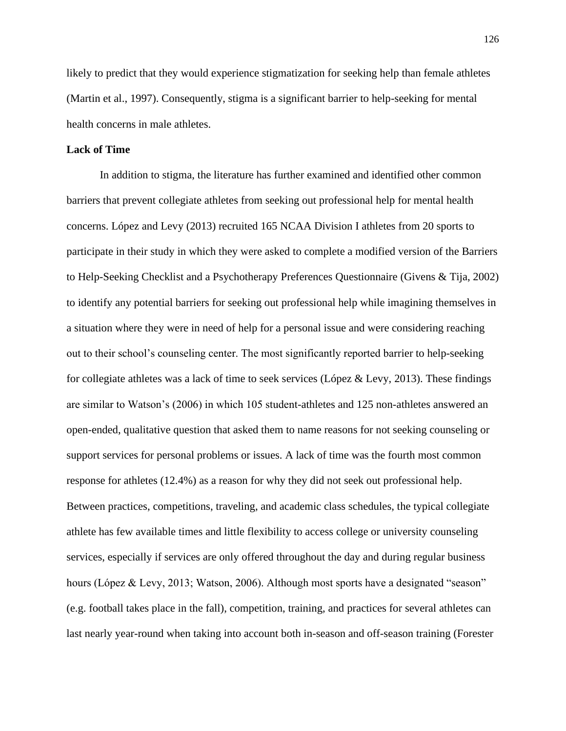likely to predict that they would experience stigmatization for seeking help than female athletes (Martin et al., 1997). Consequently, stigma is a significant barrier to help-seeking for mental health concerns in male athletes.

### **Lack of Time**

In addition to stigma, the literature has further examined and identified other common barriers that prevent collegiate athletes from seeking out professional help for mental health concerns. López and Levy (2013) recruited 165 NCAA Division I athletes from 20 sports to participate in their study in which they were asked to complete a modified version of the Barriers to Help-Seeking Checklist and a Psychotherapy Preferences Questionnaire (Givens & Tija, 2002) to identify any potential barriers for seeking out professional help while imagining themselves in a situation where they were in need of help for a personal issue and were considering reaching out to their school's counseling center. The most significantly reported barrier to help-seeking for collegiate athletes was a lack of time to seek services (López & Levy, 2013). These findings are similar to Watson's (2006) in which 105 student-athletes and 125 non-athletes answered an open-ended, qualitative question that asked them to name reasons for not seeking counseling or support services for personal problems or issues. A lack of time was the fourth most common response for athletes (12.4%) as a reason for why they did not seek out professional help. Between practices, competitions, traveling, and academic class schedules, the typical collegiate athlete has few available times and little flexibility to access college or university counseling services, especially if services are only offered throughout the day and during regular business hours (López & Levy, 2013; Watson, 2006). Although most sports have a designated "season" (e.g. football takes place in the fall), competition, training, and practices for several athletes can last nearly year-round when taking into account both in-season and off-season training (Forester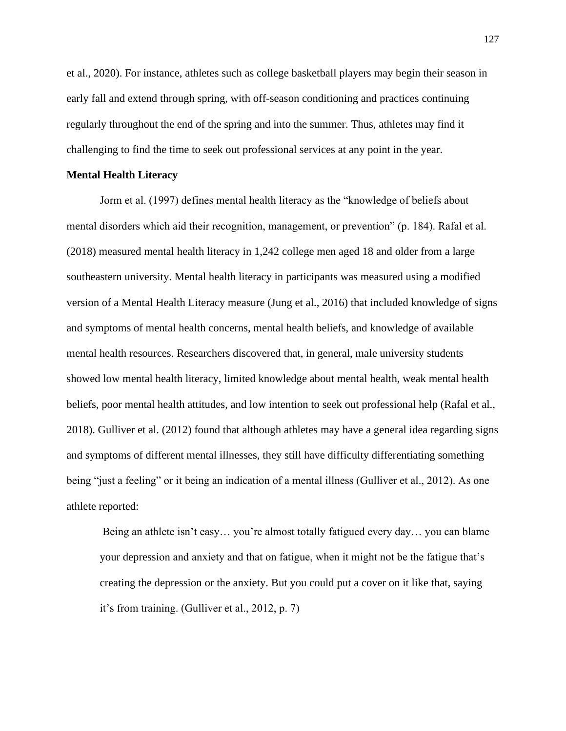et al., 2020). For instance, athletes such as college basketball players may begin their season in early fall and extend through spring, with off-season conditioning and practices continuing regularly throughout the end of the spring and into the summer. Thus, athletes may find it challenging to find the time to seek out professional services at any point in the year.

#### **Mental Health Literacy**

Jorm et al. (1997) defines mental health literacy as the "knowledge of beliefs about mental disorders which aid their recognition, management, or prevention" (p. 184). Rafal et al. (2018) measured mental health literacy in 1,242 college men aged 18 and older from a large southeastern university. Mental health literacy in participants was measured using a modified version of a Mental Health Literacy measure (Jung et al., 2016) that included knowledge of signs and symptoms of mental health concerns, mental health beliefs, and knowledge of available mental health resources. Researchers discovered that, in general, male university students showed low mental health literacy, limited knowledge about mental health, weak mental health beliefs, poor mental health attitudes, and low intention to seek out professional help (Rafal et al., 2018). Gulliver et al. (2012) found that although athletes may have a general idea regarding signs and symptoms of different mental illnesses, they still have difficulty differentiating something being "just a feeling" or it being an indication of a mental illness (Gulliver et al., 2012). As one athlete reported:

Being an athlete isn't easy… you're almost totally fatigued every day… you can blame your depression and anxiety and that on fatigue, when it might not be the fatigue that's creating the depression or the anxiety. But you could put a cover on it like that, saying it's from training. (Gulliver et al., 2012, p. 7)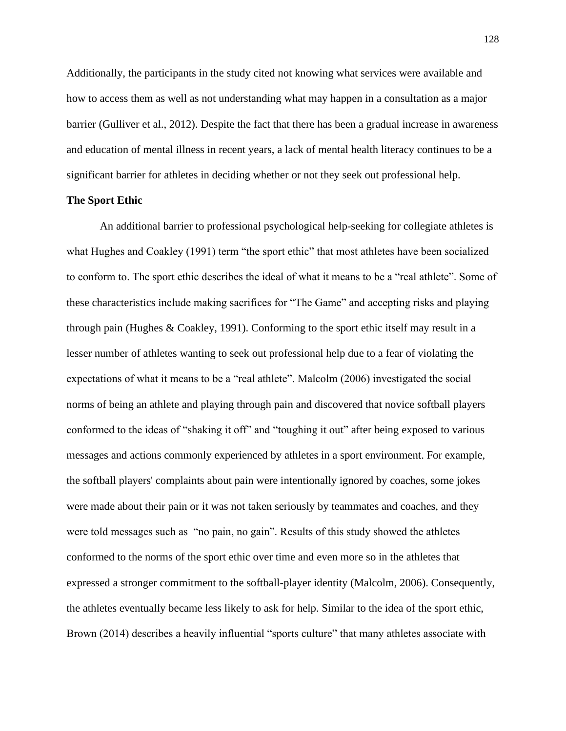Additionally, the participants in the study cited not knowing what services were available and how to access them as well as not understanding what may happen in a consultation as a major barrier (Gulliver et al., 2012). Despite the fact that there has been a gradual increase in awareness and education of mental illness in recent years, a lack of mental health literacy continues to be a significant barrier for athletes in deciding whether or not they seek out professional help.

### **The Sport Ethic**

An additional barrier to professional psychological help-seeking for collegiate athletes is what Hughes and Coakley (1991) term "the sport ethic" that most athletes have been socialized to conform to. The sport ethic describes the ideal of what it means to be a "real athlete". Some of these characteristics include making sacrifices for "The Game" and accepting risks and playing through pain (Hughes & Coakley, 1991). Conforming to the sport ethic itself may result in a lesser number of athletes wanting to seek out professional help due to a fear of violating the expectations of what it means to be a "real athlete". Malcolm (2006) investigated the social norms of being an athlete and playing through pain and discovered that novice softball players conformed to the ideas of "shaking it off" and "toughing it out" after being exposed to various messages and actions commonly experienced by athletes in a sport environment. For example, the softball players' complaints about pain were intentionally ignored by coaches, some jokes were made about their pain or it was not taken seriously by teammates and coaches, and they were told messages such as "no pain, no gain". Results of this study showed the athletes conformed to the norms of the sport ethic over time and even more so in the athletes that expressed a stronger commitment to the softball-player identity (Malcolm, 2006). Consequently, the athletes eventually became less likely to ask for help. Similar to the idea of the sport ethic, Brown (2014) describes a heavily influential "sports culture" that many athletes associate with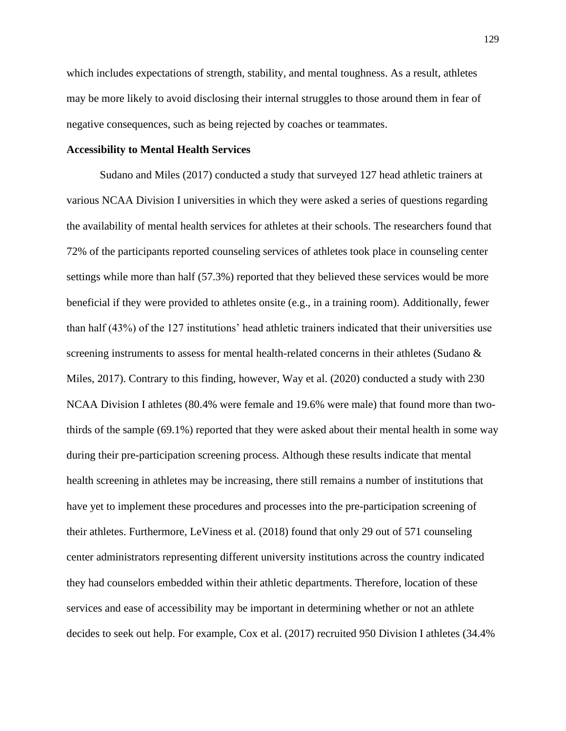which includes expectations of strength, stability, and mental toughness. As a result, athletes may be more likely to avoid disclosing their internal struggles to those around them in fear of negative consequences, such as being rejected by coaches or teammates.

#### **Accessibility to Mental Health Services**

Sudano and Miles (2017) conducted a study that surveyed 127 head athletic trainers at various NCAA Division I universities in which they were asked a series of questions regarding the availability of mental health services for athletes at their schools. The researchers found that 72% of the participants reported counseling services of athletes took place in counseling center settings while more than half (57.3%) reported that they believed these services would be more beneficial if they were provided to athletes onsite (e.g., in a training room). Additionally, fewer than half (43%) of the 127 institutions' head athletic trainers indicated that their universities use screening instruments to assess for mental health-related concerns in their athletes (Sudano & Miles, 2017). Contrary to this finding, however, Way et al. (2020) conducted a study with 230 NCAA Division I athletes (80.4% were female and 19.6% were male) that found more than twothirds of the sample (69.1%) reported that they were asked about their mental health in some way during their pre-participation screening process. Although these results indicate that mental health screening in athletes may be increasing, there still remains a number of institutions that have yet to implement these procedures and processes into the pre-participation screening of their athletes. Furthermore, LeViness et al. (2018) found that only 29 out of 571 counseling center administrators representing different university institutions across the country indicated they had counselors embedded within their athletic departments. Therefore, location of these services and ease of accessibility may be important in determining whether or not an athlete decides to seek out help. For example, Cox et al. (2017) recruited 950 Division I athletes (34.4%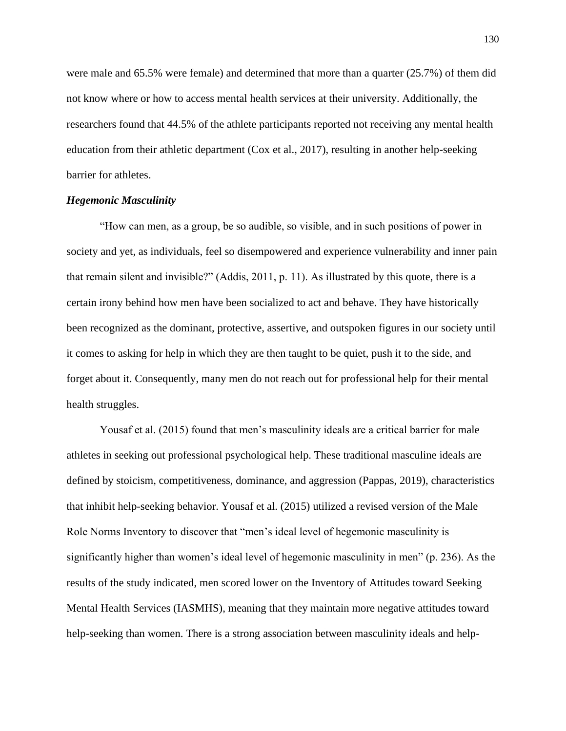were male and 65.5% were female) and determined that more than a quarter (25.7%) of them did not know where or how to access mental health services at their university. Additionally, the researchers found that 44.5% of the athlete participants reported not receiving any mental health education from their athletic department (Cox et al., 2017), resulting in another help-seeking barrier for athletes.

### *Hegemonic Masculinity*

"How can men, as a group, be so audible, so visible, and in such positions of power in society and yet, as individuals, feel so disempowered and experience vulnerability and inner pain that remain silent and invisible?" (Addis, 2011, p. 11). As illustrated by this quote, there is a certain irony behind how men have been socialized to act and behave. They have historically been recognized as the dominant, protective, assertive, and outspoken figures in our society until it comes to asking for help in which they are then taught to be quiet, push it to the side, and forget about it. Consequently, many men do not reach out for professional help for their mental health struggles.

Yousaf et al. (2015) found that men's masculinity ideals are a critical barrier for male athletes in seeking out professional psychological help. These traditional masculine ideals are defined by stoicism, competitiveness, dominance, and aggression (Pappas, 2019), characteristics that inhibit help-seeking behavior. Yousaf et al. (2015) utilized a revised version of the Male Role Norms Inventory to discover that "men's ideal level of hegemonic masculinity is significantly higher than women's ideal level of hegemonic masculinity in men" (p. 236). As the results of the study indicated, men scored lower on the Inventory of Attitudes toward Seeking Mental Health Services (IASMHS), meaning that they maintain more negative attitudes toward help-seeking than women. There is a strong association between masculinity ideals and help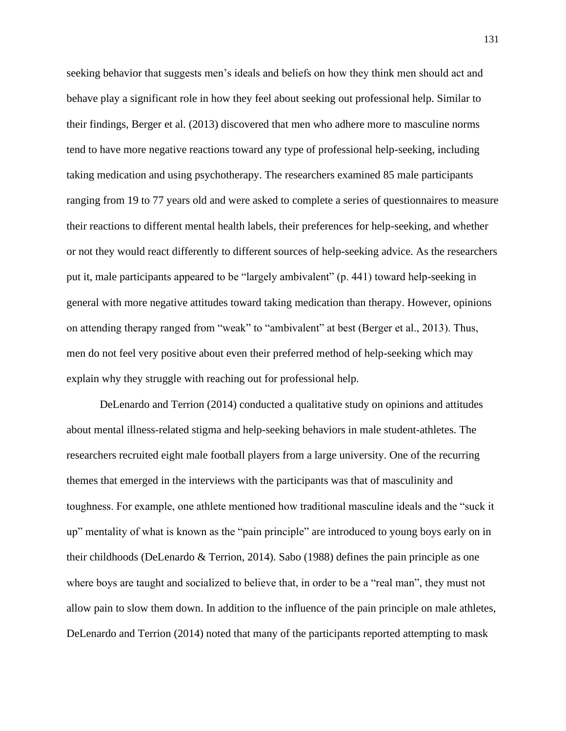seeking behavior that suggests men's ideals and beliefs on how they think men should act and behave play a significant role in how they feel about seeking out professional help. Similar to their findings, Berger et al. (2013) discovered that men who adhere more to masculine norms tend to have more negative reactions toward any type of professional help-seeking, including taking medication and using psychotherapy. The researchers examined 85 male participants ranging from 19 to 77 years old and were asked to complete a series of questionnaires to measure their reactions to different mental health labels, their preferences for help-seeking, and whether or not they would react differently to different sources of help-seeking advice. As the researchers put it, male participants appeared to be "largely ambivalent" (p. 441) toward help-seeking in general with more negative attitudes toward taking medication than therapy. However, opinions on attending therapy ranged from "weak" to "ambivalent" at best (Berger et al., 2013). Thus, men do not feel very positive about even their preferred method of help-seeking which may explain why they struggle with reaching out for professional help.

DeLenardo and Terrion (2014) conducted a qualitative study on opinions and attitudes about mental illness-related stigma and help-seeking behaviors in male student-athletes. The researchers recruited eight male football players from a large university. One of the recurring themes that emerged in the interviews with the participants was that of masculinity and toughness. For example, one athlete mentioned how traditional masculine ideals and the "suck it up" mentality of what is known as the "pain principle" are introduced to young boys early on in their childhoods (DeLenardo & Terrion, 2014). Sabo (1988) defines the pain principle as one where boys are taught and socialized to believe that, in order to be a "real man", they must not allow pain to slow them down. In addition to the influence of the pain principle on male athletes, DeLenardo and Terrion (2014) noted that many of the participants reported attempting to mask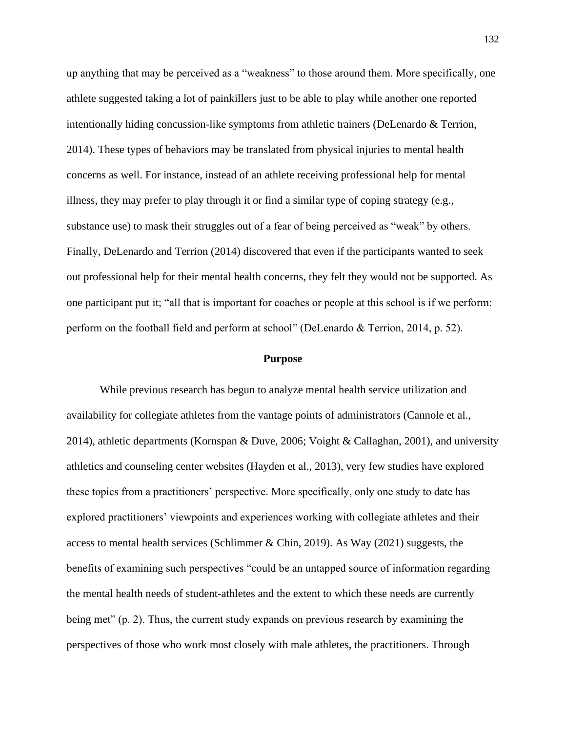up anything that may be perceived as a "weakness" to those around them. More specifically, one athlete suggested taking a lot of painkillers just to be able to play while another one reported intentionally hiding concussion-like symptoms from athletic trainers (DeLenardo & Terrion, 2014). These types of behaviors may be translated from physical injuries to mental health concerns as well. For instance, instead of an athlete receiving professional help for mental illness, they may prefer to play through it or find a similar type of coping strategy (e.g., substance use) to mask their struggles out of a fear of being perceived as "weak" by others. Finally, DeLenardo and Terrion (2014) discovered that even if the participants wanted to seek out professional help for their mental health concerns, they felt they would not be supported. As one participant put it; "all that is important for coaches or people at this school is if we perform: perform on the football field and perform at school" (DeLenardo & Terrion, 2014, p. 52).

#### **Purpose**

While previous research has begun to analyze mental health service utilization and availability for collegiate athletes from the vantage points of administrators (Cannole et al., 2014), athletic departments (Kornspan & Duve, 2006; Voight & Callaghan, 2001), and university athletics and counseling center websites (Hayden et al., 2013), very few studies have explored these topics from a practitioners' perspective. More specifically, only one study to date has explored practitioners' viewpoints and experiences working with collegiate athletes and their access to mental health services (Schlimmer & Chin, 2019). As Way (2021) suggests, the benefits of examining such perspectives "could be an untapped source of information regarding the mental health needs of student-athletes and the extent to which these needs are currently being met" (p. 2). Thus, the current study expands on previous research by examining the perspectives of those who work most closely with male athletes, the practitioners. Through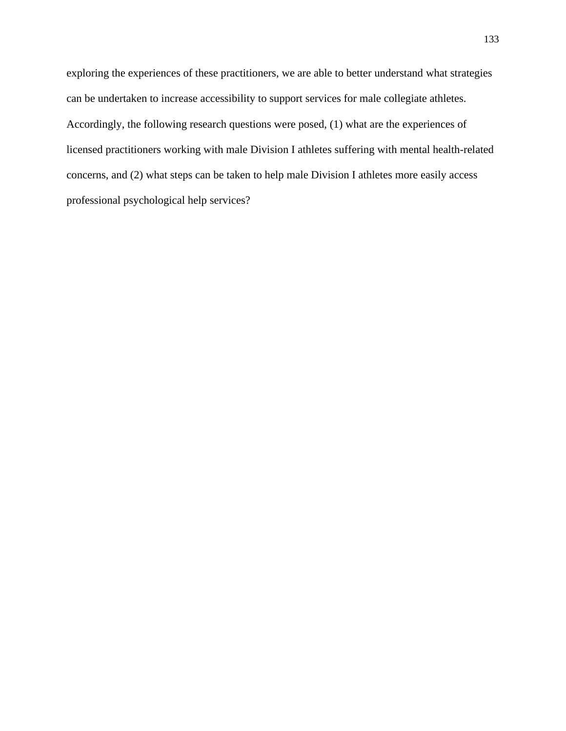exploring the experiences of these practitioners, we are able to better understand what strategies can be undertaken to increase accessibility to support services for male collegiate athletes. Accordingly, the following research questions were posed, (1) what are the experiences of licensed practitioners working with male Division I athletes suffering with mental health-related concerns, and (2) what steps can be taken to help male Division I athletes more easily access professional psychological help services?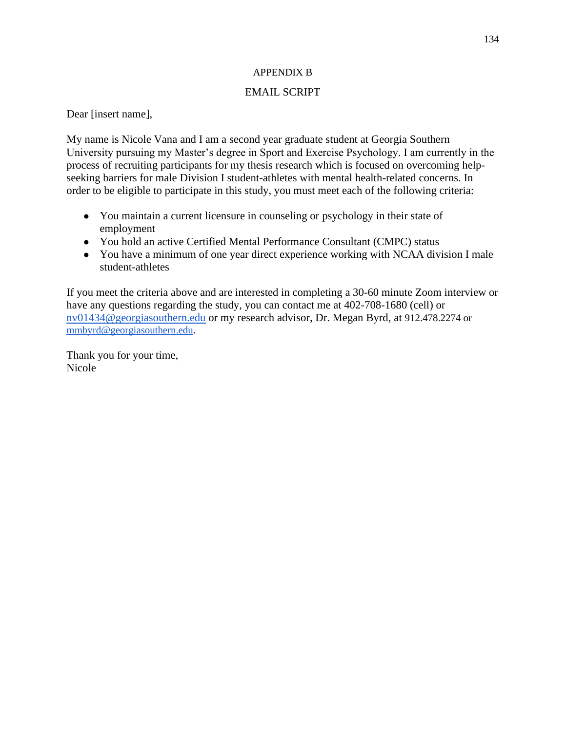### APPENDIX B

## EMAIL SCRIPT

Dear [insert name],

My name is Nicole Vana and I am a second year graduate student at Georgia Southern University pursuing my Master's degree in Sport and Exercise Psychology. I am currently in the process of recruiting participants for my thesis research which is focused on overcoming helpseeking barriers for male Division I student-athletes with mental health-related concerns. In order to be eligible to participate in this study, you must meet each of the following criteria:

- You maintain a current licensure in counseling or psychology in their state of employment
- You hold an active Certified Mental Performance Consultant (CMPC) status
- You have a minimum of one year direct experience working with NCAA division I male student-athletes

If you meet the criteria above and are interested in completing a 30-60 minute Zoom interview or have any questions regarding the study, you can contact me at 402-708-1680 (cell) or [nv01434@georgiasouthern.edu](mailto:nv01434@georgiasouthern.edu) or my research advisor, Dr. Megan Byrd, at 912.478.2274 or [mmbyrd@georgiasouthern.edu.](mailto:mmbyrd@georgiasouthern.edu)

Thank you for your time, Nicole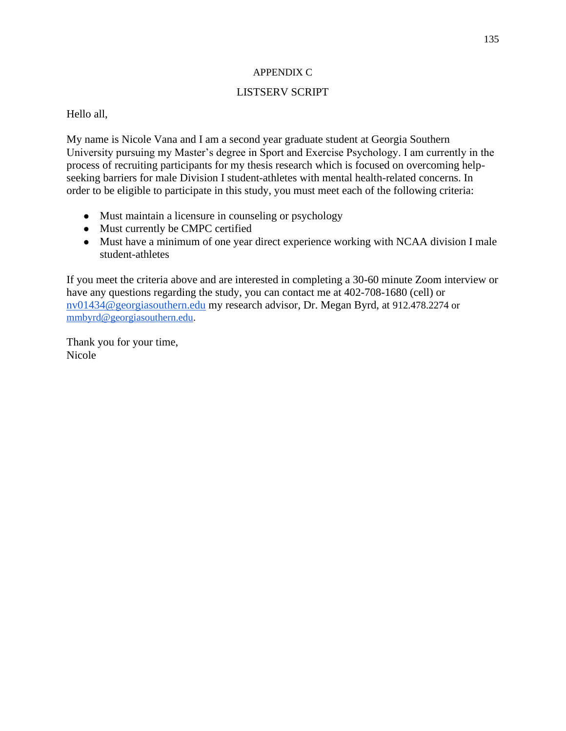### APPENDIX C

## LISTSERV SCRIPT

## Hello all,

My name is Nicole Vana and I am a second year graduate student at Georgia Southern University pursuing my Master's degree in Sport and Exercise Psychology. I am currently in the process of recruiting participants for my thesis research which is focused on overcoming helpseeking barriers for male Division I student-athletes with mental health-related concerns. In order to be eligible to participate in this study, you must meet each of the following criteria:

- Must maintain a licensure in counseling or psychology
- Must currently be CMPC certified
- Must have a minimum of one year direct experience working with NCAA division I male student-athletes

If you meet the criteria above and are interested in completing a 30-60 minute Zoom interview or have any questions regarding the study, you can contact me at 402-708-1680 (cell) or [nv01434@georgiasouthern.edu](mailto:nv01434@georgiasouthern.edu) my research advisor, Dr. Megan Byrd, at 912.478.2274 or [mmbyrd@georgiasouthern.edu.](mailto:mmbyrd@georgiasouthern.edu)

Thank you for your time, Nicole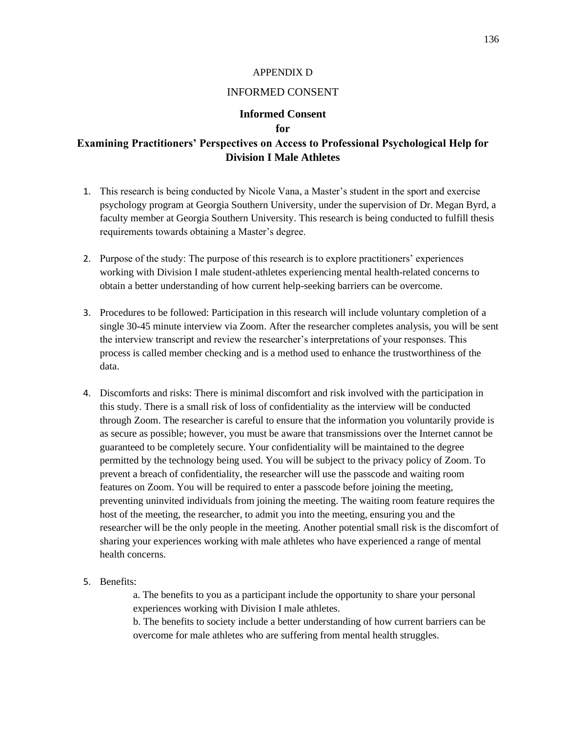#### APPENDIX D

## INFORMED CONSENT

### **Informed Consent for**

# **Examining Practitioners' Perspectives on Access to Professional Psychological Help for Division I Male Athletes**

- 1. This research is being conducted by Nicole Vana, a Master's student in the sport and exercise psychology program at Georgia Southern University, under the supervision of Dr. Megan Byrd, a faculty member at Georgia Southern University. This research is being conducted to fulfill thesis requirements towards obtaining a Master's degree.
- 2. Purpose of the study: The purpose of this research is to explore practitioners' experiences working with Division I male student-athletes experiencing mental health-related concerns to obtain a better understanding of how current help-seeking barriers can be overcome.
- 3. Procedures to be followed: Participation in this research will include voluntary completion of a single 30-45 minute interview via Zoom. After the researcher completes analysis, you will be sent the interview transcript and review the researcher's interpretations of your responses. This process is called member checking and is a method used to enhance the trustworthiness of the data.
- 4. Discomforts and risks: There is minimal discomfort and risk involved with the participation in this study. There is a small risk of loss of confidentiality as the interview will be conducted through Zoom. The researcher is careful to ensure that the information you voluntarily provide is as secure as possible; however, you must be aware that transmissions over the Internet cannot be guaranteed to be completely secure. Your confidentiality will be maintained to the degree permitted by the technology being used. You will be subject to the privacy policy of Zoom. To prevent a breach of confidentiality, the researcher will use the passcode and waiting room features on Zoom. You will be required to enter a passcode before joining the meeting, preventing uninvited individuals from joining the meeting. The waiting room feature requires the host of the meeting, the researcher, to admit you into the meeting, ensuring you and the researcher will be the only people in the meeting. Another potential small risk is the discomfort of sharing your experiences working with male athletes who have experienced a range of mental health concerns.
- 5. Benefits:

a. The benefits to you as a participant include the opportunity to share your personal experiences working with Division I male athletes.

b. The benefits to society include a better understanding of how current barriers can be overcome for male athletes who are suffering from mental health struggles.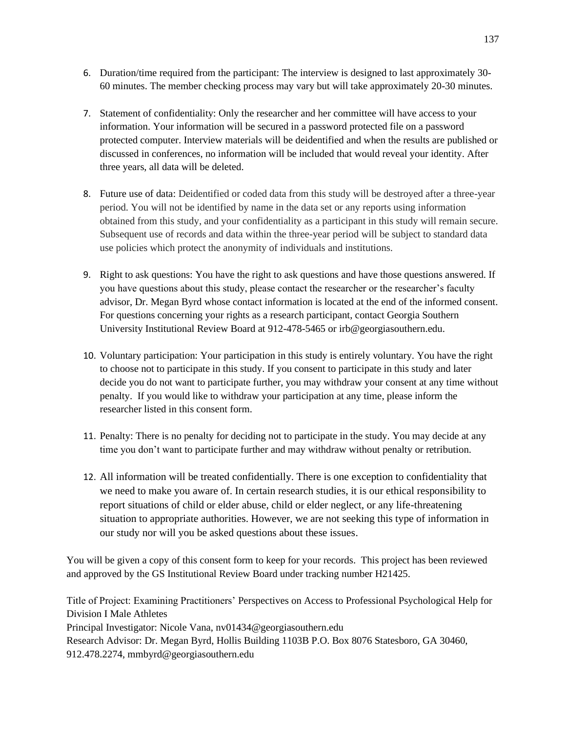- 6. Duration/time required from the participant: The interview is designed to last approximately 30- 60 minutes. The member checking process may vary but will take approximately 20-30 minutes.
- 7. Statement of confidentiality: Only the researcher and her committee will have access to your information. Your information will be secured in a password protected file on a password protected computer. Interview materials will be deidentified and when the results are published or discussed in conferences, no information will be included that would reveal your identity. After three years, all data will be deleted.
- 8. Future use of data: Deidentified or coded data from this study will be destroyed after a three-year period. You will not be identified by name in the data set or any reports using information obtained from this study, and your confidentiality as a participant in this study will remain secure. Subsequent use of records and data within the three-year period will be subject to standard data use policies which protect the anonymity of individuals and institutions.
- 9. Right to ask questions: You have the right to ask questions and have those questions answered. If you have questions about this study, please contact the researcher or the researcher's faculty advisor, Dr. Megan Byrd whose contact information is located at the end of the informed consent. For questions concerning your rights as a research participant, contact Georgia Southern University Institutional Review Board at 912-478-5465 or irb@georgiasouthern.edu.
- 10. Voluntary participation: Your participation in this study is entirely voluntary. You have the right to choose not to participate in this study. If you consent to participate in this study and later decide you do not want to participate further, you may withdraw your consent at any time without penalty. If you would like to withdraw your participation at any time, please inform the researcher listed in this consent form.
- 11. Penalty: There is no penalty for deciding not to participate in the study. You may decide at any time you don't want to participate further and may withdraw without penalty or retribution.
- 12. All information will be treated confidentially. There is one exception to confidentiality that we need to make you aware of. In certain research studies, it is our ethical responsibility to report situations of child or elder abuse, child or elder neglect, or any life-threatening situation to appropriate authorities. However, we are not seeking this type of information in our study nor will you be asked questions about these issues.

You will be given a copy of this consent form to keep for your records. This project has been reviewed and approved by the GS Institutional Review Board under tracking number H21425.

Title of Project: Examining Practitioners' Perspectives on Access to Professional Psychological Help for Division I Male Athletes Principal Investigator: Nicole Vana, nv01434@georgiasouthern.edu Research Advisor: Dr. Megan Byrd, Hollis Building 1103B P.O. Box 8076 Statesboro, GA 30460, 912.478.2274, mmbyrd@georgiasouthern.edu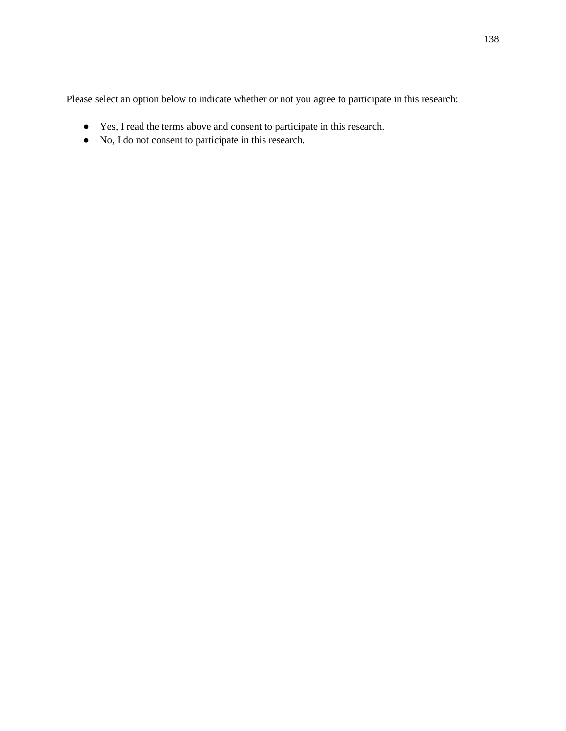Please select an option below to indicate whether or not you agree to participate in this research:

- Yes, I read the terms above and consent to participate in this research.
- No, I do not consent to participate in this research.